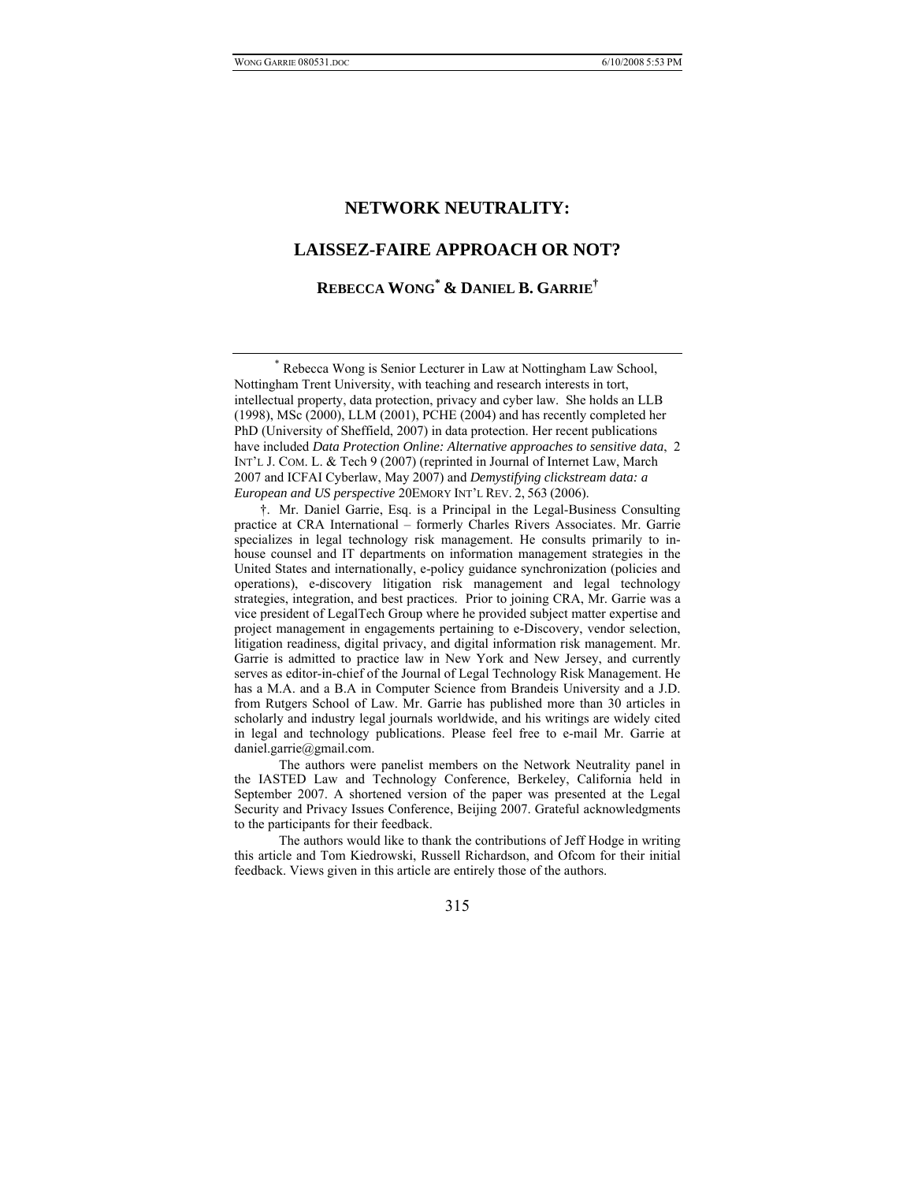# **LAISSEZ-FAIRE APPROACH OR NOT?**

**REBECCA WONG\* & DANIEL B. GARRIE†**

 \* Rebecca Wong is Senior Lecturer in Law at Nottingham Law School, Nottingham Trent University, with teaching and research interests in tort, intellectual property, data protection, privacy and cyber law. She holds an LLB (1998), MSc (2000), LLM (2001), PCHE (2004) and has recently completed her PhD (University of Sheffield, 2007) in data protection. Her recent publications have included *Data Protection Online: Alternative approaches to sensitive data*, 2 INT'L J. COM. L. & Tech 9 (2007) (reprinted in Journal of Internet Law, March 2007 and ICFAI Cyberlaw, May 2007) and *Demystifying clickstream data: a European and US perspective* 20EMORY INT'L REV. 2, 563 (2006).

 †. Mr. Daniel Garrie, Esq. is a Principal in the Legal-Business Consulting practice at CRA International – formerly Charles Rivers Associates. Mr. Garrie specializes in legal technology risk management. He consults primarily to inhouse counsel and IT departments on information management strategies in the United States and internationally, e-policy guidance synchronization (policies and operations), e-discovery litigation risk management and legal technology strategies, integration, and best practices. Prior to joining CRA, Mr. Garrie was a vice president of LegalTech Group where he provided subject matter expertise and project management in engagements pertaining to e-Discovery, vendor selection, litigation readiness, digital privacy, and digital information risk management. Mr. Garrie is admitted to practice law in New York and New Jersey, and currently serves as editor-in-chief of the Journal of Legal Technology Risk Management. He has a M.A. and a B.A in Computer Science from Brandeis University and a J.D. from Rutgers School of Law. Mr. Garrie has published more than 30 articles in scholarly and industry legal journals worldwide, and his writings are widely cited in legal and technology publications. Please feel free to e-mail Mr. Garrie at daniel.garrie@gmail.com.

 The authors were panelist members on the Network Neutrality panel in the IASTED Law and Technology Conference, Berkeley, California held in September 2007. A shortened version of the paper was presented at the Legal Security and Privacy Issues Conference, Beijing 2007. Grateful acknowledgments to the participants for their feedback.

 The authors would like to thank the contributions of Jeff Hodge in writing this article and Tom Kiedrowski, Russell Richardson, and Ofcom for their initial feedback. Views given in this article are entirely those of the authors.

315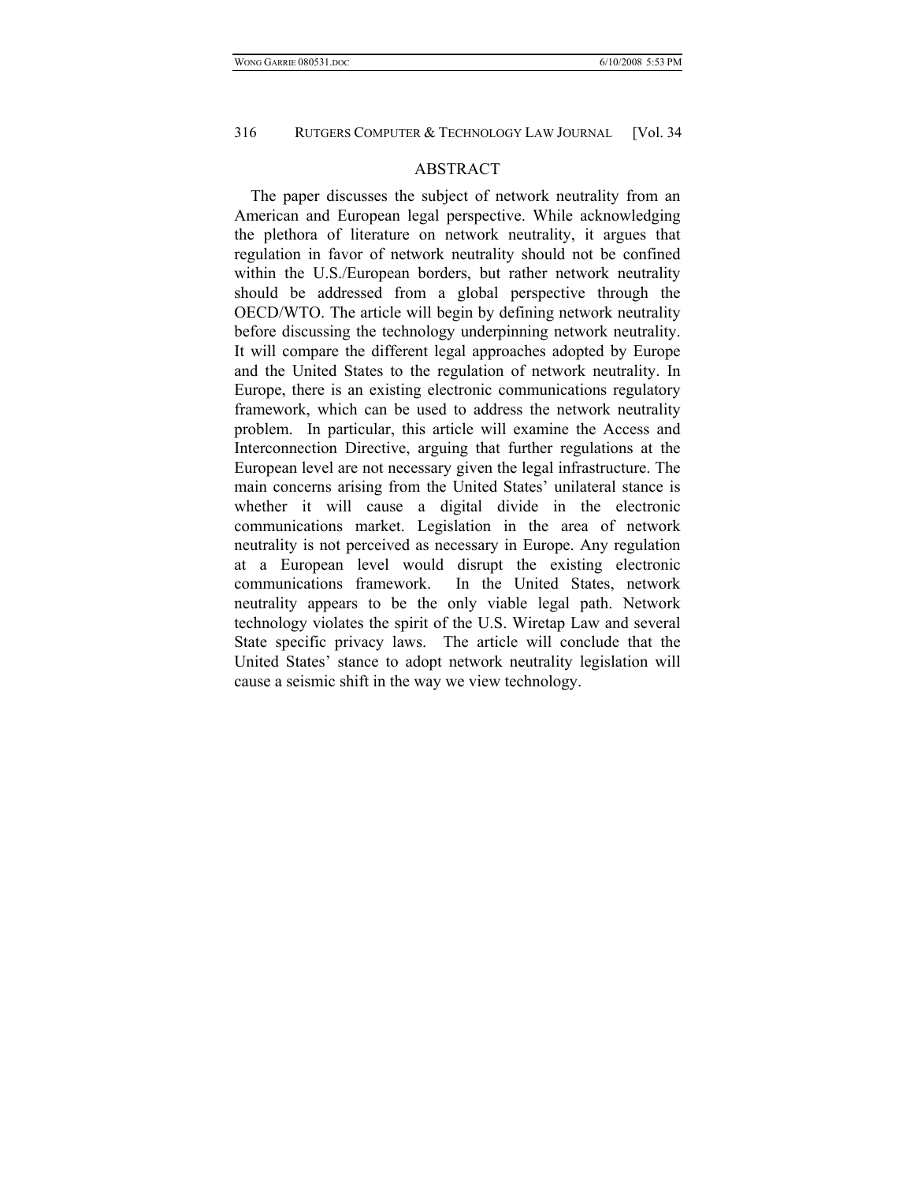#### ABSTRACT

The paper discusses the subject of network neutrality from an American and European legal perspective. While acknowledging the plethora of literature on network neutrality, it argues that regulation in favor of network neutrality should not be confined within the U.S./European borders, but rather network neutrality should be addressed from a global perspective through the OECD/WTO. The article will begin by defining network neutrality before discussing the technology underpinning network neutrality. It will compare the different legal approaches adopted by Europe and the United States to the regulation of network neutrality. In Europe, there is an existing electronic communications regulatory framework, which can be used to address the network neutrality problem. In particular, this article will examine the Access and Interconnection Directive, arguing that further regulations at the European level are not necessary given the legal infrastructure. The main concerns arising from the United States' unilateral stance is whether it will cause a digital divide in the electronic communications market. Legislation in the area of network neutrality is not perceived as necessary in Europe. Any regulation at a European level would disrupt the existing electronic communications framework. In the United States, network neutrality appears to be the only viable legal path. Network technology violates the spirit of the U.S. Wiretap Law and several State specific privacy laws. The article will conclude that the United States' stance to adopt network neutrality legislation will cause a seismic shift in the way we view technology.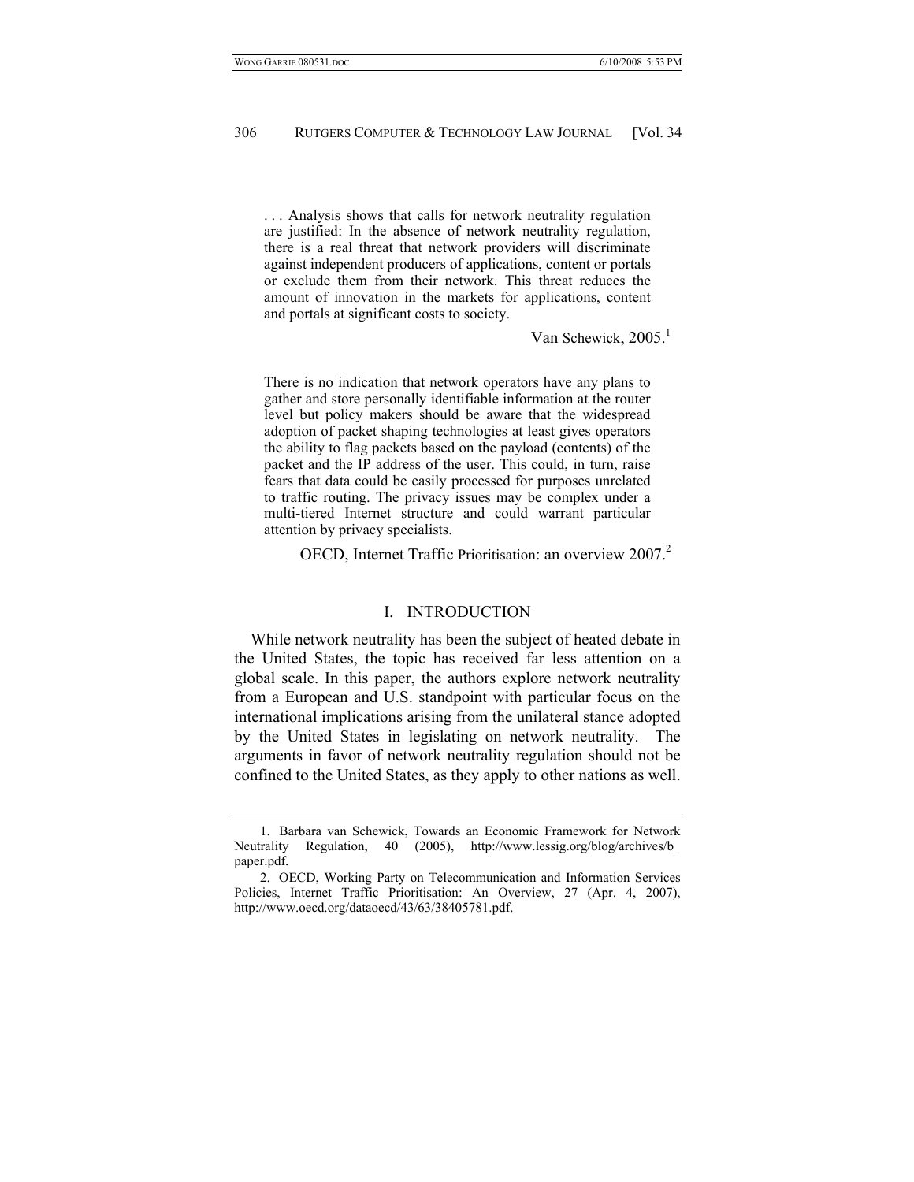. . . Analysis shows that calls for network neutrality regulation are justified: In the absence of network neutrality regulation, there is a real threat that network providers will discriminate against independent producers of applications, content or portals or exclude them from their network. This threat reduces the amount of innovation in the markets for applications, content and portals at significant costs to society.

Van Schewick, 2005.<sup>1</sup>

There is no indication that network operators have any plans to gather and store personally identifiable information at the router level but policy makers should be aware that the widespread adoption of packet shaping technologies at least gives operators the ability to flag packets based on the payload (contents) of the packet and the IP address of the user. This could, in turn, raise fears that data could be easily processed for purposes unrelated to traffic routing. The privacy issues may be complex under a multi-tiered Internet structure and could warrant particular attention by privacy specialists.

OECD, Internet Traffic Prioritisation: an overview 2007.<sup>2</sup>

#### I. INTRODUCTION

While network neutrality has been the subject of heated debate in the United States, the topic has received far less attention on a global scale. In this paper, the authors explore network neutrality from a European and U.S. standpoint with particular focus on the international implications arising from the unilateral stance adopted by the United States in legislating on network neutrality. The arguments in favor of network neutrality regulation should not be confined to the United States, as they apply to other nations as well.

 <sup>1.</sup> Barbara van Schewick, Towards an Economic Framework for Network Neutrality Regulation, 40 (2005), http://www.lessig.org/blog/archives/b\_ paper.pdf.

 <sup>2.</sup> OECD, Working Party on Telecommunication and Information Services Policies, Internet Traffic Prioritisation: An Overview, 27 (Apr. 4, 2007), http://www.oecd.org/dataoecd/43/63/38405781.pdf.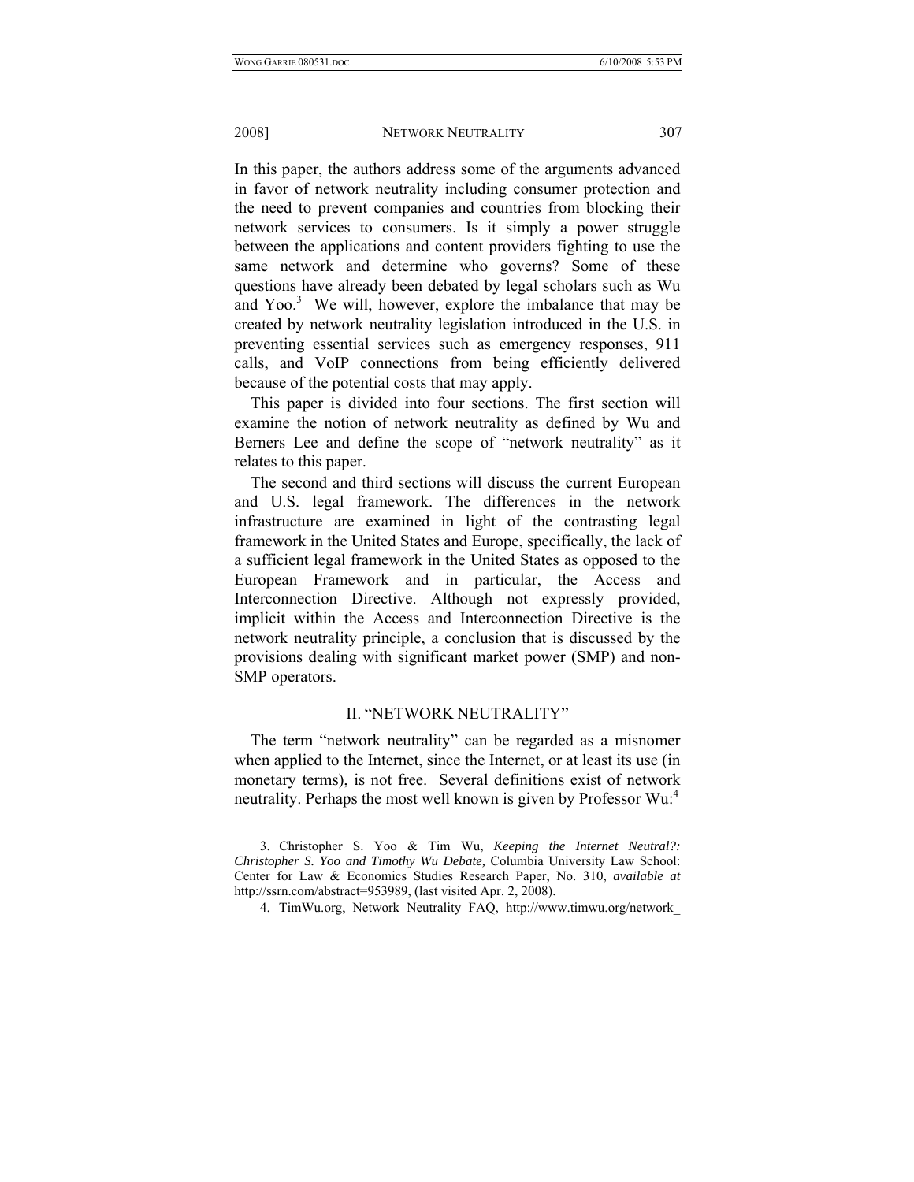In this paper, the authors address some of the arguments advanced in favor of network neutrality including consumer protection and the need to prevent companies and countries from blocking their network services to consumers. Is it simply a power struggle between the applications and content providers fighting to use the same network and determine who governs? Some of these questions have already been debated by legal scholars such as Wu and Yoo.<sup>3</sup> We will, however, explore the imbalance that may be created by network neutrality legislation introduced in the U.S. in preventing essential services such as emergency responses, 911 calls, and VoIP connections from being efficiently delivered because of the potential costs that may apply.

This paper is divided into four sections. The first section will examine the notion of network neutrality as defined by Wu and Berners Lee and define the scope of "network neutrality" as it relates to this paper.

The second and third sections will discuss the current European and U.S. legal framework. The differences in the network infrastructure are examined in light of the contrasting legal framework in the United States and Europe, specifically, the lack of a sufficient legal framework in the United States as opposed to the European Framework and in particular, the Access and Interconnection Directive. Although not expressly provided, implicit within the Access and Interconnection Directive is the network neutrality principle, a conclusion that is discussed by the provisions dealing with significant market power (SMP) and non-SMP operators.

# II. "NETWORK NEUTRALITY"

The term "network neutrality" can be regarded as a misnomer when applied to the Internet, since the Internet, or at least its use (in monetary terms), is not free. Several definitions exist of network neutrality. Perhaps the most well known is given by Professor Wu:<sup>4</sup>

 <sup>3.</sup> Christopher S. Yoo & Tim Wu, *Keeping the Internet Neutral?: Christopher S. Yoo and Timothy Wu Debate,* Columbia University Law School: Center for Law & Economics Studies Research Paper, No. 310, *available at*  http://ssrn.com/abstract=953989, (last visited Apr. 2, 2008).

 <sup>4.</sup> TimWu.org, Network Neutrality FAQ, http://www.timwu.org/network\_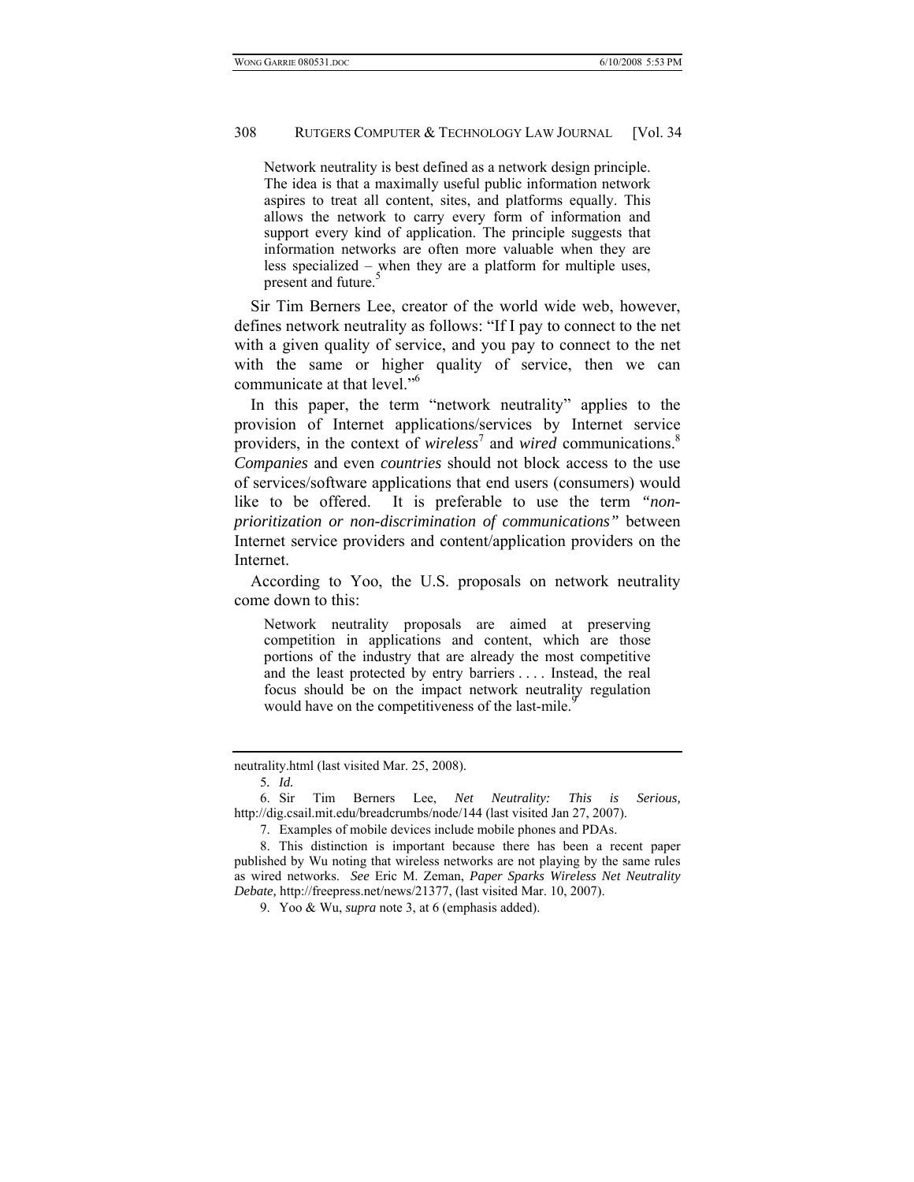Network neutrality is best defined as a network design principle. The idea is that a maximally useful public information network aspires to treat all content, sites, and platforms equally. This allows the network to carry every form of information and support every kind of application. The principle suggests that information networks are often more valuable when they are less specialized – when they are a platform for multiple uses, present and future.<sup>5</sup>

Sir Tim Berners Lee, creator of the world wide web, however, defines network neutrality as follows: "If I pay to connect to the net with a given quality of service, and you pay to connect to the net with the same or higher quality of service, then we can communicate at that level."6

In this paper, the term "network neutrality" applies to the provision of Internet applications/services by Internet service providers, in the context of *wireless*<sup>7</sup> and *wired* communications.<sup>8</sup> *Companies* and even *countries* should not block access to the use of services/software applications that end users (consumers) would like to be offered. It is preferable to use the term *"nonprioritization or non-discrimination of communications"* between Internet service providers and content/application providers on the Internet.

According to Yoo, the U.S. proposals on network neutrality come down to this:

Network neutrality proposals are aimed at preserving competition in applications and content, which are those portions of the industry that are already the most competitive and the least protected by entry barriers . . . . Instead, the real focus should be on the impact network neutrality regulation would have on the competitiveness of the last-mile.<sup>9</sup>

neutrality.html (last visited Mar. 25, 2008).

<sup>5</sup>*. Id.*

 <sup>6.</sup> Sir Tim Berners Lee, *Net Neutrality: This is Serious,* http://dig.csail.mit.edu/breadcrumbs/node/144 (last visited Jan 27, 2007).

 <sup>7.</sup> Examples of mobile devices include mobile phones and PDAs.

 <sup>8.</sup> This distinction is important because there has been a recent paper published by Wu noting that wireless networks are not playing by the same rules as wired networks. *See* Eric M. Zeman, *Paper Sparks Wireless Net Neutrality Debate,* http://freepress.net/news/21377, (last visited Mar. 10, 2007).

 <sup>9.</sup> Yoo & Wu, *supra* note 3, at 6 (emphasis added).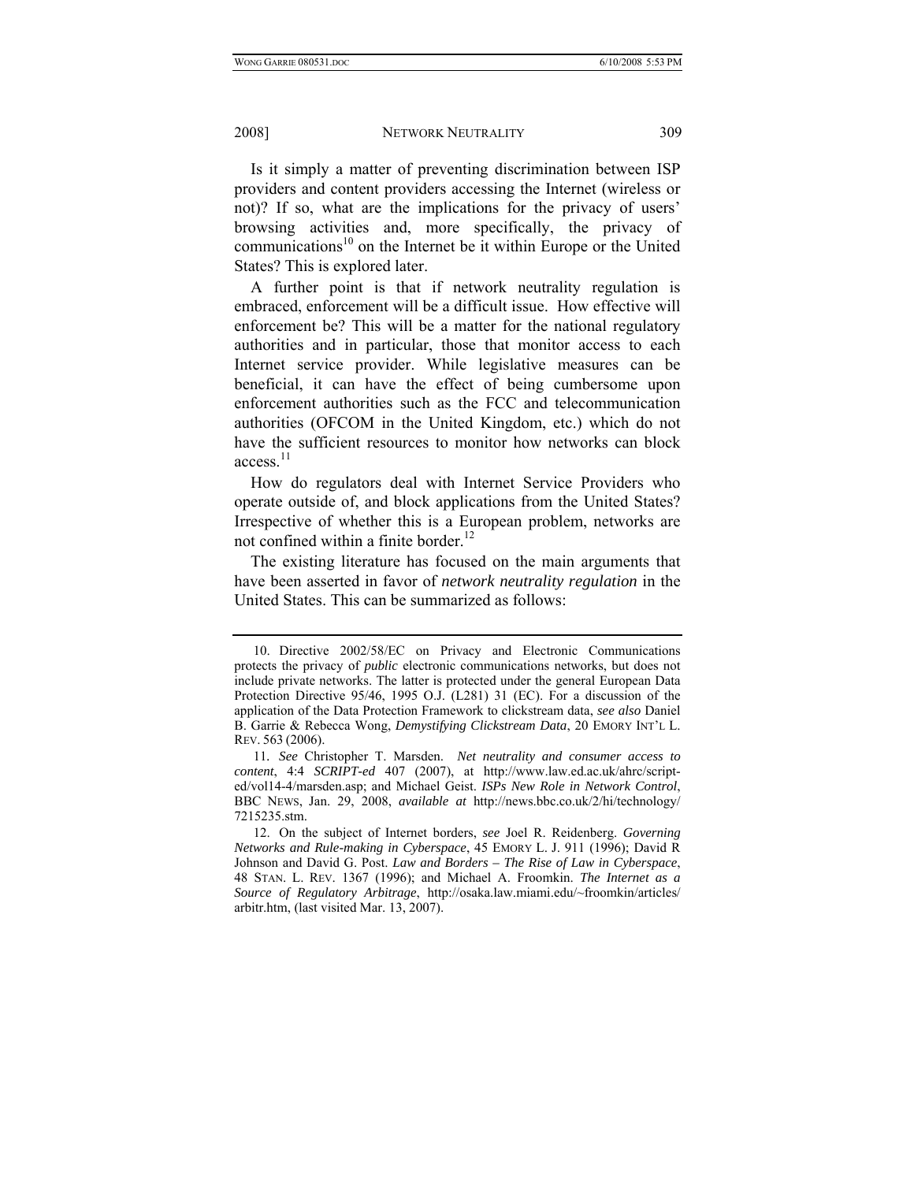Is it simply a matter of preventing discrimination between ISP providers and content providers accessing the Internet (wireless or not)? If so, what are the implications for the privacy of users' browsing activities and, more specifically, the privacy of communications<sup>10</sup> on the Internet be it within Europe or the United States? This is explored later.

A further point is that if network neutrality regulation is embraced, enforcement will be a difficult issue. How effective will enforcement be? This will be a matter for the national regulatory authorities and in particular, those that monitor access to each Internet service provider. While legislative measures can be beneficial, it can have the effect of being cumbersome upon enforcement authorities such as the FCC and telecommunication authorities (OFCOM in the United Kingdom, etc.) which do not have the sufficient resources to monitor how networks can block  $access.<sup>11</sup>$ 

How do regulators deal with Internet Service Providers who operate outside of, and block applications from the United States? Irrespective of whether this is a European problem, networks are not confined within a finite border. $^{12}$ 

The existing literature has focused on the main arguments that have been asserted in favor of *network neutrality regulation* in the United States. This can be summarized as follows:

 <sup>10.</sup> Directive 2002/58/EC on Privacy and Electronic Communications protects the privacy of *public* electronic communications networks, but does not include private networks. The latter is protected under the general European Data Protection Directive 95/46, 1995 O.J. (L281) 31 (EC). For a discussion of the application of the Data Protection Framework to clickstream data, *see also* Daniel B. Garrie & Rebecca Wong, *Demystifying Clickstream Data*, 20 EMORY INT'L L. REV. 563 (2006).

<sup>11</sup>*. See* Christopher T. Marsden. *Net neutrality and consumer access to content*, 4:4 *SCRIPT-ed* 407 (2007), at http://www.law.ed.ac.uk/ahrc/scripted/vol14-4/marsden.asp; and Michael Geist. *ISPs New Role in Network Control*, BBC NEWS, Jan. 29, 2008, *available at* http://news.bbc.co.uk/2/hi/technology/ 7215235.stm.

 <sup>12.</sup> On the subject of Internet borders, *see* Joel R. Reidenberg. *Governing Networks and Rule-making in Cyberspace*, 45 EMORY L. J. 911 (1996); David R Johnson and David G. Post. *Law and Borders – The Rise of Law in Cyberspace*, 48 STAN. L. REV. 1367 (1996); and Michael A. Froomkin. *The Internet as a Source of Regulatory Arbitrage*, http://osaka.law.miami.edu/~froomkin/articles/ arbitr.htm, (last visited Mar. 13, 2007).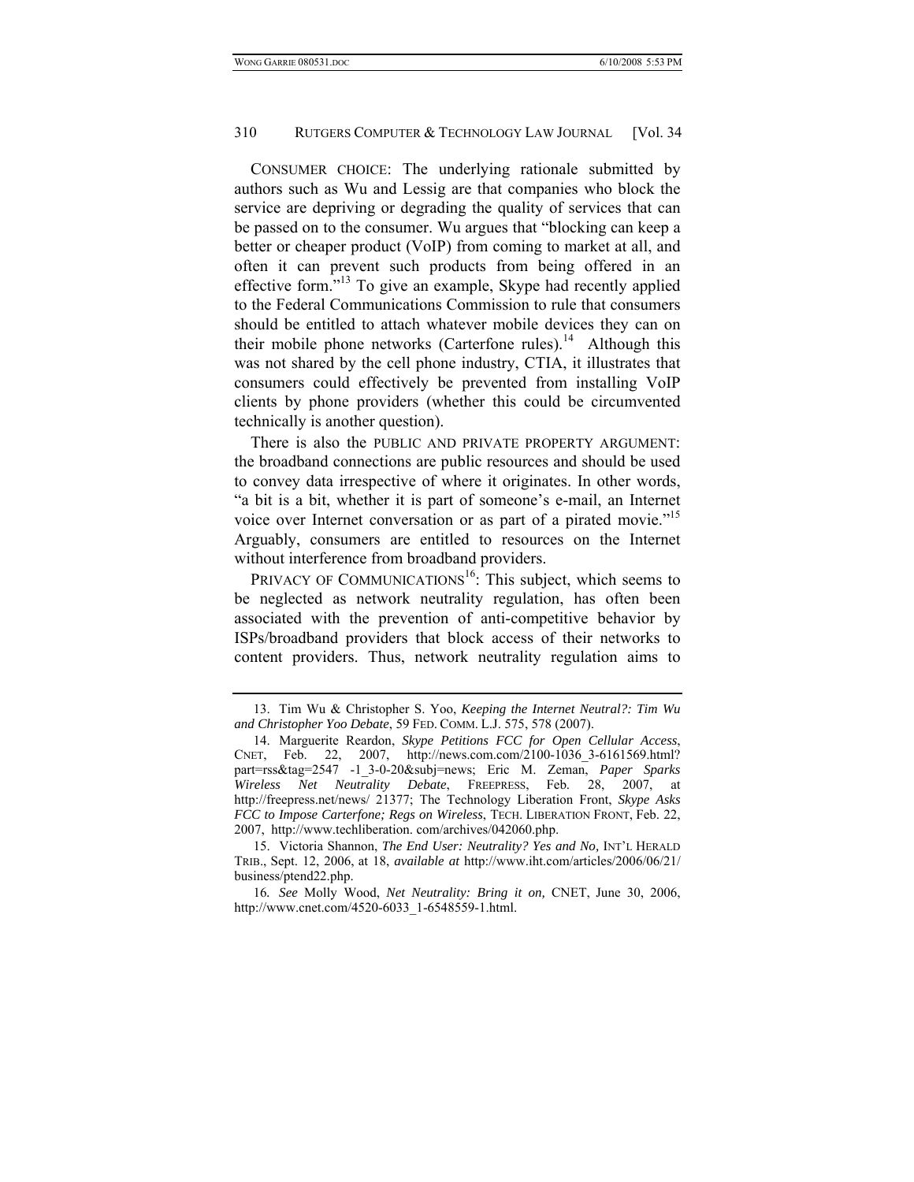CONSUMER CHOICE: The underlying rationale submitted by authors such as Wu and Lessig are that companies who block the service are depriving or degrading the quality of services that can be passed on to the consumer. Wu argues that "blocking can keep a better or cheaper product (VoIP) from coming to market at all, and often it can prevent such products from being offered in an effective form."<sup>13</sup> To give an example, Skype had recently applied to the Federal Communications Commission to rule that consumers should be entitled to attach whatever mobile devices they can on their mobile phone networks (Carterfone rules).<sup>14</sup> Although this was not shared by the cell phone industry, CTIA, it illustrates that consumers could effectively be prevented from installing VoIP clients by phone providers (whether this could be circumvented technically is another question).

There is also the PUBLIC AND PRIVATE PROPERTY ARGUMENT: the broadband connections are public resources and should be used to convey data irrespective of where it originates. In other words, "a bit is a bit, whether it is part of someone's e-mail, an Internet voice over Internet conversation or as part of a pirated movie."<sup>15</sup> Arguably, consumers are entitled to resources on the Internet without interference from broadband providers.

PRIVACY OF COMMUNICATIONS<sup>16</sup>: This subject, which seems to be neglected as network neutrality regulation, has often been associated with the prevention of anti-competitive behavior by ISPs/broadband providers that block access of their networks to content providers. Thus, network neutrality regulation aims to

 <sup>13.</sup> Tim Wu & Christopher S. Yoo, *Keeping the Internet Neutral?: Tim Wu and Christopher Yoo Debate*, 59 FED. COMM. L.J. 575, 578 (2007).

 <sup>14.</sup> Marguerite Reardon, *Skype Petitions FCC for Open Cellular Access*, CNET, Feb. 22, 2007, http://news.com.com/2100-1036\_3-6161569.html? part=rss&tag=2547 -1\_3-0-20&subj=news; Eric M. Zeman, *Paper Sparks Wireless Net Neutrality Debate*, FREEPRESS, Feb. 28, 2007, at http://freepress.net/news/ 21377; The Technology Liberation Front, *Skype Asks FCC to Impose Carterfone; Regs on Wireless*, TECH. LIBERATION FRONT, Feb. 22, 2007, http://www.techliberation. com/archives/042060.php.

 <sup>15.</sup> Victoria Shannon, *The End User: Neutrality? Yes and No,* INT'L HERALD TRIB., Sept. 12, 2006, at 18, *available at* http://www.iht.com/articles/2006/06/21/ business/ptend22.php.

<sup>16</sup>*. See* Molly Wood, *Net Neutrality: Bring it on,* CNET, June 30, 2006, http://www.cnet.com/4520-6033\_1-6548559-1.html.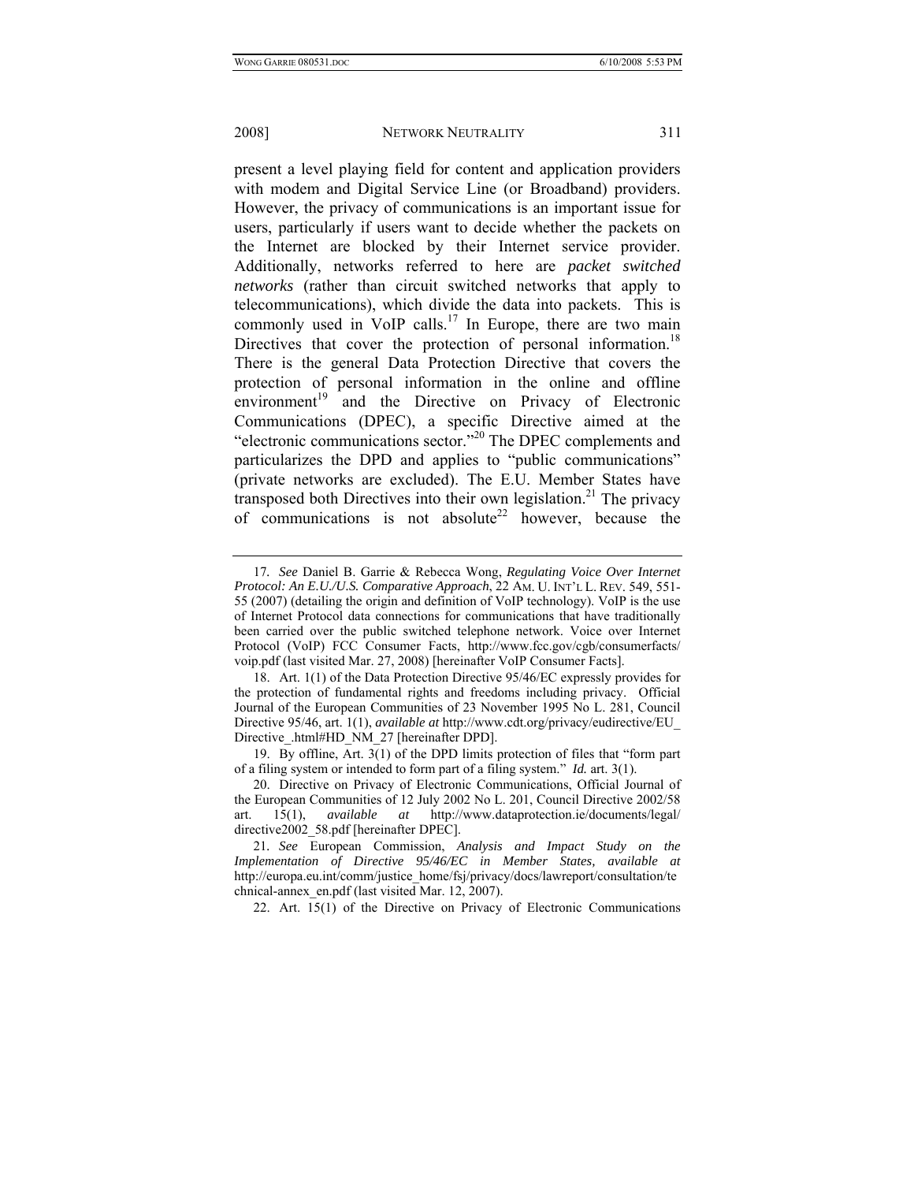present a level playing field for content and application providers with modem and Digital Service Line (or Broadband) providers. However, the privacy of communications is an important issue for users, particularly if users want to decide whether the packets on the Internet are blocked by their Internet service provider. Additionally, networks referred to here are *packet switched networks* (rather than circuit switched networks that apply to telecommunications), which divide the data into packets. This is commonly used in VoIP calls.<sup>17</sup> In Europe, there are two main Directives that cover the protection of personal information.<sup>18</sup> There is the general Data Protection Directive that covers the protection of personal information in the online and offline environment<sup>19</sup> and the Directive on Privacy of Electronic Communications (DPEC), a specific Directive aimed at the "electronic communications sector."20 The DPEC complements and particularizes the DPD and applies to "public communications" (private networks are excluded). The E.U. Member States have transposed both Directives into their own legislation.<sup>21</sup> The privacy of communications is not absolute<sup>22</sup> however, because the

 19. By offline, Art. 3(1) of the DPD limits protection of files that "form part of a filing system or intended to form part of a filing system." *Id.* art. 3(1).

22. Art. 15(1) of the Directive on Privacy of Electronic Communications

<sup>17</sup>*. See* Daniel B. Garrie & Rebecca Wong, *Regulating Voice Over Internet Protocol: An E.U./U.S. Comparative Approach*, 22 AM. U. INT'L L. REV. 549, 551- 55 (2007) (detailing the origin and definition of VoIP technology). VoIP is the use of Internet Protocol data connections for communications that have traditionally been carried over the public switched telephone network. Voice over Internet Protocol (VoIP) FCC Consumer Facts, http://www.fcc.gov/cgb/consumerfacts/ voip.pdf (last visited Mar. 27, 2008) [hereinafter VoIP Consumer Facts].

 <sup>18.</sup> Art. 1(1) of the Data Protection Directive 95/46/EC expressly provides for the protection of fundamental rights and freedoms including privacy. Official Journal of the European Communities of 23 November 1995 No L. 281, Council Directive 95/46, art. 1(1), *available at* http://www.cdt.org/privacy/eudirective/EU\_ Directive\_.html#HD\_NM\_27 [hereinafter DPD].

 <sup>20.</sup> Directive on Privacy of Electronic Communications, Official Journal of the European Communities of 12 July 2002 No L. 201, Council Directive 2002/58 art. 15(1), *available at* http://www.dataprotection.ie/documents/legal/ directive2002\_58.pdf [hereinafter DPEC].

<sup>21</sup>*. See* European Commission, *Analysis and Impact Study on the Implementation of Directive 95/46/EC in Member States, available at* http://europa.eu.int/comm/justice\_home/fsj/privacy/docs/lawreport/consultation/te chnical-annex\_en.pdf (last visited Mar. 12, 2007).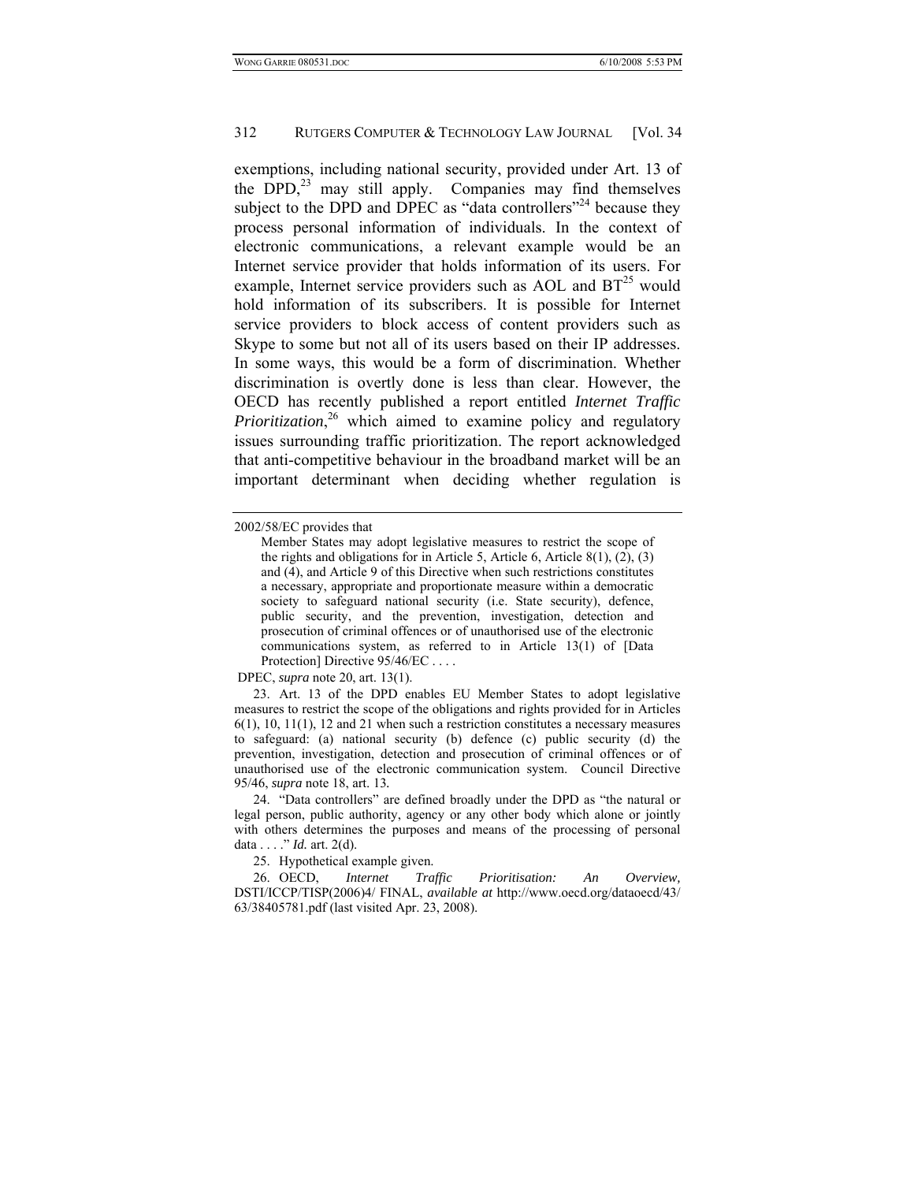exemptions, including national security, provided under Art. 13 of the DPD, $^{23}$  may still apply. Companies may find themselves subject to the DPD and DPEC as "data controllers"<sup>24</sup> because they process personal information of individuals. In the context of electronic communications, a relevant example would be an Internet service provider that holds information of its users. For example, Internet service providers such as AOL and  $BT^{25}$  would hold information of its subscribers. It is possible for Internet service providers to block access of content providers such as Skype to some but not all of its users based on their IP addresses. In some ways, this would be a form of discrimination. Whether discrimination is overtly done is less than clear. However, the OECD has recently published a report entitled *Internet Traffic*  Prioritization,<sup>26</sup> which aimed to examine policy and regulatory issues surrounding traffic prioritization. The report acknowledged that anti-competitive behaviour in the broadband market will be an important determinant when deciding whether regulation is

DPEC, *supra* note 20, art. 13(1).

 23. Art. 13 of the DPD enables EU Member States to adopt legislative measures to restrict the scope of the obligations and rights provided for in Articles  $6(1)$ ,  $10$ ,  $11(1)$ ,  $12$  and  $21$  when such a restriction constitutes a necessary measures to safeguard: (a) national security (b) defence (c) public security (d) the prevention, investigation, detection and prosecution of criminal offences or of unauthorised use of the electronic communication system. Council Directive 95/46, *supra* note 18, art. 13*.*

 24. "Data controllers" are defined broadly under the DPD as "the natural or legal person, public authority, agency or any other body which alone or jointly with others determines the purposes and means of the processing of personal data . . . ." *Id.* art. 2(d).

25. Hypothetical example given.

 26. OECD, *Internet Traffic Prioritisation: An Overview,* DSTI/ICCP/TISP(2006)4/ FINAL, *available at* http://www.oecd.org/dataoecd/43/ 63/38405781.pdf (last visited Apr. 23, 2008).

<sup>2002/58/</sup>EC provides that

Member States may adopt legislative measures to restrict the scope of the rights and obligations for in Article 5, Article 6, Article 8(1),  $(2)$ ,  $(3)$ and (4), and Article 9 of this Directive when such restrictions constitutes a necessary, appropriate and proportionate measure within a democratic society to safeguard national security (i.e. State security), defence, public security, and the prevention, investigation, detection and prosecution of criminal offences or of unauthorised use of the electronic communications system, as referred to in Article 13(1) of [Data Protection] Directive  $95/46/EC$  ...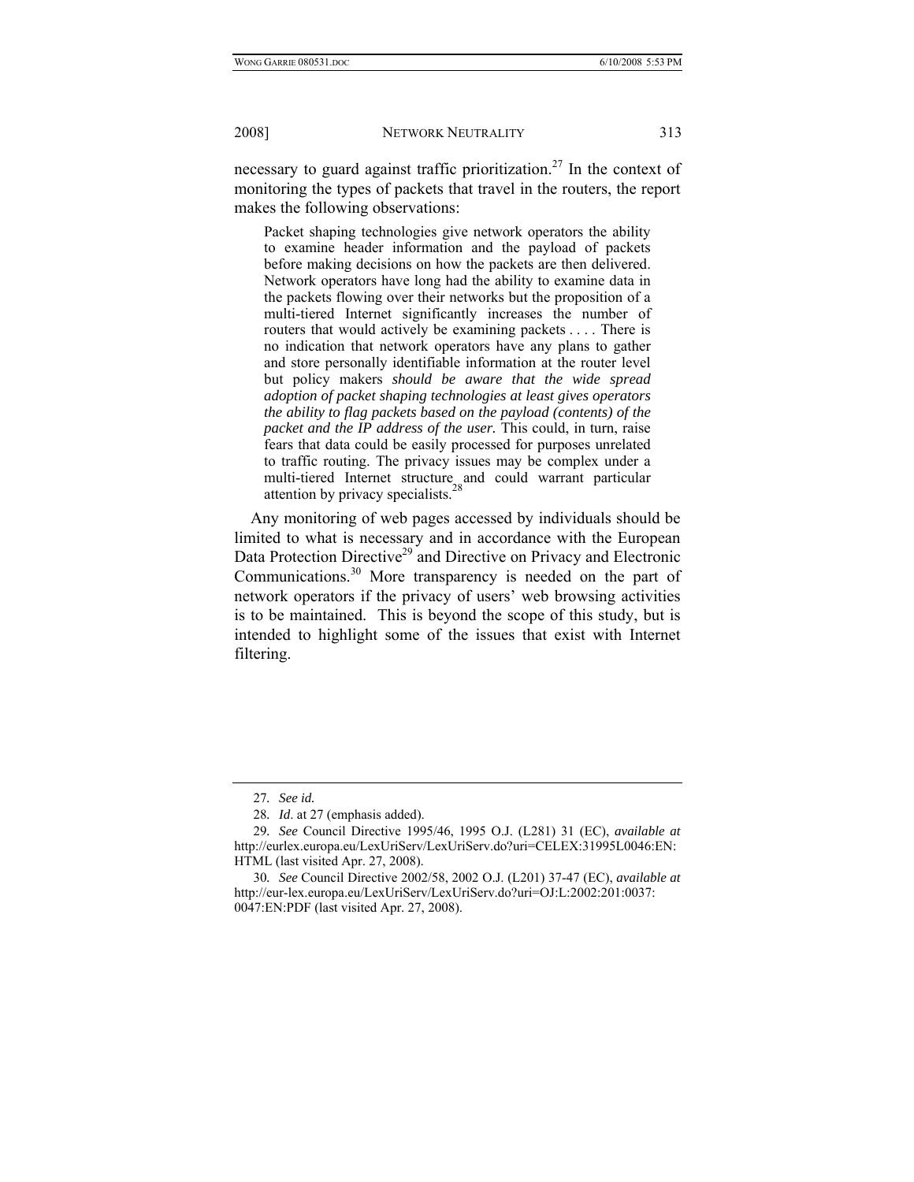necessary to guard against traffic prioritization.<sup>27</sup> In the context of monitoring the types of packets that travel in the routers, the report makes the following observations:

Packet shaping technologies give network operators the ability to examine header information and the payload of packets before making decisions on how the packets are then delivered. Network operators have long had the ability to examine data in the packets flowing over their networks but the proposition of a multi-tiered Internet significantly increases the number of routers that would actively be examining packets . . . . There is no indication that network operators have any plans to gather and store personally identifiable information at the router level but policy makers *should be aware that the wide spread adoption of packet shaping technologies at least gives operators the ability to flag packets based on the payload (contents) of the packet and the IP address of the user.* This could, in turn, raise fears that data could be easily processed for purposes unrelated to traffic routing. The privacy issues may be complex under a multi-tiered Internet structure and could warrant particular attention by privacy specialists. $<sup>2</sup>$ </sup>

Any monitoring of web pages accessed by individuals should be limited to what is necessary and in accordance with the European Data Protection Directive<sup>29</sup> and Directive on Privacy and Electronic Communications.30 More transparency is needed on the part of network operators if the privacy of users' web browsing activities is to be maintained. This is beyond the scope of this study, but is intended to highlight some of the issues that exist with Internet filtering.

<sup>27</sup>*. See id.*

<sup>28</sup>*. Id*. at 27 (emphasis added).

<sup>29</sup>*. See* Council Directive 1995/46, 1995 O.J. (L281) 31 (EC), *available at*  http://eurlex.europa.eu/LexUriServ/LexUriServ.do?uri=CELEX:31995L0046:EN: HTML (last visited Apr. 27, 2008).

<sup>30</sup>*. See* Council Directive 2002/58, 2002 O.J. (L201) 37-47 (EC), *available at*  http://eur-lex.europa.eu/LexUriServ/LexUriServ.do?uri=OJ:L:2002:201:0037: 0047:EN:PDF (last visited Apr. 27, 2008).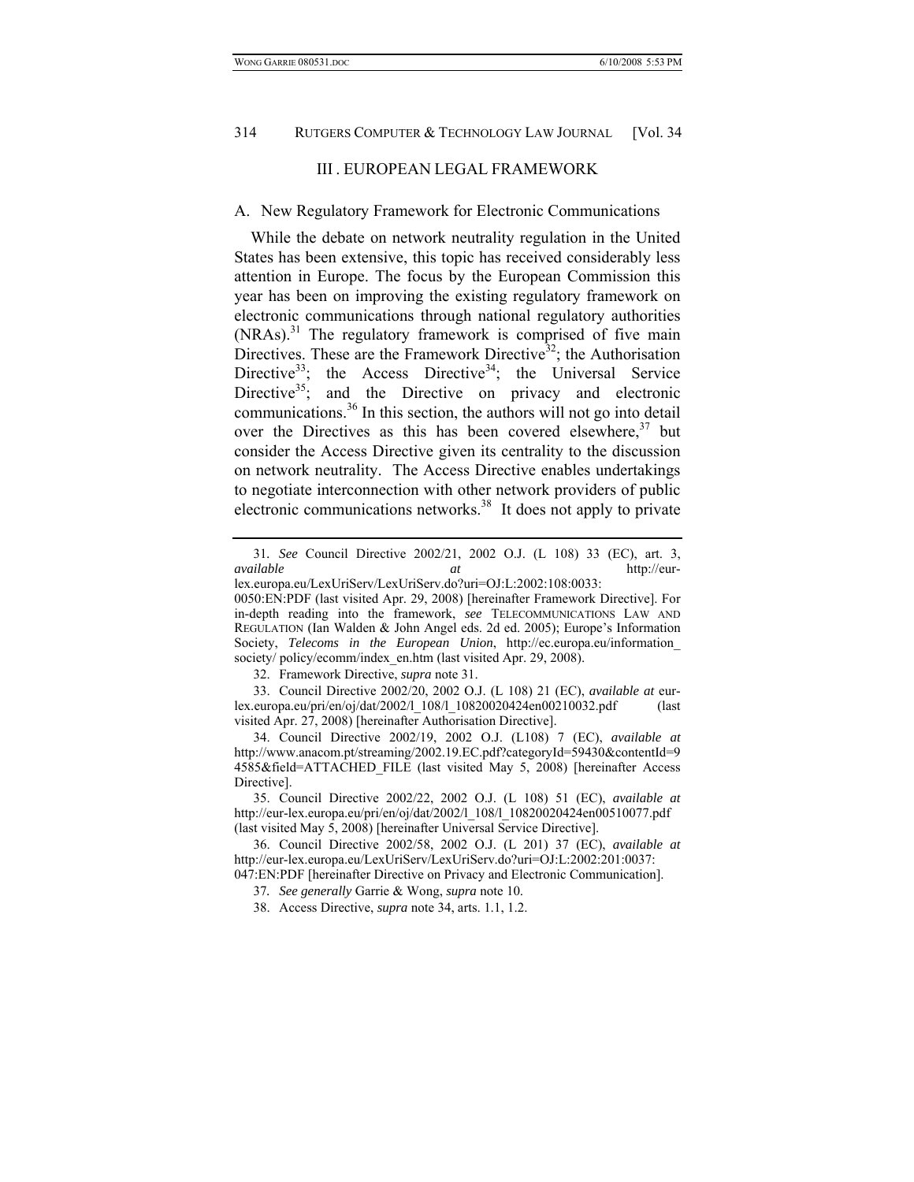## III . EUROPEAN LEGAL FRAMEWORK

## A. New Regulatory Framework for Electronic Communications

While the debate on network neutrality regulation in the United States has been extensive, this topic has received considerably less attention in Europe. The focus by the European Commission this year has been on improving the existing regulatory framework on electronic communications through national regulatory authorities  $(NRAs)<sup>31</sup>$  The regulatory framework is comprised of five main Directives. These are the Framework Directive<sup>32</sup>; the Authorisation Directive<sup>33</sup>; the Access Directive<sup>34</sup>; the Universal Service Directive $35$ ; and the Directive on privacy and electronic communications.36 In this section, the authors will not go into detail over the Directives as this has been covered elsewhere,  $37$  but consider the Access Directive given its centrality to the discussion on network neutrality. The Access Directive enables undertakings to negotiate interconnection with other network providers of public electronic communications networks.<sup>38</sup> It does not apply to private

32. Framework Directive, *supra* note 31.

 33. Council Directive 2002/20, 2002 O.J. (L 108) 21 (EC), *available at* eurlex.europa.eu/pri/en/oj/dat/2002/l\_108/l\_10820020424en00210032.pdf (last visited Apr. 27, 2008) [hereinafter Authorisation Directive].

 34. Council Directive 2002/19, 2002 O.J. (L108) 7 (EC), *available at*  http://www.anacom.pt/streaming/2002.19.EC.pdf?categoryId=59430&contentId=9 4585&field=ATTACHED\_FILE (last visited May 5, 2008) [hereinafter Access Directive].

<sup>31</sup>*. See* Council Directive 2002/21, 2002 O.J. (L 108) 33 (EC), art. 3, *available at* http://eurlex.europa.eu/LexUriServ/LexUriServ.do?uri=OJ:L:2002:108:0033:

<sup>0050:</sup>EN:PDF (last visited Apr. 29, 2008) [hereinafter Framework Directive]. For in-depth reading into the framework, *see* TELECOMMUNICATIONS LAW AND REGULATION (Ian Walden & John Angel eds. 2d ed. 2005); Europe's Information Society, *Telecoms in the European Union*, http://ec.europa.eu/information\_ society/ policy/ecomm/index\_en.htm (last visited Apr. 29, 2008).

 <sup>35.</sup> Council Directive 2002/22, 2002 O.J. (L 108) 51 (EC), *available at*  http://eur-lex.europa.eu/pri/en/oj/dat/2002/l\_108/l\_10820020424en00510077.pdf (last visited May 5, 2008) [hereinafter Universal Service Directive].

 <sup>36.</sup> Council Directive 2002/58, 2002 O.J. (L 201) 37 (EC), *available at*  http://eur-lex.europa.eu/LexUriServ/LexUriServ.do?uri=OJ:L:2002:201:0037: 047:EN:PDF [hereinafter Directive on Privacy and Electronic Communication].

<sup>37</sup>*. See generally* Garrie & Wong, *supra* note 10.

 <sup>38.</sup> Access Directive, *supra* note 34, arts. 1.1, 1.2.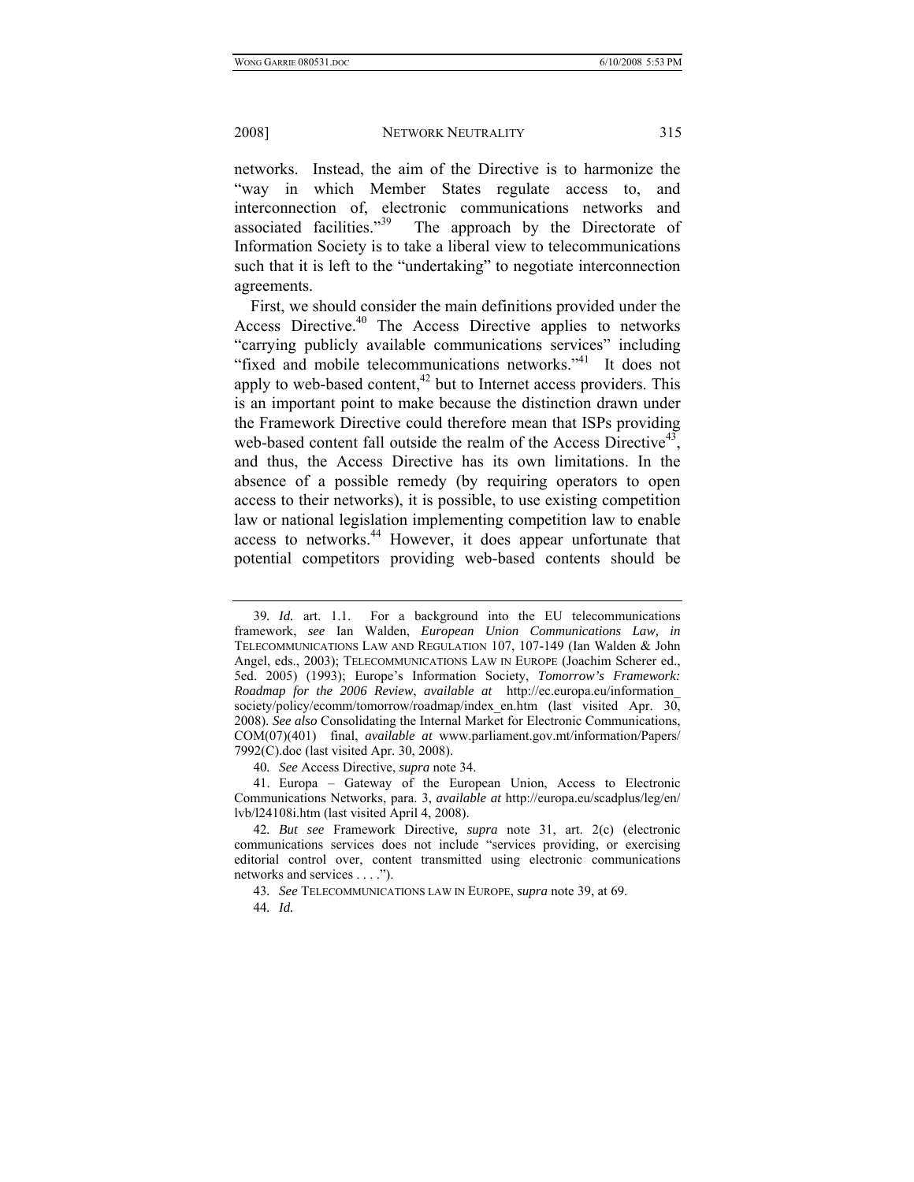networks. Instead, the aim of the Directive is to harmonize the "way in which Member States regulate access to, and interconnection of, electronic communications networks and associated facilities."<sup>39</sup> The approach by the Directorate of Information Society is to take a liberal view to telecommunications such that it is left to the "undertaking" to negotiate interconnection agreements.

First, we should consider the main definitions provided under the Access Directive.<sup>40</sup> The Access Directive applies to networks "carrying publicly available communications services" including "fixed and mobile telecommunications networks."<sup>41</sup> It does not apply to web-based content, $42$  but to Internet access providers. This is an important point to make because the distinction drawn under the Framework Directive could therefore mean that ISPs providing web-based content fall outside the realm of the Access Directive<sup>43</sup>, and thus, the Access Directive has its own limitations. In the absence of a possible remedy (by requiring operators to open access to their networks), it is possible, to use existing competition law or national legislation implementing competition law to enable access to networks.<sup>44</sup> However, it does appear unfortunate that potential competitors providing web-based contents should be

40*. See* Access Directive, *supra* note 34.

 41. Europa – Gateway of the European Union, Access to Electronic Communications Networks, para. 3, *available at* http://europa.eu/scadplus/leg/en/ lvb/l24108i.htm (last visited April 4, 2008).

43*. See* TELECOMMUNICATIONS LAW IN EUROPE, *supra* note 39, at 69.

<sup>39</sup>*. Id.* art. 1.1. For a background into the EU telecommunications framework, *see* Ian Walden, *European Union Communications Law, in* TELECOMMUNICATIONS LAW AND REGULATION 107, 107-149 (Ian Walden & John Angel, eds., 2003); TELECOMMUNICATIONS LAW IN EUROPE (Joachim Scherer ed., 5ed. 2005) (1993); Europe's Information Society, *Tomorrow's Framework: Roadmap for the 2006 Review*, *available at* http://ec.europa.eu/information\_ society/policy/ecomm/tomorrow/roadmap/index\_en.htm (last visited Apr. 30, 2008). *See also* Consolidating the Internal Market for Electronic Communications, COM(07)(401) final, *available at* www.parliament.gov.mt/information/Papers/ 7992(C).doc (last visited Apr. 30, 2008).

<sup>42</sup>*. But see* Framework Directive*, supra* note 31, art. 2(c) (electronic communications services does not include "services providing, or exercising editorial control over, content transmitted using electronic communications networks and services . . . .").

<sup>44</sup>*. Id.*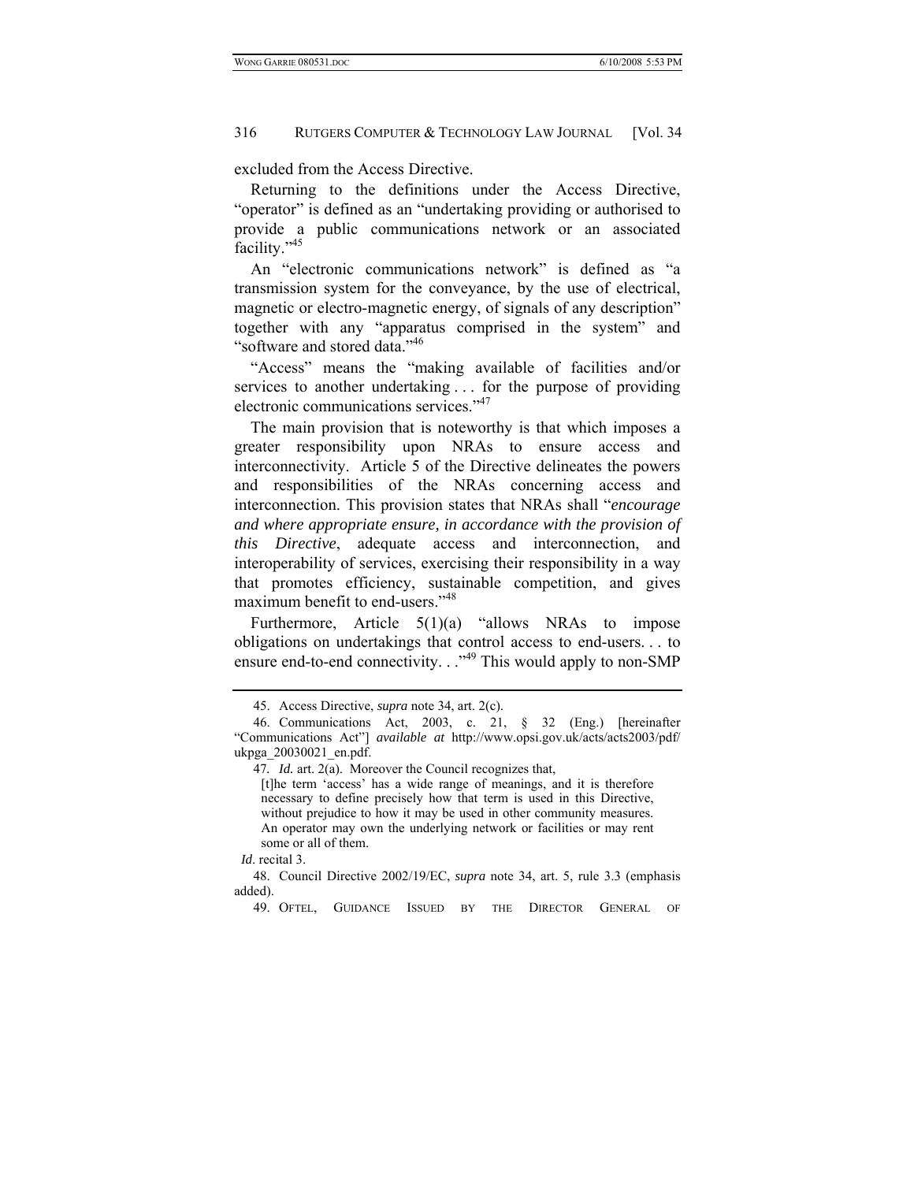excluded from the Access Directive.

Returning to the definitions under the Access Directive, "operator" is defined as an "undertaking providing or authorised to provide a public communications network or an associated facility."45

An "electronic communications network" is defined as "a transmission system for the conveyance, by the use of electrical, magnetic or electro-magnetic energy, of signals of any description" together with any "apparatus comprised in the system" and "software and stored data."46

"Access" means the "making available of facilities and/or services to another undertaking . . . for the purpose of providing electronic communications services."<sup>47</sup>

The main provision that is noteworthy is that which imposes a greater responsibility upon NRAs to ensure access and interconnectivity. Article 5 of the Directive delineates the powers and responsibilities of the NRAs concerning access and interconnection. This provision states that NRAs shall "*encourage and where appropriate ensure, in accordance with the provision of this Directive*, adequate access and interconnection, and interoperability of services, exercising their responsibility in a way that promotes efficiency, sustainable competition, and gives maximum benefit to end-users."<sup>48</sup>

Furthermore, Article 5(1)(a) "allows NRAs to impose obligations on undertakings that control access to end-users. . . to ensure end-to-end connectivity. . . "<sup>49</sup> This would apply to non-SMP

*Id*. recital 3.

49. OFTEL, GUIDANCE ISSUED BY THE DIRECTOR GENERAL OF

 <sup>45.</sup> Access Directive, *supra* note 34, art. 2(c).

 <sup>46.</sup> Communications Act, 2003, c. 21, § 32 (Eng.) [hereinafter "Communications Act"] *available at* http://www.opsi.gov.uk/acts/acts2003/pdf/ ukpga\_20030021\_en.pdf.

<sup>47</sup>*. Id.* art. 2(a). Moreover the Council recognizes that,

<sup>[</sup>t]he term 'access' has a wide range of meanings, and it is therefore necessary to define precisely how that term is used in this Directive, without prejudice to how it may be used in other community measures. An operator may own the underlying network or facilities or may rent some or all of them.

 <sup>48.</sup> Council Directive 2002/19/EC, *supra* note 34, art. 5, rule 3.3 (emphasis added).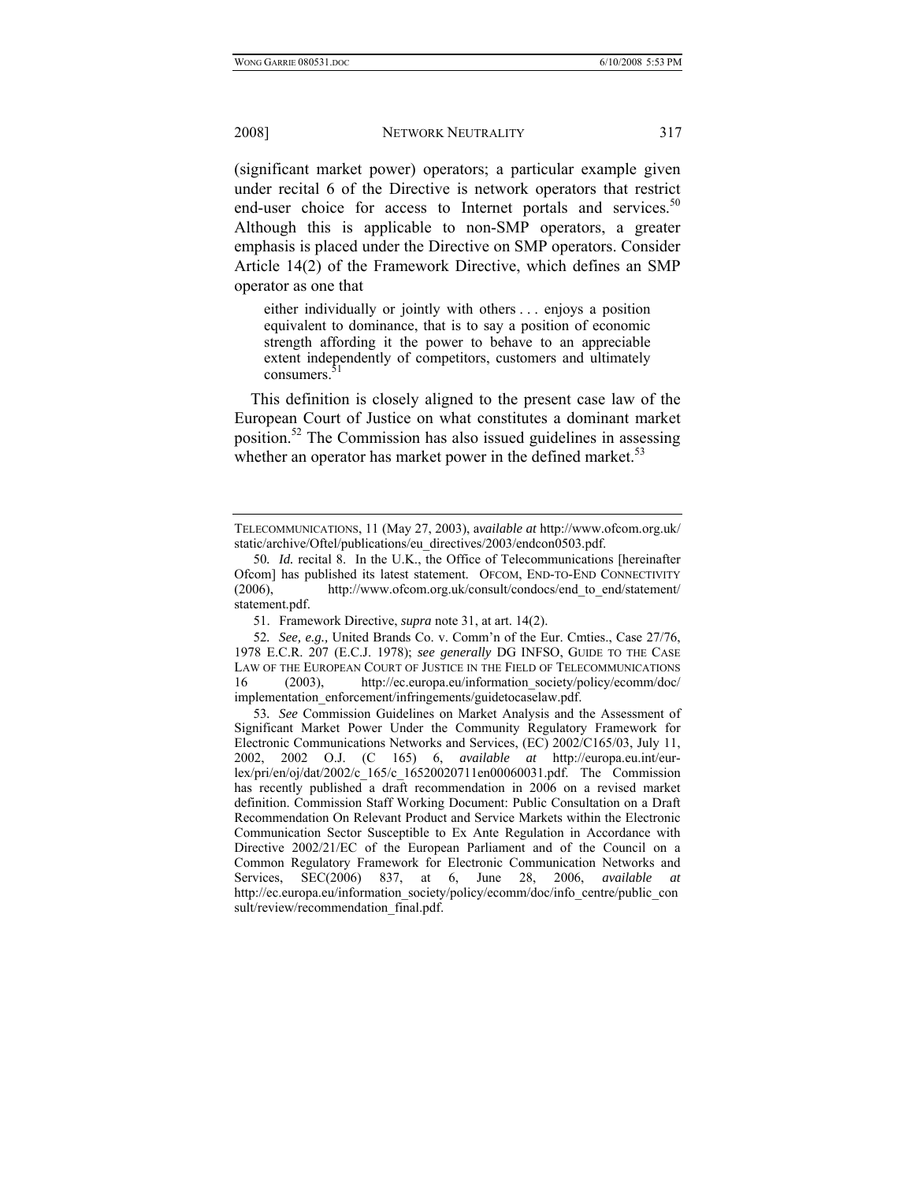(significant market power) operators; a particular example given under recital 6 of the Directive is network operators that restrict end-user choice for access to Internet portals and services.<sup>50</sup> Although this is applicable to non-SMP operators, a greater emphasis is placed under the Directive on SMP operators. Consider Article 14(2) of the Framework Directive, which defines an SMP operator as one that

either individually or jointly with others . . . enjoys a position equivalent to dominance, that is to say a position of economic strength affording it the power to behave to an appreciable extent independently of competitors, customers and ultimately consumers. 51

This definition is closely aligned to the present case law of the European Court of Justice on what constitutes a dominant market position.52 The Commission has also issued guidelines in assessing whether an operator has market power in the defined market. $53$ 

51. Framework Directive, *supra* note 31, at art. 14(2).

TELECOMMUNICATIONS, 11 (May 27, 2003), a*vailable at* http://www.ofcom.org.uk/ static/archive/Oftel/publications/eu\_directives/2003/endcon0503.pdf.

<sup>50</sup>*. Id.* recital 8. In the U.K., the Office of Telecommunications [hereinafter Ofcom] has published its latest statement. OFCOM, END-TO-END CONNECTIVITY (2006), http://www.ofcom.org.uk/consult/condocs/end\_to\_end/statement/ statement.pdf.

<sup>52</sup>*. See, e.g.,* United Brands Co. v. Comm'n of the Eur. Cmties., Case 27/76, 1978 E.C.R. 207 (E.C.J. 1978); *see generally* DG INFSO, GUIDE TO THE CASE LAW OF THE EUROPEAN COURT OF JUSTICE IN THE FIELD OF TELECOMMUNICATIONS 16 (2003), http://ec.europa.eu/information\_society/policy/ecomm/doc/ implementation\_enforcement/infringements/guidetocaselaw.pdf.

<sup>53</sup>*. See* Commission Guidelines on Market Analysis and the Assessment of Significant Market Power Under the Community Regulatory Framework for Electronic Communications Networks and Services, (EC) 2002/C165/03, July 11, 2002, 2002 O.J. (C 165) 6, *available at* http://europa.eu.int/eurlex/pri/en/oj/dat/2002/c\_165/c\_16520020711en00060031.pdf. The Commission has recently published a draft recommendation in 2006 on a revised market definition. Commission Staff Working Document: Public Consultation on a Draft Recommendation On Relevant Product and Service Markets within the Electronic Communication Sector Susceptible to Ex Ante Regulation in Accordance with Directive 2002/21/EC of the European Parliament and of the Council on a Common Regulatory Framework for Electronic Communication Networks and Services, SEC(2006) 837, at 6, June 28, 2006, *available* http://ec.europa.eu/information\_society/policy/ecomm/doc/info\_centre/public\_con sult/review/recommendation\_final.pdf.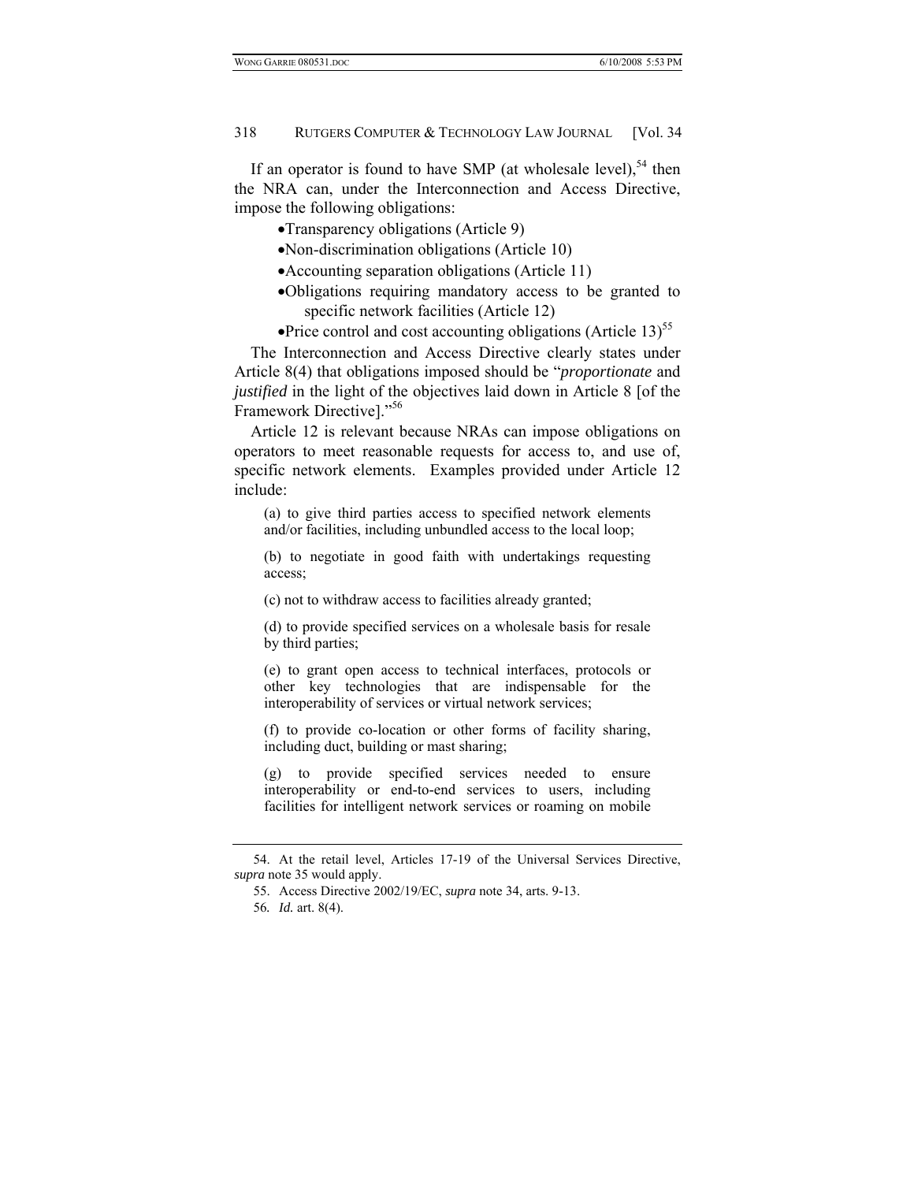If an operator is found to have SMP (at wholesale level),<sup>54</sup> then the NRA can, under the Interconnection and Access Directive, impose the following obligations:

- •Transparency obligations (Article 9)
- •Non-discrimination obligations (Article 10)
- •Accounting separation obligations (Article 11)
- •Obligations requiring mandatory access to be granted to specific network facilities (Article 12)
- •Price control and cost accounting obligations (Article 13)<sup>55</sup>

The Interconnection and Access Directive clearly states under Article 8(4) that obligations imposed should be "*proportionate* and *justified* in the light of the objectives laid down in Article 8 [of the Framework Directive]."56

Article 12 is relevant because NRAs can impose obligations on operators to meet reasonable requests for access to, and use of, specific network elements. Examples provided under Article 12 include:

(a) to give third parties access to specified network elements and/or facilities, including unbundled access to the local loop;

(b) to negotiate in good faith with undertakings requesting access;

(c) not to withdraw access to facilities already granted;

(d) to provide specified services on a wholesale basis for resale by third parties;

(e) to grant open access to technical interfaces, protocols or other key technologies that are indispensable for the interoperability of services or virtual network services;

(f) to provide co-location or other forms of facility sharing, including duct, building or mast sharing;

(g) to provide specified services needed to ensure interoperability or end-to-end services to users, including facilities for intelligent network services or roaming on mobile

 <sup>54.</sup> At the retail level, Articles 17-19 of the Universal Services Directive, *supra* note 35 would apply.

 <sup>55.</sup> Access Directive 2002/19/EC, *supra* note 34, arts. 9-13.

<sup>56</sup>*. Id.* art. 8(4).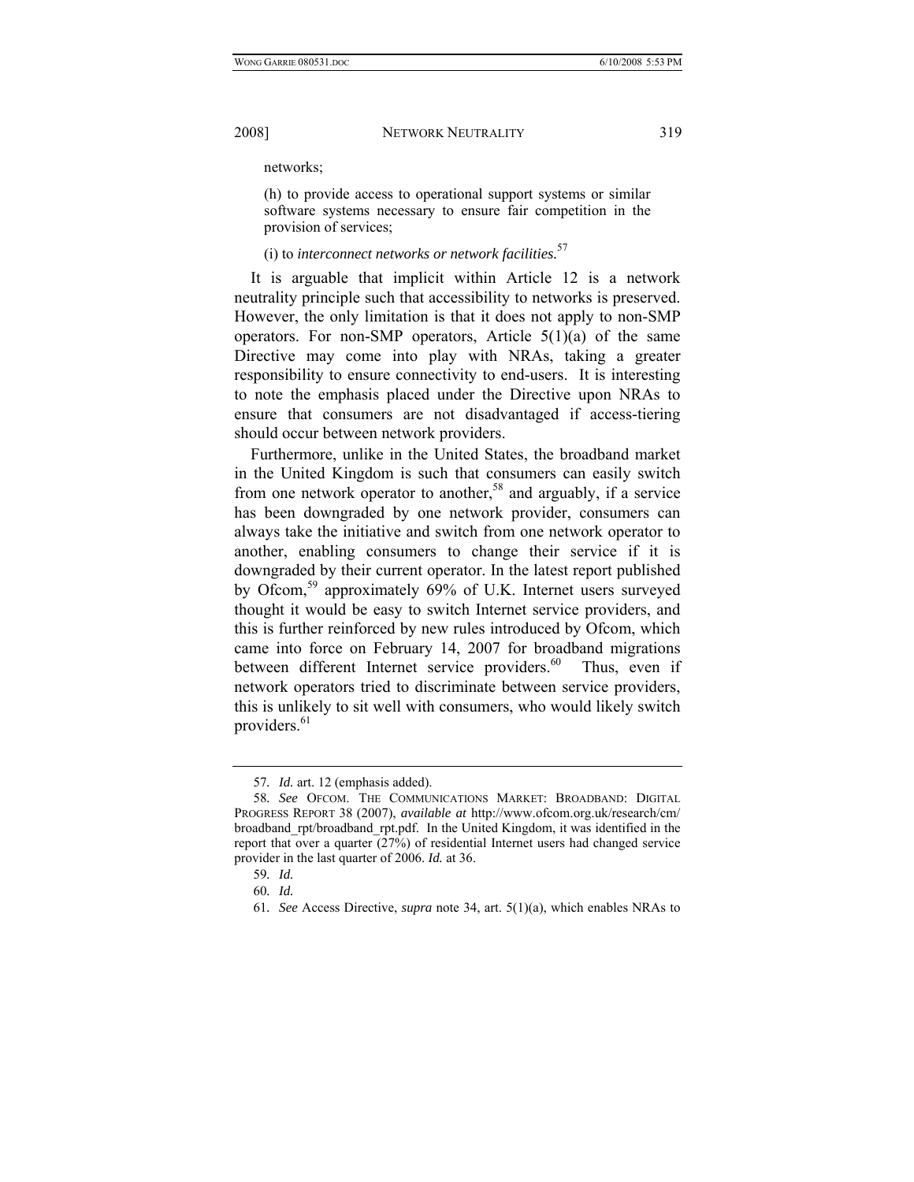networks;

(h) to provide access to operational support systems or similar software systems necessary to ensure fair competition in the provision of services;

## (i) to *interconnect networks or network facilities.*<sup>57</sup>

It is arguable that implicit within Article 12 is a network neutrality principle such that accessibility to networks is preserved. However, the only limitation is that it does not apply to non-SMP operators. For non-SMP operators, Article  $5(1)(a)$  of the same Directive may come into play with NRAs, taking a greater responsibility to ensure connectivity to end-users. It is interesting to note the emphasis placed under the Directive upon NRAs to ensure that consumers are not disadvantaged if access-tiering should occur between network providers.

Furthermore, unlike in the United States, the broadband market in the United Kingdom is such that consumers can easily switch from one network operator to another,<sup>58</sup> and arguably, if a service has been downgraded by one network provider, consumers can always take the initiative and switch from one network operator to another, enabling consumers to change their service if it is downgraded by their current operator. In the latest report published by Ofcom,<sup>59</sup> approximately 69% of U.K. Internet users surveyed thought it would be easy to switch Internet service providers, and this is further reinforced by new rules introduced by Ofcom, which came into force on February 14, 2007 for broadband migrations between different Internet service providers. $60$  Thus, even if network operators tried to discriminate between service providers, this is unlikely to sit well with consumers, who would likely switch providers.<sup>61</sup>

<sup>57</sup>*. Id.* art. 12 (emphasis added).

<sup>58</sup>*. See* OFCOM. THE COMMUNICATIONS MARKET: BROADBAND: DIGITAL PROGRESS REPORT 38 (2007), *available at* http://www.ofcom.org.uk/research/cm/ broadband\_rpt/broadband\_rpt.pdf. In the United Kingdom, it was identified in the report that over a quarter (27%) of residential Internet users had changed service provider in the last quarter of 2006. *Id.* at 36.

<sup>59</sup>*. Id.*

<sup>60</sup>*. Id.*

<sup>61</sup>*. See* Access Directive, *supra* note 34, art. 5(1)(a), which enables NRAs to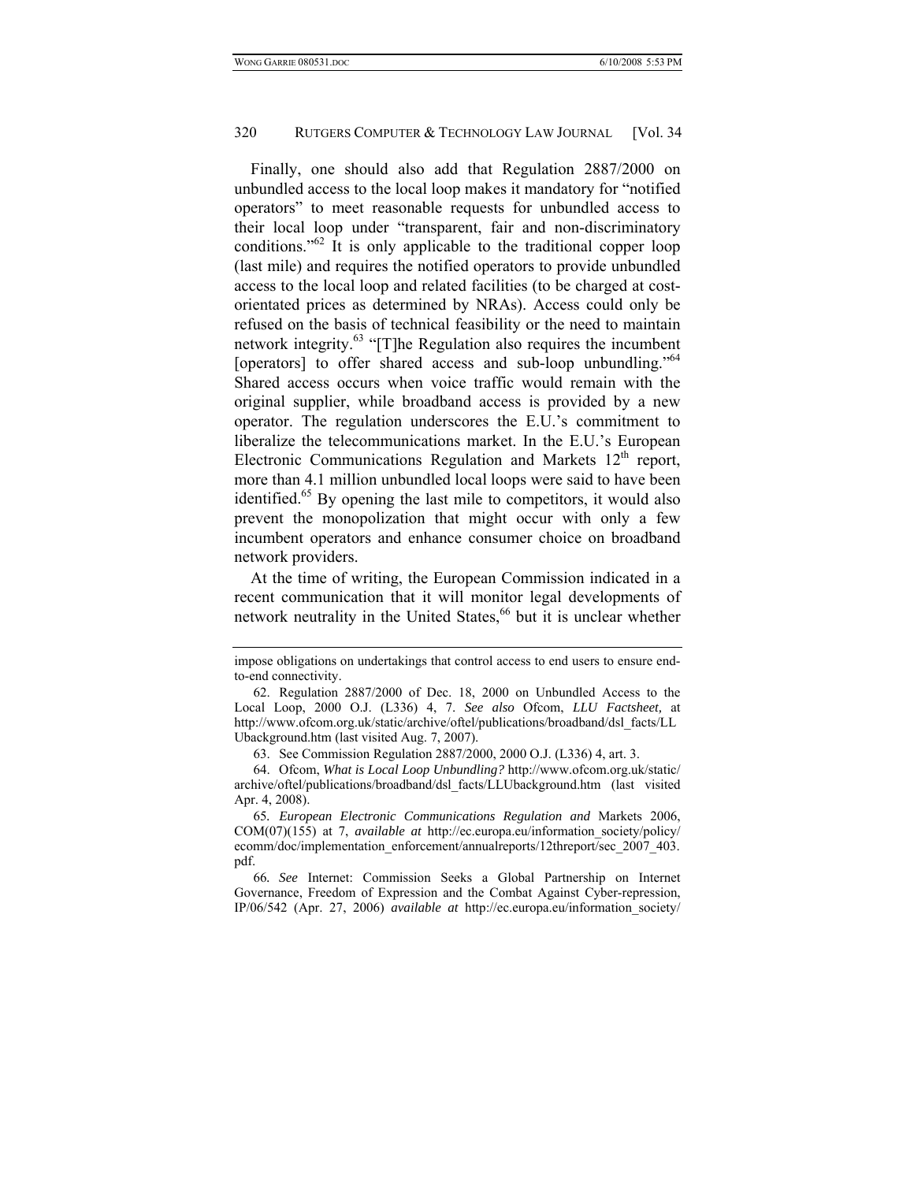Finally, one should also add that Regulation 2887/2000 on unbundled access to the local loop makes it mandatory for "notified operators" to meet reasonable requests for unbundled access to their local loop under "transparent, fair and non-discriminatory conditions."<sup>62</sup> It is only applicable to the traditional copper loop (last mile) and requires the notified operators to provide unbundled access to the local loop and related facilities (to be charged at costorientated prices as determined by NRAs). Access could only be refused on the basis of technical feasibility or the need to maintain network integrity.<sup>63</sup> "[T]he Regulation also requires the incumbent [operators] to offer shared access and sub-loop unbundling."<sup>64</sup> Shared access occurs when voice traffic would remain with the original supplier, while broadband access is provided by a new operator. The regulation underscores the E.U.'s commitment to liberalize the telecommunications market. In the E.U.'s European Electronic Communications Regulation and Markets  $12<sup>th</sup>$  report, more than 4.1 million unbundled local loops were said to have been identified.<sup>65</sup> By opening the last mile to competitors, it would also prevent the monopolization that might occur with only a few incumbent operators and enhance consumer choice on broadband network providers.

At the time of writing, the European Commission indicated in a recent communication that it will monitor legal developments of network neutrality in the United States,<sup>66</sup> but it is unclear whether

impose obligations on undertakings that control access to end users to ensure endto-end connectivity.

 <sup>62.</sup> Regulation 2887/2000 of Dec. 18, 2000 on Unbundled Access to the Local Loop, 2000 O.J. (L336) 4, 7. *See also* Ofcom, *LLU Factsheet,* at http://www.ofcom.org.uk/static/archive/oftel/publications/broadband/dsl\_facts/LL Ubackground.htm (last visited Aug. 7, 2007).

 <sup>63.</sup> See Commission Regulation 2887/2000, 2000 O.J. (L336) 4, art. 3.

 <sup>64.</sup> Ofcom, *What is Local Loop Unbundling?* http://www.ofcom.org.uk/static/ archive/oftel/publications/broadband/dsl\_facts/LLUbackground.htm (last visited Apr. 4, 2008).

<sup>65</sup>*. European Electronic Communications Regulation and* Markets 2006, COM(07)(155) at 7, *available at* http://ec.europa.eu/information\_society/policy/ ecomm/doc/implementation\_enforcement/annualreports/12threport/sec\_2007\_403. pdf.

<sup>66</sup>*. See* Internet: Commission Seeks a Global Partnership on Internet Governance, Freedom of Expression and the Combat Against Cyber-repression, IP/06/542 (Apr. 27, 2006) *available at* http://ec.europa.eu/information\_society/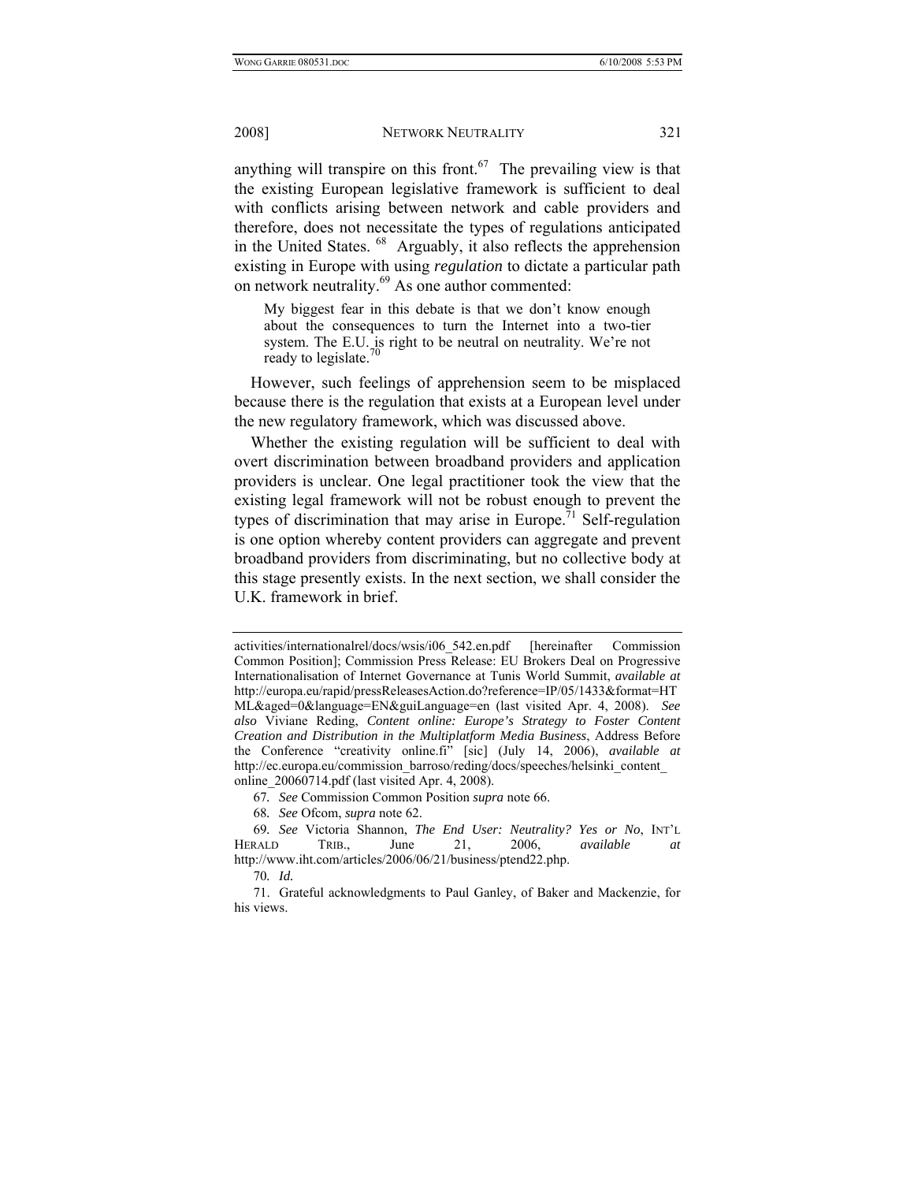anything will transpire on this front.<sup>67</sup> The prevailing view is that the existing European legislative framework is sufficient to deal with conflicts arising between network and cable providers and therefore, does not necessitate the types of regulations anticipated in the United States. 68 Arguably, it also reflects the apprehension existing in Europe with using *regulation* to dictate a particular path on network neutrality.<sup>69</sup> As one author commented:

My biggest fear in this debate is that we don't know enough about the consequences to turn the Internet into a two-tier system. The E.U. is right to be neutral on neutrality. We're not ready to legislate.

However, such feelings of apprehension seem to be misplaced because there is the regulation that exists at a European level under the new regulatory framework, which was discussed above.

Whether the existing regulation will be sufficient to deal with overt discrimination between broadband providers and application providers is unclear. One legal practitioner took the view that the existing legal framework will not be robust enough to prevent the types of discrimination that may arise in Europe.<sup>71</sup> Self-regulation is one option whereby content providers can aggregate and prevent broadband providers from discriminating, but no collective body at this stage presently exists. In the next section, we shall consider the U.K. framework in brief.

activities/internationalrel/docs/wsis/i06\_542.en.pdf [hereinafter Commission Common Position]; Commission Press Release: EU Brokers Deal on Progressive Internationalisation of Internet Governance at Tunis World Summit, *available at*  http://europa.eu/rapid/pressReleasesAction.do?reference=IP/05/1433&format=HT ML&aged=0&language=EN&guiLanguage=en (last visited Apr. 4, 2008). *See also* Viviane Reding, *Content online: Europe's Strategy to Foster Content Creation and Distribution in the Multiplatform Media Business*, Address Before the Conference "creativity online.fi" [sic] (July 14, 2006), *available at*  http://ec.europa.eu/commission\_barroso/reding/docs/speeches/helsinki\_content\_ online\_20060714.pdf (last visited Apr. 4, 2008).

<sup>67</sup>*. See* Commission Common Position *supra* note 66.

<sup>68</sup>*. See* Ofcom, *supra* note 62.

<sup>69</sup>*. See* Victoria Shannon, *The End User: Neutrality? Yes or No*, INT'L HERALD TRIB., June 21, 2006, *available at*  http://www.iht.com/articles/2006/06/21/business/ptend22.php.

<sup>70</sup>*. Id.*

 <sup>71.</sup> Grateful acknowledgments to Paul Ganley, of Baker and Mackenzie, for his views.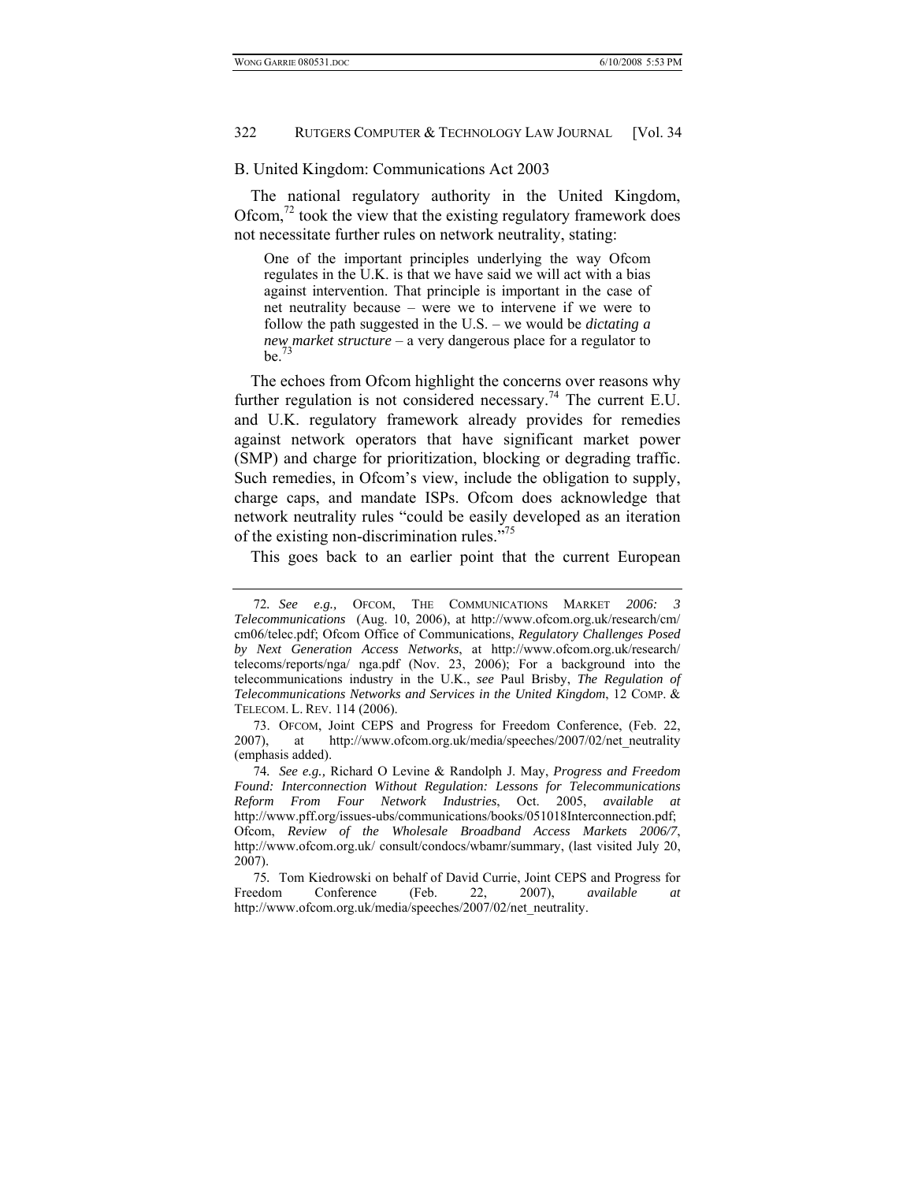#### B. United Kingdom: Communications Act 2003

The national regulatory authority in the United Kingdom, Ofcom, $^{72}$  took the view that the existing regulatory framework does not necessitate further rules on network neutrality, stating:

One of the important principles underlying the way Ofcom regulates in the U.K. is that we have said we will act with a bias against intervention. That principle is important in the case of net neutrality because – were we to intervene if we were to follow the path suggested in the U.S. – we would be *dictating a new market structure* – a very dangerous place for a regulator to be. $^{73}$ 

The echoes from Ofcom highlight the concerns over reasons why further regulation is not considered necessary.<sup>74</sup> The current E.U. and U.K. regulatory framework already provides for remedies against network operators that have significant market power (SMP) and charge for prioritization, blocking or degrading traffic. Such remedies, in Ofcom's view, include the obligation to supply, charge caps, and mandate ISPs. Ofcom does acknowledge that network neutrality rules "could be easily developed as an iteration of the existing non-discrimination rules."<sup>75</sup>

This goes back to an earlier point that the current European

<sup>72</sup>*. See e.g.,* OFCOM, THE COMMUNICATIONS MARKET *2006: 3 Telecommunications* (Aug. 10, 2006), at http://www.ofcom.org.uk/research/cm/ cm06/telec.pdf; Ofcom Office of Communications, *Regulatory Challenges Posed by Next Generation Access Networks*, at http://www.ofcom.org.uk/research/ telecoms/reports/nga/ nga.pdf (Nov. 23, 2006); For a background into the telecommunications industry in the U.K., *see* Paul Brisby, *The Regulation of Telecommunications Networks and Services in the United Kingdom*, 12 COMP. & TELECOM. L. REV. 114 (2006).

 <sup>73.</sup> OFCOM, Joint CEPS and Progress for Freedom Conference, (Feb. 22, 2007), at http://www.ofcom.org.uk/media/speeches/2007/02/net\_neutrality (emphasis added).

<sup>74</sup>*. See e.g.,* Richard O Levine & Randolph J. May, *Progress and Freedom Found: Interconnection Without Regulation: Lessons for Telecommunications Reform From Four Network Industries*, Oct. 2005, *available at* http://www.pff.org/issues-ubs/communications/books/051018Interconnection.pdf; Ofcom, *Review of the Wholesale Broadband Access Markets 2006/7*, http://www.ofcom.org.uk/ consult/condocs/wbamr/summary, (last visited July 20, 2007).

<sup>75</sup>*.* Tom Kiedrowski on behalf of David Currie, Joint CEPS and Progress for Freedom Conference (Feb. 22, 2007), *available at* http://www.ofcom.org.uk/media/speeches/2007/02/net\_neutrality.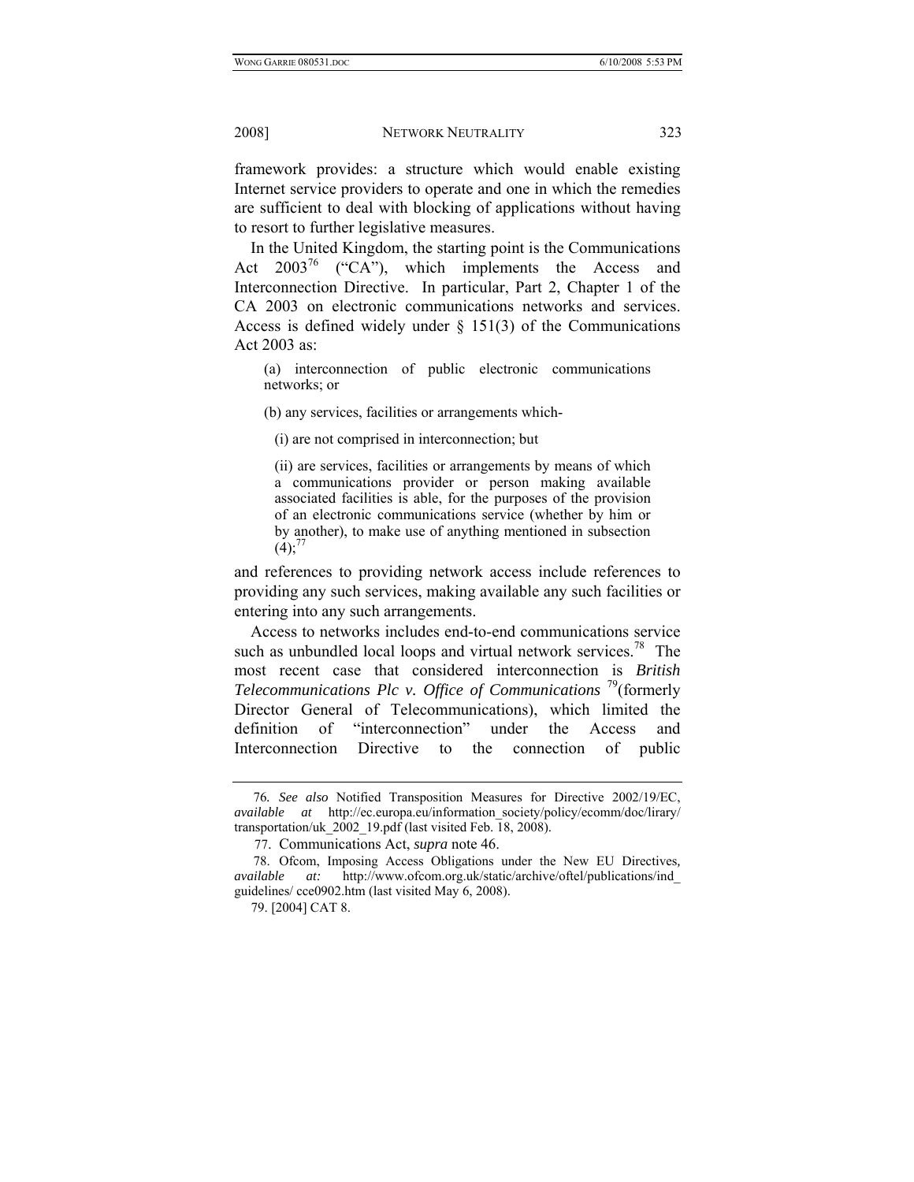framework provides: a structure which would enable existing Internet service providers to operate and one in which the remedies are sufficient to deal with blocking of applications without having to resort to further legislative measures.

In the United Kingdom, the starting point is the Communications Act  $2003^{76}$  ("CA"), which implements the Access and Interconnection Directive. In particular, Part 2, Chapter 1 of the CA 2003 on electronic communications networks and services. Access is defined widely under  $\S$  151(3) of the Communications Act 2003 as:

(a) interconnection of public electronic communications networks; or

(b) any services, facilities or arrangements which-

(i) are not comprised in interconnection; but

(ii) are services, facilities or arrangements by means of which a communications provider or person making available associated facilities is able, for the purposes of the provision of an electronic communications service (whether by him or by another), to make use of anything mentioned in subsection  $(4)$ ;<sup>77</sup>

and references to providing network access include references to providing any such services, making available any such facilities or entering into any such arrangements.

Access to networks includes end-to-end communications service such as unbundled local loops and virtual network services.<sup>78</sup> The most recent case that considered interconnection is *British Telecommunications Plc v. Office of Communications* 79(formerly Director General of Telecommunications), which limited the definition of "interconnection" under the Access and Interconnection Directive to the connection of public

<sup>76</sup>*. See also* Notified Transposition Measures for Directive 2002/19/EC, *available at* http://ec.europa.eu/information\_society/policy/ecomm/doc/lirary/ transportation/uk  $2002$  19.pdf (last visited Feb. 18, 2008).

 <sup>77.</sup> Communications Act, *supra* note 46.

 <sup>78.</sup> Ofcom, Imposing Access Obligations under the New EU Directives*, available at:* http://www.ofcom.org.uk/static/archive/oftel/publications/ind\_ guidelines/ cce0902.htm (last visited May 6, 2008).

 <sup>79. [2004]</sup> CAT 8.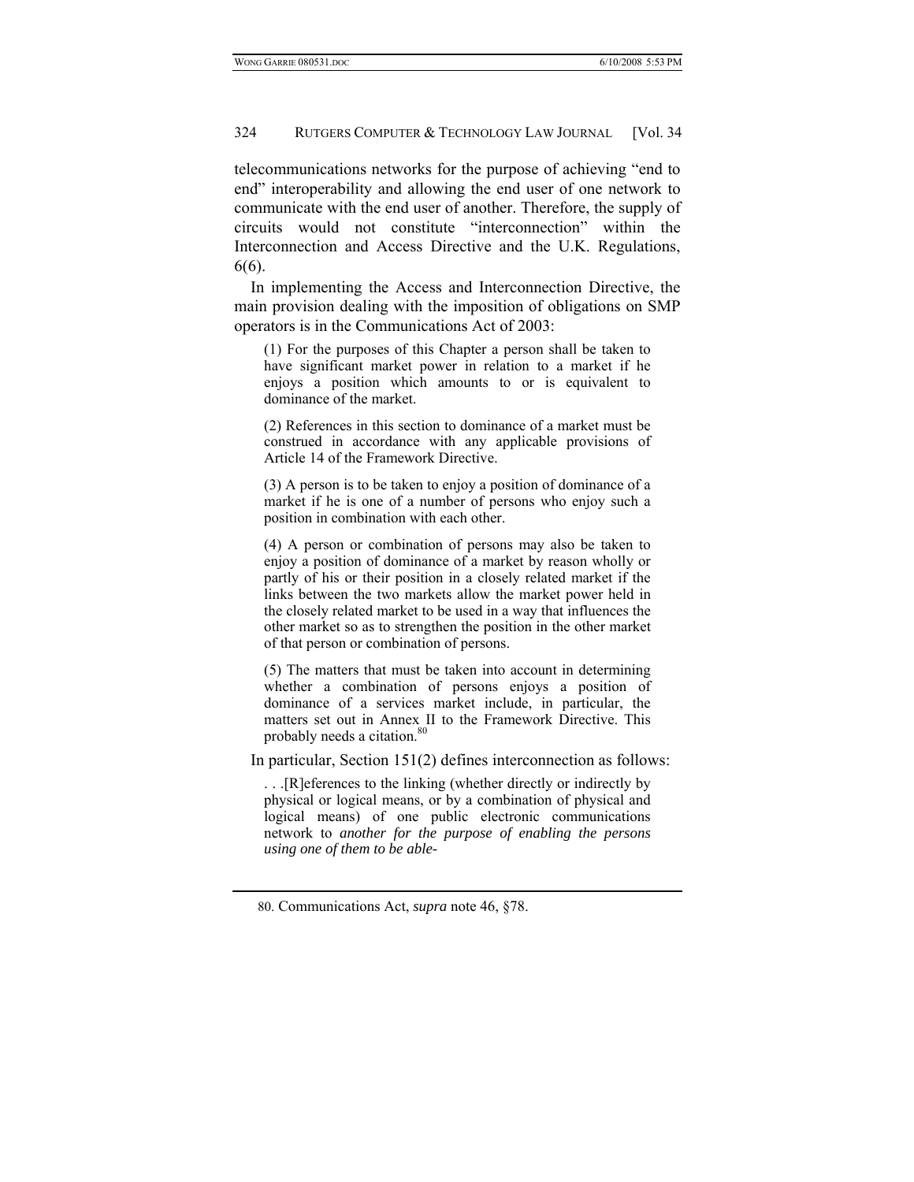telecommunications networks for the purpose of achieving "end to end" interoperability and allowing the end user of one network to communicate with the end user of another. Therefore, the supply of circuits would not constitute "interconnection" within the Interconnection and Access Directive and the U.K. Regulations, 6(6).

In implementing the Access and Interconnection Directive, the main provision dealing with the imposition of obligations on SMP operators is in the Communications Act of 2003:

(1) For the purposes of this Chapter a person shall be taken to have significant market power in relation to a market if he enjoys a position which amounts to or is equivalent to dominance of the market.

(2) References in this section to dominance of a market must be construed in accordance with any applicable provisions of Article 14 of the Framework Directive.

(3) A person is to be taken to enjoy a position of dominance of a market if he is one of a number of persons who enjoy such a position in combination with each other.

(4) A person or combination of persons may also be taken to enjoy a position of dominance of a market by reason wholly or partly of his or their position in a closely related market if the links between the two markets allow the market power held in the closely related market to be used in a way that influences the other market so as to strengthen the position in the other market of that person or combination of persons.

(5) The matters that must be taken into account in determining whether a combination of persons enjoys a position of dominance of a services market include, in particular, the matters set out in Annex II to the Framework Directive. This probably needs a citation.<sup>80</sup>

In particular, Section 151(2) defines interconnection as follows:

. . .[R]eferences to the linking (whether directly or indirectly by physical or logical means, or by a combination of physical and logical means) of one public electronic communications network to *another for the purpose of enabling the persons using one of them to be able-* 

 <sup>80.</sup> Communications Act, *supra* note 46, §78.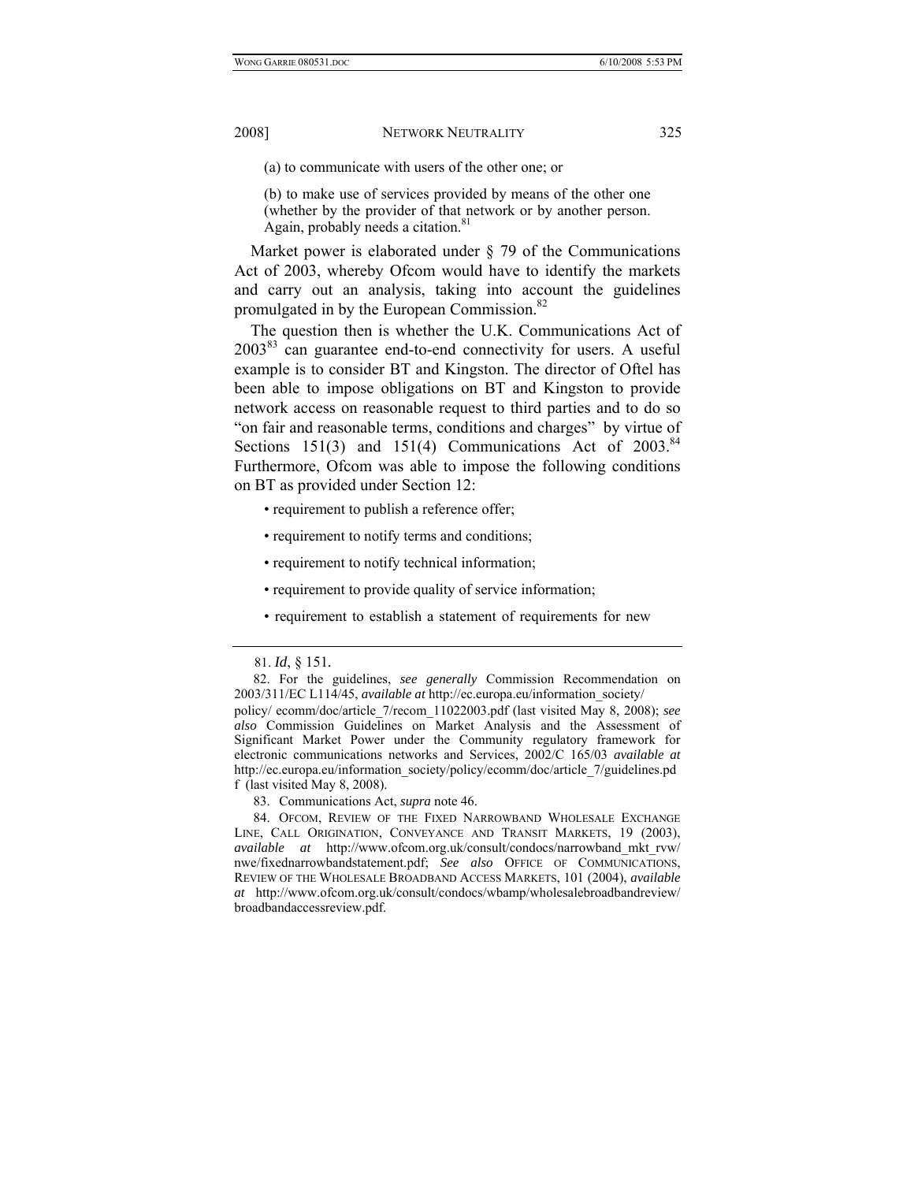(a) to communicate with users of the other one; or

(b) to make use of services provided by means of the other one (whether by the provider of that network or by another person. Again, probably needs a citation.<sup>81</sup>

Market power is elaborated under § 79 of the Communications Act of 2003, whereby Ofcom would have to identify the markets and carry out an analysis, taking into account the guidelines promulgated in by the European Commission.<sup>82</sup>

The question then is whether the U.K. Communications Act of  $2003^{83}$  can guarantee end-to-end connectivity for users. A useful example is to consider BT and Kingston. The director of Oftel has been able to impose obligations on BT and Kingston to provide network access on reasonable request to third parties and to do so "on fair and reasonable terms, conditions and charges" by virtue of Sections  $151(3)$  and  $151(4)$  Communications Act of  $2003$ .<sup>84</sup> Furthermore, Ofcom was able to impose the following conditions on BT as provided under Section 12:

- requirement to publish a reference offer;
- requirement to notify terms and conditions;
- requirement to notify technical information;
- requirement to provide quality of service information;
- requirement to establish a statement of requirements for new

 <sup>81.</sup> *Id*, § 151*.*

 <sup>82.</sup> For the guidelines, *see generally* Commission Recommendation on 2003/311/EC L114/45, *available at* http://ec.europa.eu/information\_society/

policy/ ecomm/doc/article\_7/recom\_11022003.pdf (last visited May 8, 2008); *see also* Commission Guidelines on Market Analysis and the Assessment of Significant Market Power under the Community regulatory framework for electronic communications networks and Services, 2002/C 165/03 *available at* http://ec.europa.eu/information\_society/policy/ecomm/doc/article\_7/guidelines.pd f (last visited May 8, 2008).

 <sup>83.</sup> Communications Act, *supra* note 46.

 <sup>84.</sup> OFCOM, REVIEW OF THE FIXED NARROWBAND WHOLESALE EXCHANGE LINE, CALL ORIGINATION, CONVEYANCE AND TRANSIT MARKETS, 19 (2003), *available at* http://www.ofcom.org.uk/consult/condocs/narrowband\_mkt\_rvw/ nwe/fixednarrowbandstatement.pdf; *See also* OFFICE OF COMMUNICATIONS, REVIEW OF THE WHOLESALE BROADBAND ACCESS MARKETS, 101 (2004), *available at* http://www.ofcom.org.uk/consult/condocs/wbamp/wholesalebroadbandreview/ broadbandaccessreview.pdf.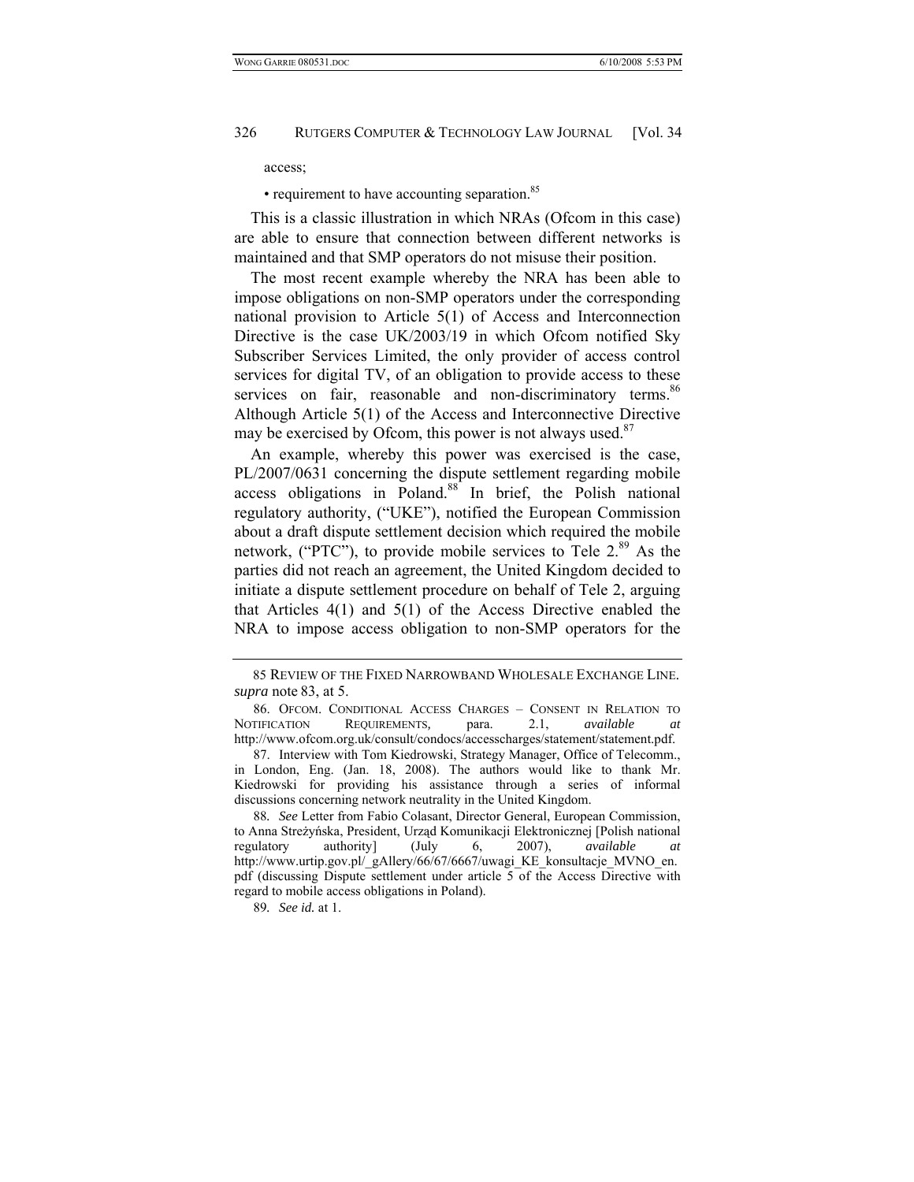access;

• requirement to have accounting separation.<sup>85</sup>

This is a classic illustration in which NRAs (Ofcom in this case) are able to ensure that connection between different networks is maintained and that SMP operators do not misuse their position.

The most recent example whereby the NRA has been able to impose obligations on non-SMP operators under the corresponding national provision to Article 5(1) of Access and Interconnection Directive is the case UK/2003/19 in which Ofcom notified Sky Subscriber Services Limited, the only provider of access control services for digital TV, of an obligation to provide access to these services on fair, reasonable and non-discriminatory terms.<sup>86</sup> Although Article 5(1) of the Access and Interconnective Directive may be exercised by Ofcom, this power is not always used.<sup>87</sup>

An example, whereby this power was exercised is the case, PL/2007/0631 concerning the dispute settlement regarding mobile access obligations in Poland.<sup>88</sup> In brief, the Polish national regulatory authority, ("UKE"), notified the European Commission about a draft dispute settlement decision which required the mobile network, ("PTC"), to provide mobile services to Tele 2.<sup>89</sup> As the parties did not reach an agreement, the United Kingdom decided to initiate a dispute settlement procedure on behalf of Tele 2, arguing that Articles 4(1) and 5(1) of the Access Directive enabled the NRA to impose access obligation to non-SMP operators for the

88*. See* Letter from Fabio Colasant, Director General, European Commission, to Anna Streżyńska, President, Urząd Komunikacji Elektronicznej [Polish national regulatory authority] (July 6, 2007), *available at* http://www.urtip.gov.pl/\_gAllery/66/67/6667/uwagi\_KE\_konsultacje\_MVNO\_en. pdf (discussing Dispute settlement under article 5 of the Access Directive with regard to mobile access obligations in Poland).

 <sup>85</sup> REVIEW OF THE FIXED NARROWBAND WHOLESALE EXCHANGE LINE. *supra* note 83, at 5.

 <sup>86.</sup> OFCOM. CONDITIONAL ACCESS CHARGES – CONSENT IN RELATION TO NOTIFICATION REQUIREMENTS*,* para. 2.1, *available at*  http://www.ofcom.org.uk/consult/condocs/accesscharges/statement/statement.pdf.

 <sup>87.</sup> Interview with Tom Kiedrowski, Strategy Manager, Office of Telecomm., in London, Eng. (Jan. 18, 2008). The authors would like to thank Mr. Kiedrowski for providing his assistance through a series of informal discussions concerning network neutrality in the United Kingdom.

<sup>89</sup>*. See id.* at 1.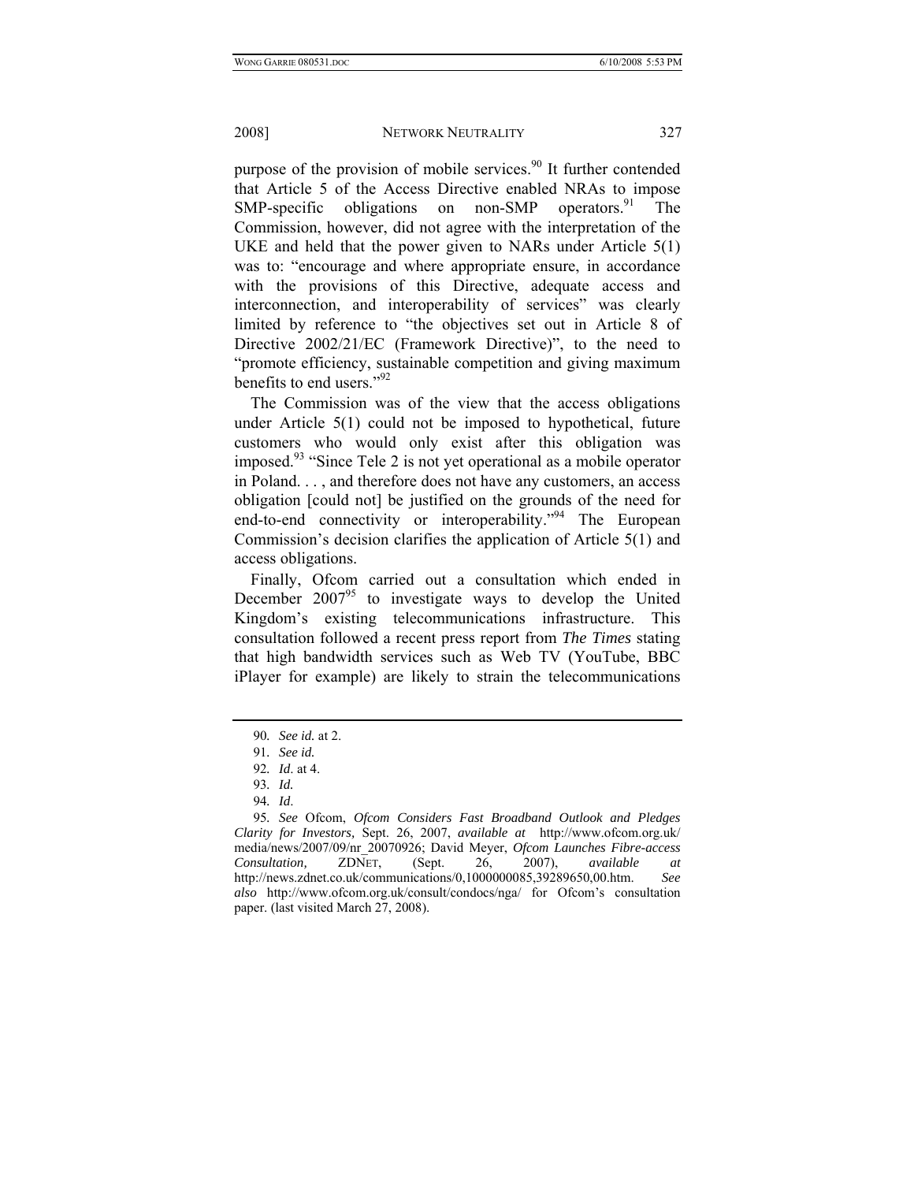purpose of the provision of mobile services.<sup>90</sup> It further contended that Article 5 of the Access Directive enabled NRAs to impose  $SMP-specific$  obligations on non-SMP operators.<sup>91</sup> The Commission, however, did not agree with the interpretation of the UKE and held that the power given to NARs under Article 5(1) was to: "encourage and where appropriate ensure, in accordance with the provisions of this Directive, adequate access and interconnection, and interoperability of services" was clearly limited by reference to "the objectives set out in Article 8 of Directive 2002/21/EC (Framework Directive)", to the need to "promote efficiency, sustainable competition and giving maximum benefits to end users."92

The Commission was of the view that the access obligations under Article 5(1) could not be imposed to hypothetical, future customers who would only exist after this obligation was imposed.<sup>93</sup> "Since Tele 2 is not yet operational as a mobile operator in Poland. . . , and therefore does not have any customers, an access obligation [could not] be justified on the grounds of the need for end-to-end connectivity or interoperability."<sup>94</sup> The European Commission's decision clarifies the application of Article 5(1) and access obligations.

Finally, Ofcom carried out a consultation which ended in December  $2007<sup>95</sup>$  to investigate ways to develop the United Kingdom's existing telecommunications infrastructure. This consultation followed a recent press report from *The Times* stating that high bandwidth services such as Web TV (YouTube, BBC iPlayer for example) are likely to strain the telecommunications

<sup>90</sup>*. See id.* at 2.

<sup>91</sup>*. See id.*

<sup>92</sup>*. Id*. at 4.

<sup>93</sup>*. Id.*

<sup>94</sup>*. Id*.

<sup>95</sup>*. See* Ofcom, *Ofcom Considers Fast Broadband Outlook and Pledges Clarity for Investors,* Sept. 26, 2007, *available at* http://www.ofcom.org.uk/ media/news/2007/09/nr\_20070926; David Meyer, *Ofcom Launches Fibre-access Consultation,* ZDNET, (Sept. 26, 2007), *available at*  http://news.zdnet.co.uk/communications/0,1000000085,39289650,00.htm. *See also* http://www.ofcom.org.uk/consult/condocs/nga/ for Ofcom's consultation paper. (last visited March 27, 2008).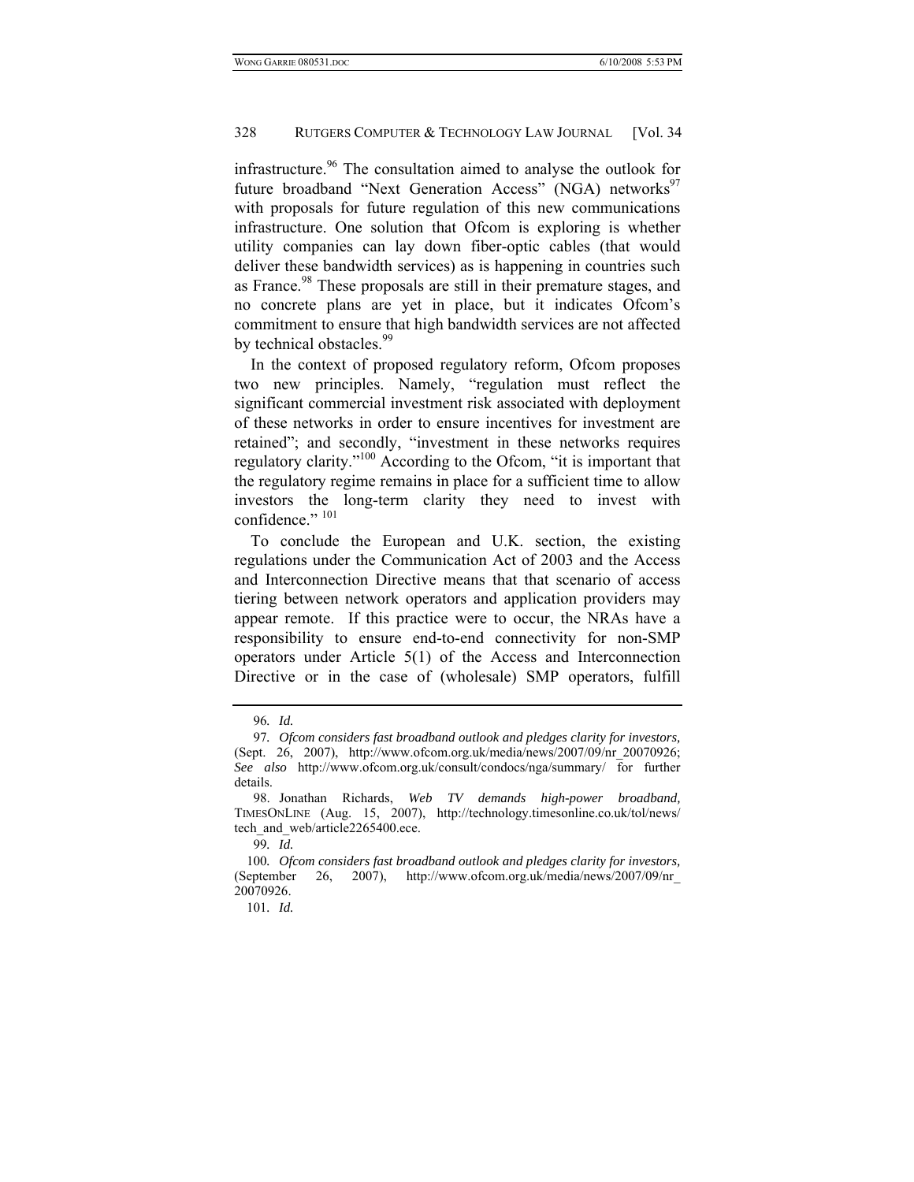infrastructure.<sup>96</sup> The consultation aimed to analyse the outlook for future broadband "Next Generation Access" (NGA) networks<sup>97</sup> with proposals for future regulation of this new communications infrastructure. One solution that Ofcom is exploring is whether utility companies can lay down fiber-optic cables (that would deliver these bandwidth services) as is happening in countries such as France.<sup>98</sup> These proposals are still in their premature stages, and no concrete plans are yet in place, but it indicates Ofcom's commitment to ensure that high bandwidth services are not affected by technical obstacles.<sup>99</sup>

In the context of proposed regulatory reform, Ofcom proposes two new principles. Namely, "regulation must reflect the significant commercial investment risk associated with deployment of these networks in order to ensure incentives for investment are retained"; and secondly, "investment in these networks requires regulatory clarity."100 According to the Ofcom, "it is important that the regulatory regime remains in place for a sufficient time to allow investors the long-term clarity they need to invest with confidence." 101

To conclude the European and U.K. section, the existing regulations under the Communication Act of 2003 and the Access and Interconnection Directive means that that scenario of access tiering between network operators and application providers may appear remote. If this practice were to occur, the NRAs have a responsibility to ensure end-to-end connectivity for non-SMP operators under Article 5(1) of the Access and Interconnection Directive or in the case of (wholesale) SMP operators, fulfill

<sup>96</sup>*. Id.*

<sup>97</sup>*. Ofcom considers fast broadband outlook and pledges clarity for investors,* (Sept. 26, 2007), http://www.ofcom.org.uk/media/news/2007/09/nr\_20070926; *See also* http://www.ofcom.org.uk/consult/condocs/nga/summary/ for further details.

 <sup>98.</sup> Jonathan Richards, *Web TV demands high-power broadband,*  TIMESONLINE (Aug. 15, 2007), http://technology.timesonline.co.uk/tol/news/ tech and web/article2265400.ece.

<sup>99</sup>*. Id.*

<sup>100</sup>*. Ofcom considers fast broadband outlook and pledges clarity for investors,* (September 26, 2007), http://www.ofcom.org.uk/media/news/2007/09/nr\_ 20070926.

<sup>101</sup>*. Id.*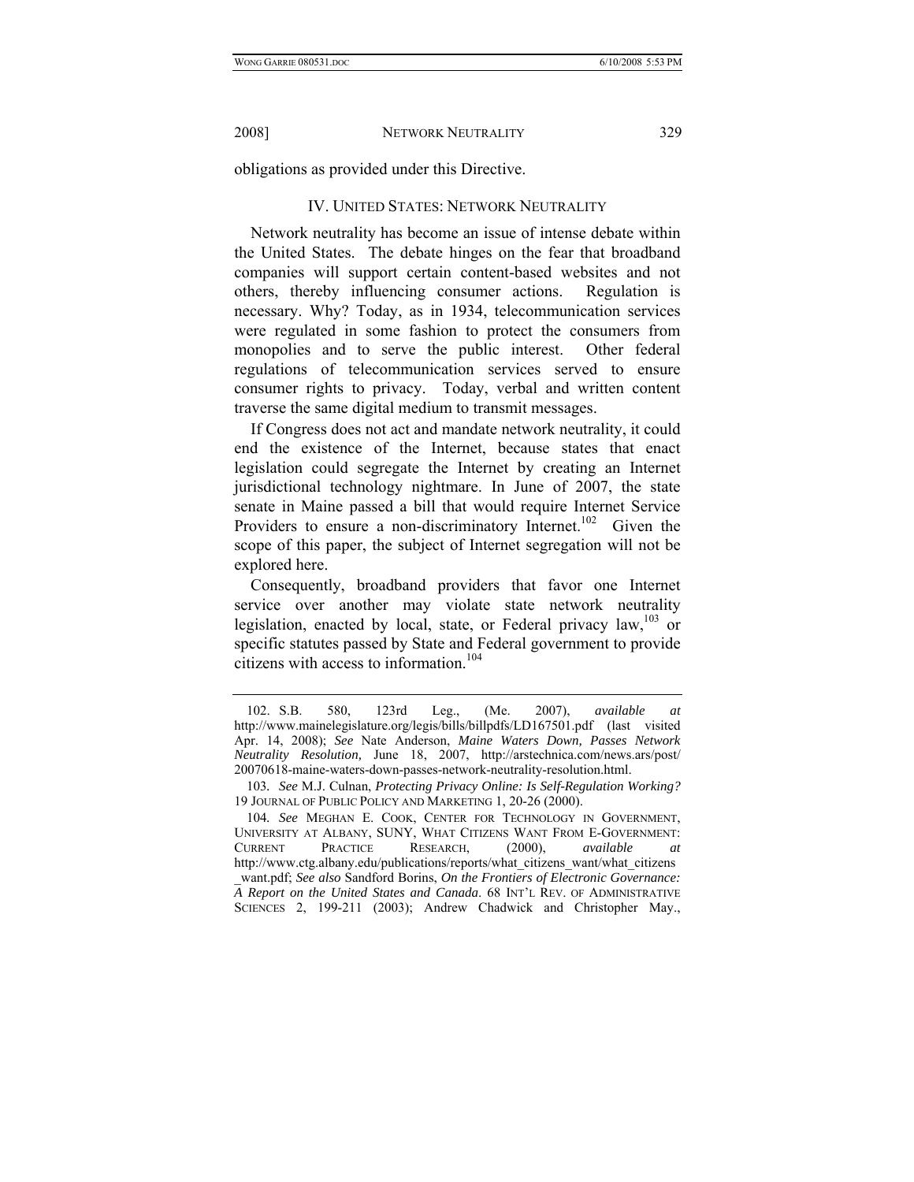obligations as provided under this Directive.

## IV. UNITED STATES: NETWORK NEUTRALITY

Network neutrality has become an issue of intense debate within the United States. The debate hinges on the fear that broadband companies will support certain content-based websites and not others, thereby influencing consumer actions. Regulation is necessary. Why? Today, as in 1934, telecommunication services were regulated in some fashion to protect the consumers from monopolies and to serve the public interest. Other federal regulations of telecommunication services served to ensure consumer rights to privacy. Today, verbal and written content traverse the same digital medium to transmit messages.

If Congress does not act and mandate network neutrality, it could end the existence of the Internet, because states that enact legislation could segregate the Internet by creating an Internet jurisdictional technology nightmare. In June of 2007, the state senate in Maine passed a bill that would require Internet Service Providers to ensure a non-discriminatory Internet.<sup>102</sup> Given the scope of this paper, the subject of Internet segregation will not be explored here.

Consequently, broadband providers that favor one Internet service over another may violate state network neutrality legislation, enacted by local, state, or Federal privacy law,<sup>103</sup> or specific statutes passed by State and Federal government to provide citizens with access to information.<sup>104</sup>

 <sup>102.</sup> S.B. 580, 123rd Leg., (Me. 2007), *available at* http://www.mainelegislature.org/legis/bills/billpdfs/LD167501.pdf (last visited Apr. 14, 2008); *See* Nate Anderson, *Maine Waters Down, Passes Network Neutrality Resolution,* June 18, 2007, http://arstechnica.com/news.ars/post/ 20070618-maine-waters-down-passes-network-neutrality-resolution.html.

<sup>103</sup>*. See* M.J. Culnan, *Protecting Privacy Online: Is Self-Regulation Working?* 19 JOURNAL OF PUBLIC POLICY AND MARKETING 1, 20-26 (2000).

<sup>104</sup>*. See* MEGHAN E. COOK, CENTER FOR TECHNOLOGY IN GOVERNMENT, UNIVERSITY AT ALBANY, SUNY, WHAT CITIZENS WANT FROM E-GOVERNMENT: CURRENT PRACTICE RESEARCH, (2000), *available at* http://www.ctg.albany.edu/publications/reports/what\_citizens\_want/what\_citizens \_want.pdf; *See also* Sandford Borins, *On the Frontiers of Electronic Governance: A Report on the United States and Canada*. 68 INT'L REV. OF ADMINISTRATIVE SCIENCES 2, 199-211 (2003); Andrew Chadwick and Christopher May.,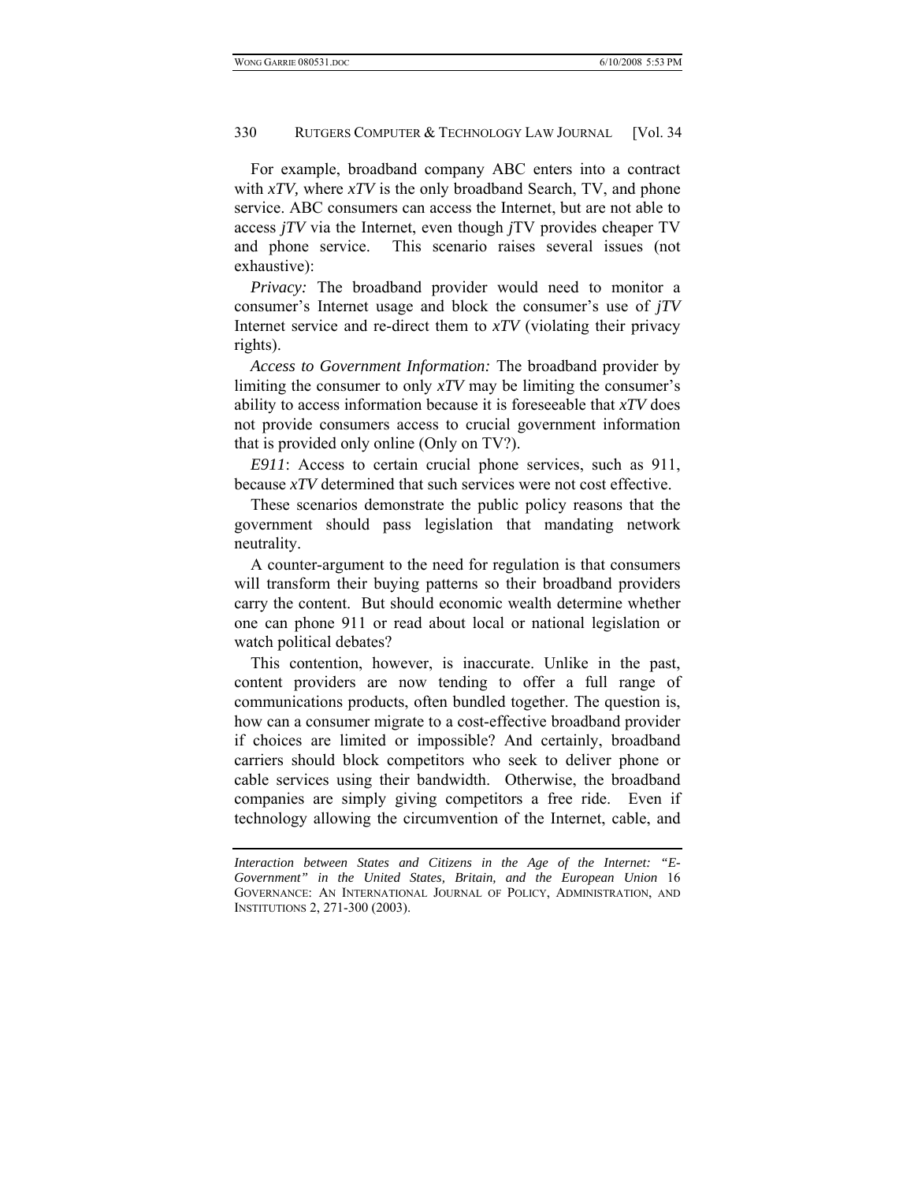For example, broadband company ABC enters into a contract with *xTV,* where *xTV* is the only broadband Search, TV, and phone service. ABC consumers can access the Internet, but are not able to access *jTV* via the Internet, even though *j*TV provides cheaper TV and phone service. This scenario raises several issues (not exhaustive):

*Privacy:* The broadband provider would need to monitor a consumer's Internet usage and block the consumer's use of *jTV* Internet service and re-direct them to *xTV* (violating their privacy rights).

*Access to Government Information:* The broadband provider by limiting the consumer to only *xTV* may be limiting the consumer's ability to access information because it is foreseeable that *xTV* does not provide consumers access to crucial government information that is provided only online (Only on TV?).

*E911*: Access to certain crucial phone services, such as 911, because *xTV* determined that such services were not cost effective.

These scenarios demonstrate the public policy reasons that the government should pass legislation that mandating network neutrality.

A counter-argument to the need for regulation is that consumers will transform their buying patterns so their broadband providers carry the content. But should economic wealth determine whether one can phone 911 or read about local or national legislation or watch political debates?

This contention, however, is inaccurate. Unlike in the past, content providers are now tending to offer a full range of communications products, often bundled together. The question is, how can a consumer migrate to a cost-effective broadband provider if choices are limited or impossible? And certainly, broadband carriers should block competitors who seek to deliver phone or cable services using their bandwidth. Otherwise, the broadband companies are simply giving competitors a free ride. Even if technology allowing the circumvention of the Internet, cable, and

*Interaction between States and Citizens in the Age of the Internet: "E-Government" in the United States, Britain, and the European Union* 16 GOVERNANCE: AN INTERNATIONAL JOURNAL OF POLICY, ADMINISTRATION, AND INSTITUTIONS 2, 271-300 (2003).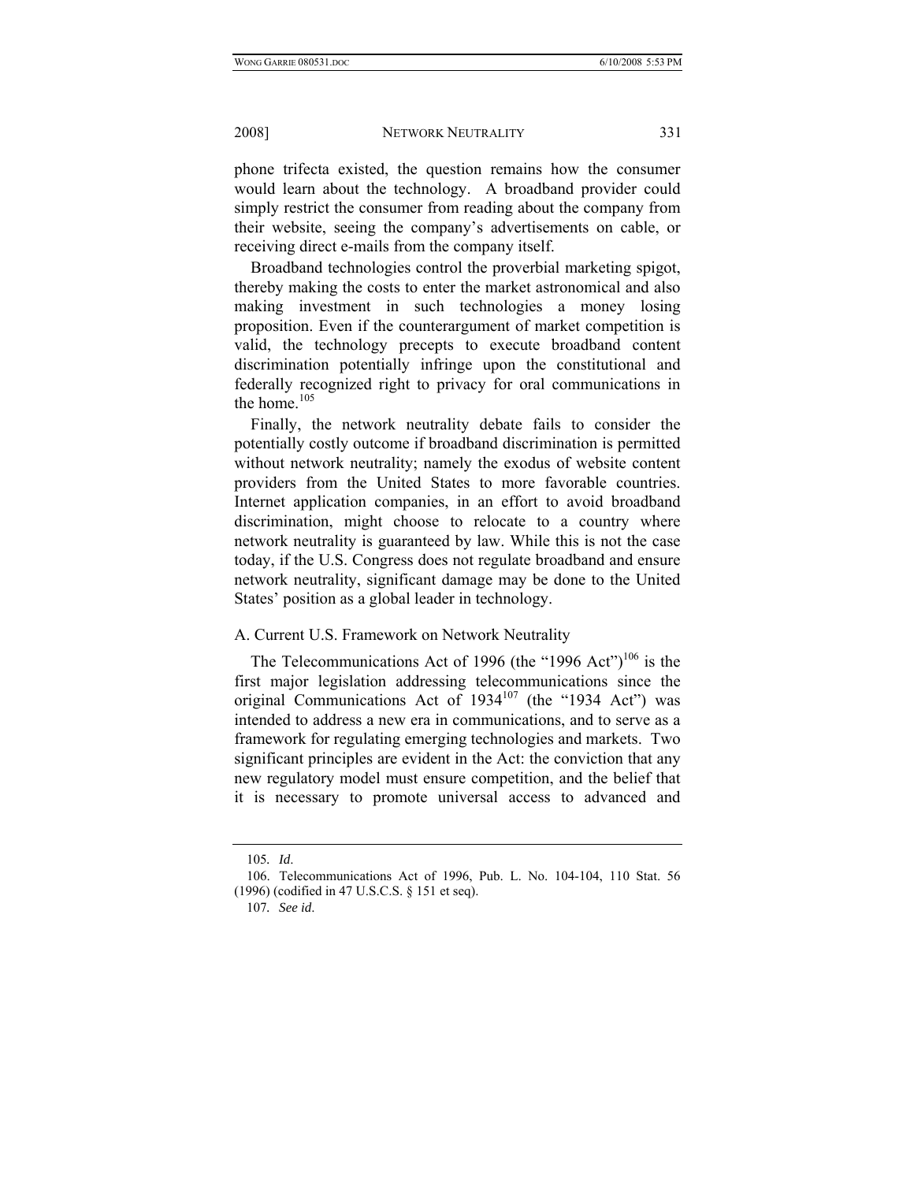phone trifecta existed, the question remains how the consumer would learn about the technology. A broadband provider could simply restrict the consumer from reading about the company from their website, seeing the company's advertisements on cable, or receiving direct e-mails from the company itself.

Broadband technologies control the proverbial marketing spigot, thereby making the costs to enter the market astronomical and also making investment in such technologies a money losing proposition. Even if the counterargument of market competition is valid, the technology precepts to execute broadband content discrimination potentially infringe upon the constitutional and federally recognized right to privacy for oral communications in the home. $105$ 

Finally, the network neutrality debate fails to consider the potentially costly outcome if broadband discrimination is permitted without network neutrality; namely the exodus of website content providers from the United States to more favorable countries. Internet application companies, in an effort to avoid broadband discrimination, might choose to relocate to a country where network neutrality is guaranteed by law. While this is not the case today, if the U.S. Congress does not regulate broadband and ensure network neutrality, significant damage may be done to the United States' position as a global leader in technology.

## A. Current U.S. Framework on Network Neutrality

The Telecommunications Act of 1996 (the "1996 Act")<sup>106</sup> is the first major legislation addressing telecommunications since the original Communications Act of  $1934^{107}$  (the "1934 Act") was intended to address a new era in communications, and to serve as a framework for regulating emerging technologies and markets. Two significant principles are evident in the Act: the conviction that any new regulatory model must ensure competition, and the belief that it is necessary to promote universal access to advanced and

<sup>105</sup>*. Id*.

 <sup>106.</sup> Telecommunications Act of 1996, Pub. L. No. 104-104, 110 Stat. 56 (1996) (codified in 47 U.S.C.S. § 151 et seq).

<sup>107</sup>*. See id*.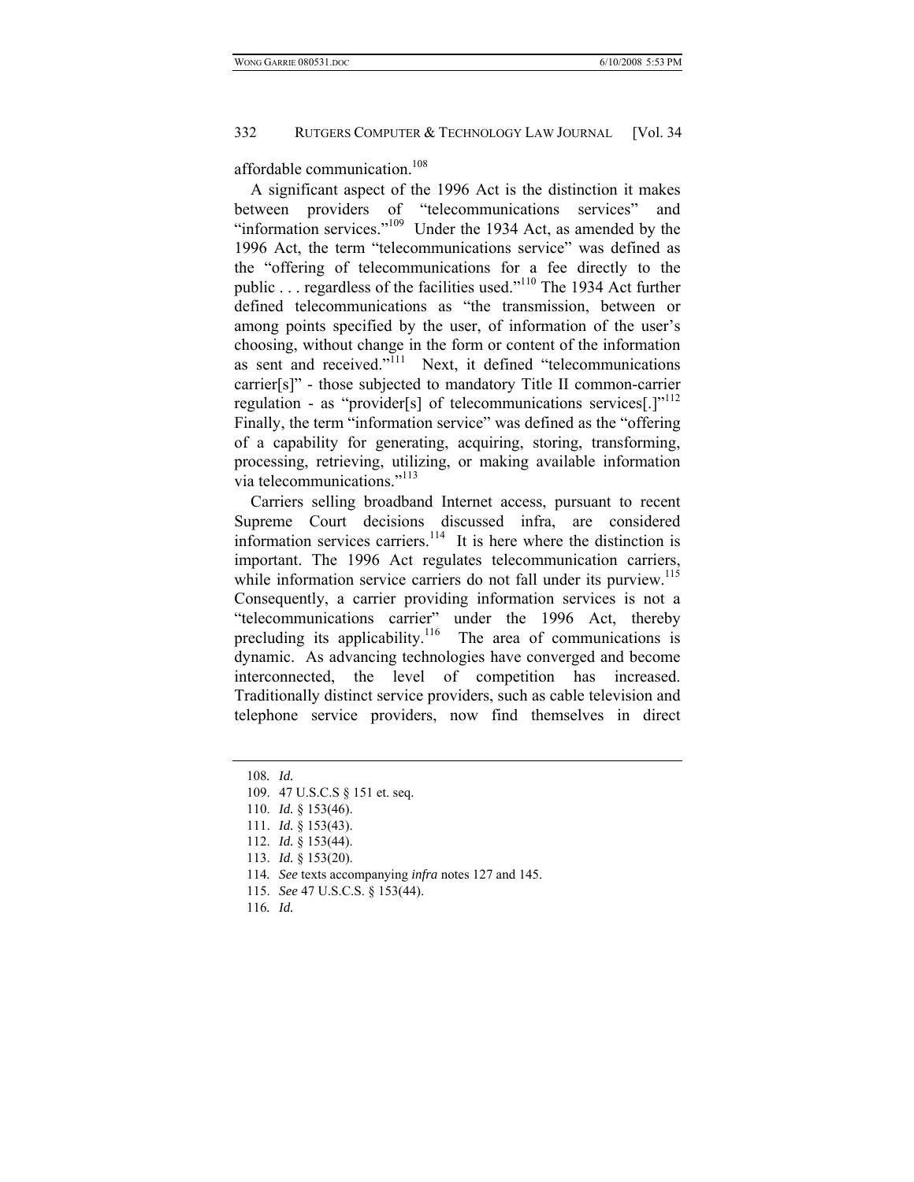affordable communication.<sup>108</sup>

A significant aspect of the 1996 Act is the distinction it makes between providers of "telecommunications services" and "information services."<sup>109</sup> Under the 1934 Act, as amended by the 1996 Act, the term "telecommunications service" was defined as the "offering of telecommunications for a fee directly to the public . . . regardless of the facilities used."110 The 1934 Act further defined telecommunications as "the transmission, between or among points specified by the user, of information of the user's choosing, without change in the form or content of the information as sent and received." $\frac{1}{111}$  Next, it defined "telecommunications" carrier[s]" - those subjected to mandatory Title II common-carrier regulation - as "provider[s] of telecommunications services[.]"<sup>112</sup> Finally, the term "information service" was defined as the "offering of a capability for generating, acquiring, storing, transforming, processing, retrieving, utilizing, or making available information via telecommunications."113

Carriers selling broadband Internet access, pursuant to recent Supreme Court decisions discussed infra, are considered information services carriers.<sup>114</sup> It is here where the distinction is important. The 1996 Act regulates telecommunication carriers, while information service carriers do not fall under its purview.<sup>115</sup> Consequently, a carrier providing information services is not a "telecommunications carrier" under the 1996 Act, thereby precluding its applicability.<sup>116</sup> The area of communications is dynamic. As advancing technologies have converged and become interconnected, the level of competition has increased. Traditionally distinct service providers, such as cable television and telephone service providers, now find themselves in direct

- 114*. See* texts accompanying *infra* notes 127 and 145.
- 115. *See* 47 U.S.C.S. § 153(44).
- 116*. Id.*

<sup>108</sup>*. Id.*

 <sup>109. 47</sup> U.S.C.S § 151 et. seq.

 <sup>110.</sup> *Id.* § 153(46).

 <sup>111.</sup> *Id.* § 153(43).

 <sup>112.</sup> *Id.* § 153(44).

 <sup>113.</sup> *Id.* § 153(20).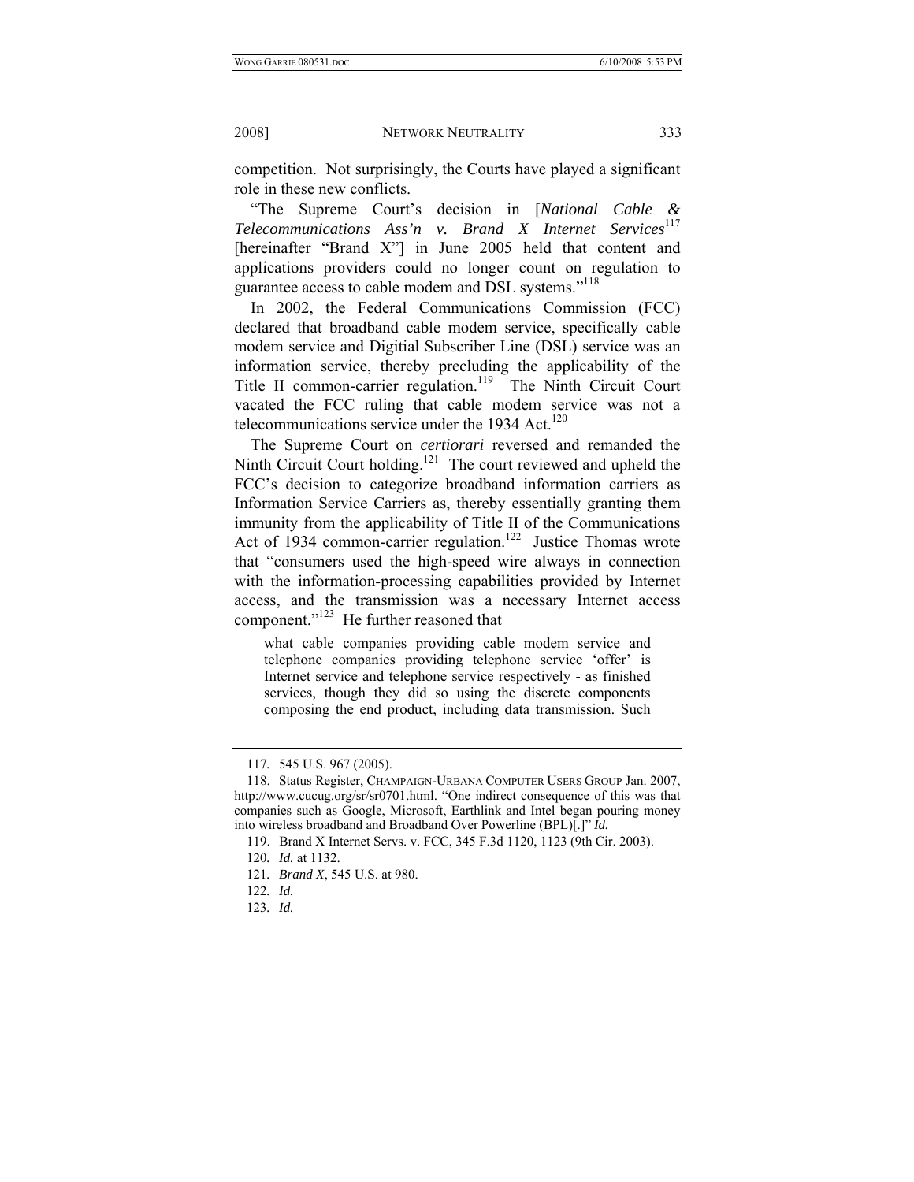competition. Not surprisingly, the Courts have played a significant role in these new conflicts.

"The Supreme Court's decision in [*National Cable & Telecommunications Ass'n v. Brand X Internet Services*<sup>117</sup> [hereinafter "Brand X"] in June 2005 held that content and applications providers could no longer count on regulation to guarantee access to cable modem and DSL systems."118

In 2002, the Federal Communications Commission (FCC) declared that broadband cable modem service, specifically cable modem service and Digitial Subscriber Line (DSL) service was an information service, thereby precluding the applicability of the Title II common-carrier regulation.<sup>119</sup> The Ninth Circuit Court vacated the FCC ruling that cable modem service was not a telecommunications service under the 1934 Act. $120$ 

The Supreme Court on *certiorari* reversed and remanded the Ninth Circuit Court holding.<sup>121</sup> The court reviewed and upheld the FCC's decision to categorize broadband information carriers as Information Service Carriers as, thereby essentially granting them immunity from the applicability of Title II of the Communications Act of 1934 common-carrier regulation.<sup>122</sup> Justice Thomas wrote that "consumers used the high-speed wire always in connection with the information-processing capabilities provided by Internet access, and the transmission was a necessary Internet access component."123 He further reasoned that

what cable companies providing cable modem service and telephone companies providing telephone service 'offer' is Internet service and telephone service respectively - as finished services, though they did so using the discrete components composing the end product, including data transmission. Such

<sup>117</sup>*.* 545 U.S. 967 (2005).

 <sup>118.</sup> Status Register, CHAMPAIGN-URBANA COMPUTER USERS GROUP Jan. 2007, http://www.cucug.org/sr/sr0701.html. "One indirect consequence of this was that companies such as Google, Microsoft, Earthlink and Intel began pouring money into wireless broadband and Broadband Over Powerline (BPL)[.]" *Id.* 

 <sup>119.</sup> Brand X Internet Servs. v. FCC, 345 F.3d 1120, 1123 (9th Cir. 2003).

<sup>120</sup>*. Id.* at 1132.

<sup>121</sup>*. Brand X*, 545 U.S. at 980.

<sup>122</sup>*. Id.*

<sup>123</sup>*. Id.*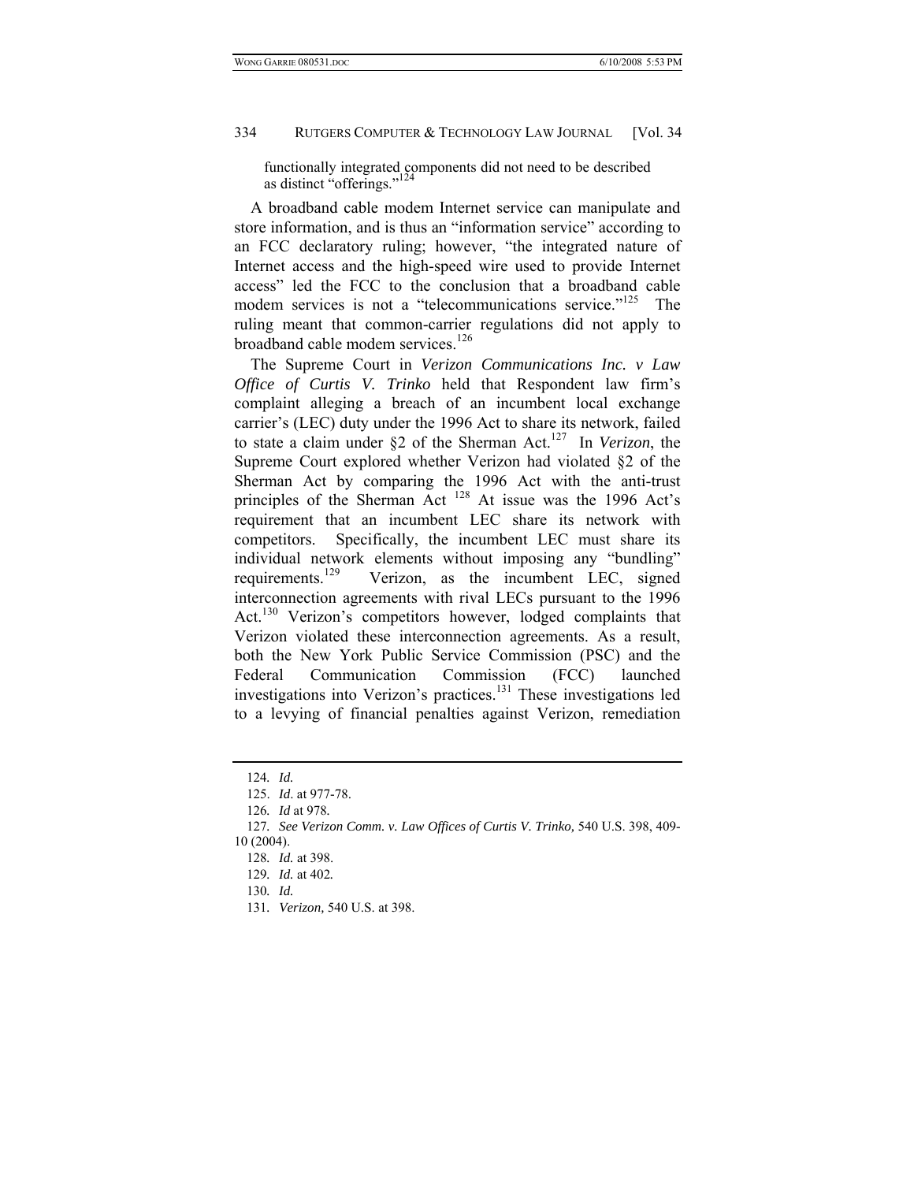functionally integrated components did not need to be described as distinct "offerings."<sup>124</sup>

A broadband cable modem Internet service can manipulate and store information, and is thus an "information service" according to an FCC declaratory ruling; however, "the integrated nature of Internet access and the high-speed wire used to provide Internet access" led the FCC to the conclusion that a broadband cable modem services is not a "telecommunications service."<sup>125</sup> The ruling meant that common-carrier regulations did not apply to broadband cable modem services.<sup>126</sup>

The Supreme Court in *Verizon Communications Inc. v Law Office of Curtis V. Trinko* held that Respondent law firm's complaint alleging a breach of an incumbent local exchange carrier's (LEC) duty under the 1996 Act to share its network, failed to state a claim under §2 of the Sherman Act.127 In *Verizon*, the Supreme Court explored whether Verizon had violated §2 of the Sherman Act by comparing the 1996 Act with the anti-trust principles of the Sherman Act <sup>128</sup> At issue was the 1996 Act's requirement that an incumbent LEC share its network with competitors. Specifically, the incumbent LEC must share its individual network elements without imposing any "bundling" requirements.<sup>129</sup> Verizon, as the incumbent LEC, signed interconnection agreements with rival LECs pursuant to the 1996 Act.<sup>130</sup> Verizon's competitors however, lodged complaints that Verizon violated these interconnection agreements. As a result, both the New York Public Service Commission (PSC) and the Federal Communication Commission (FCC) launched investigations into Verizon's practices.<sup>131</sup> These investigations led to a levying of financial penalties against Verizon, remediation

131*. Verizon,* 540 U.S. at 398.

<sup>124</sup>*. Id.*

 <sup>125.</sup> *Id*. at 977-78.

<sup>126</sup>*. Id* at 978*.*

<sup>127</sup>*. See Verizon Comm. v. Law Offices of Curtis V. Trinko,* 540 U.S. 398, 409- 10 (2004).

<sup>128</sup>*. Id.* at 398.

<sup>129</sup>*. Id.* at 402*.*

<sup>130</sup>*. Id.*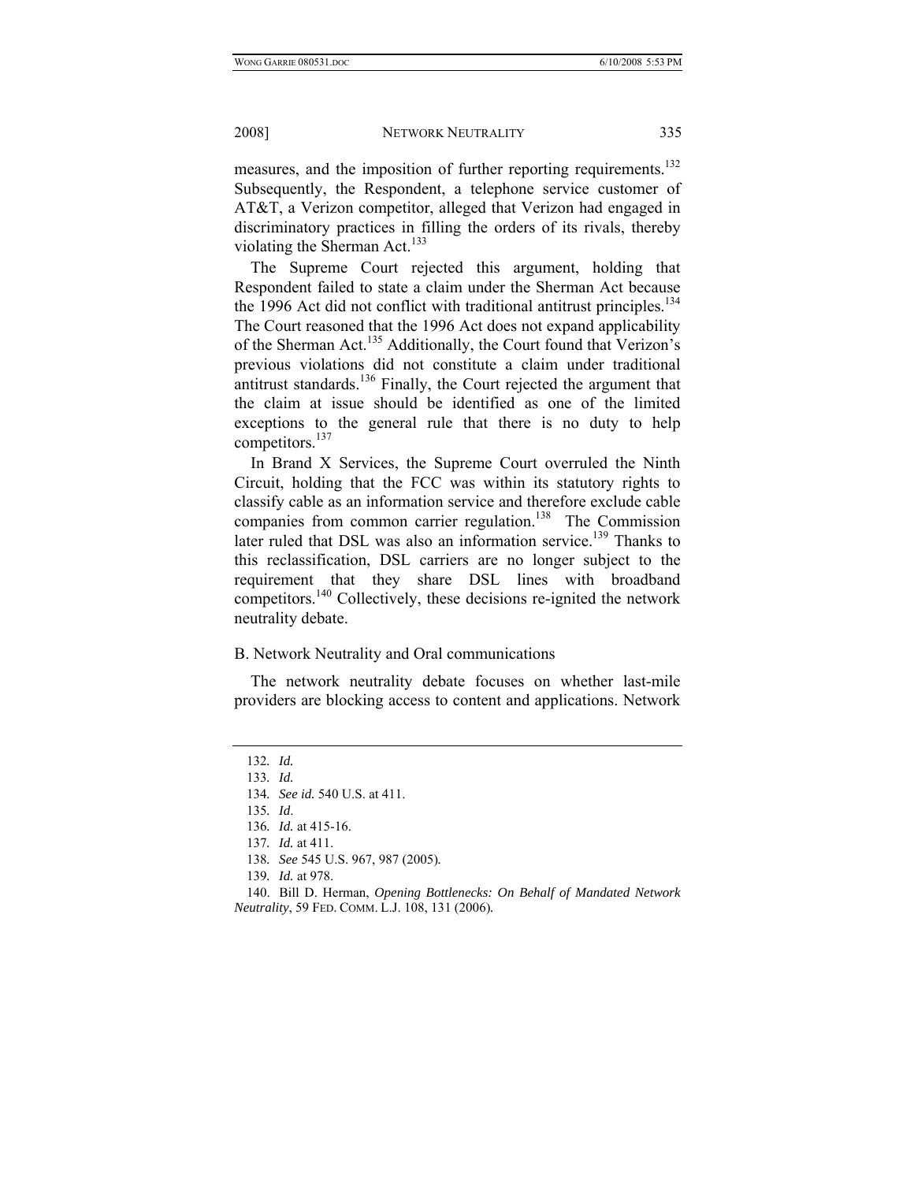measures, and the imposition of further reporting requirements.<sup>132</sup> Subsequently, the Respondent, a telephone service customer of AT&T, a Verizon competitor, alleged that Verizon had engaged in discriminatory practices in filling the orders of its rivals, thereby violating the Sherman Act.<sup>133</sup>

The Supreme Court rejected this argument, holding that Respondent failed to state a claim under the Sherman Act because the 1996 Act did not conflict with traditional antitrust principles.<sup>134</sup> The Court reasoned that the 1996 Act does not expand applicability of the Sherman Act.<sup>135</sup> Additionally, the Court found that Verizon's previous violations did not constitute a claim under traditional antitrust standards.136 Finally, the Court rejected the argument that the claim at issue should be identified as one of the limited exceptions to the general rule that there is no duty to help competitors.<sup>137</sup>

In Brand X Services, the Supreme Court overruled the Ninth Circuit, holding that the FCC was within its statutory rights to classify cable as an information service and therefore exclude cable companies from common carrier regulation.<sup>138</sup> The Commission later ruled that DSL was also an information service.<sup>139</sup> Thanks to this reclassification, DSL carriers are no longer subject to the requirement that they share DSL lines with broadband competitors.<sup>140</sup> Collectively, these decisions re-ignited the network neutrality debate.

#### B. Network Neutrality and Oral communications

The network neutrality debate focuses on whether last-mile providers are blocking access to content and applications. Network

<sup>132</sup>*. Id.*

<sup>133</sup>*. Id.*

<sup>134</sup>*. See id.* 540 U.S. at 411.

<sup>135</sup>*. Id*.

<sup>136</sup>*. Id.* at 415-16.

<sup>137</sup>*. Id.* at 411.

<sup>138</sup>*. See* 545 U.S. 967, 987 (2005)*.*

<sup>139</sup>*. Id.* at 978.

 <sup>140.</sup> Bill D. Herman, *Opening Bottlenecks: On Behalf of Mandated Network Neutrality*, 59 FED. COMM. L.J. 108, 131 (2006)*.*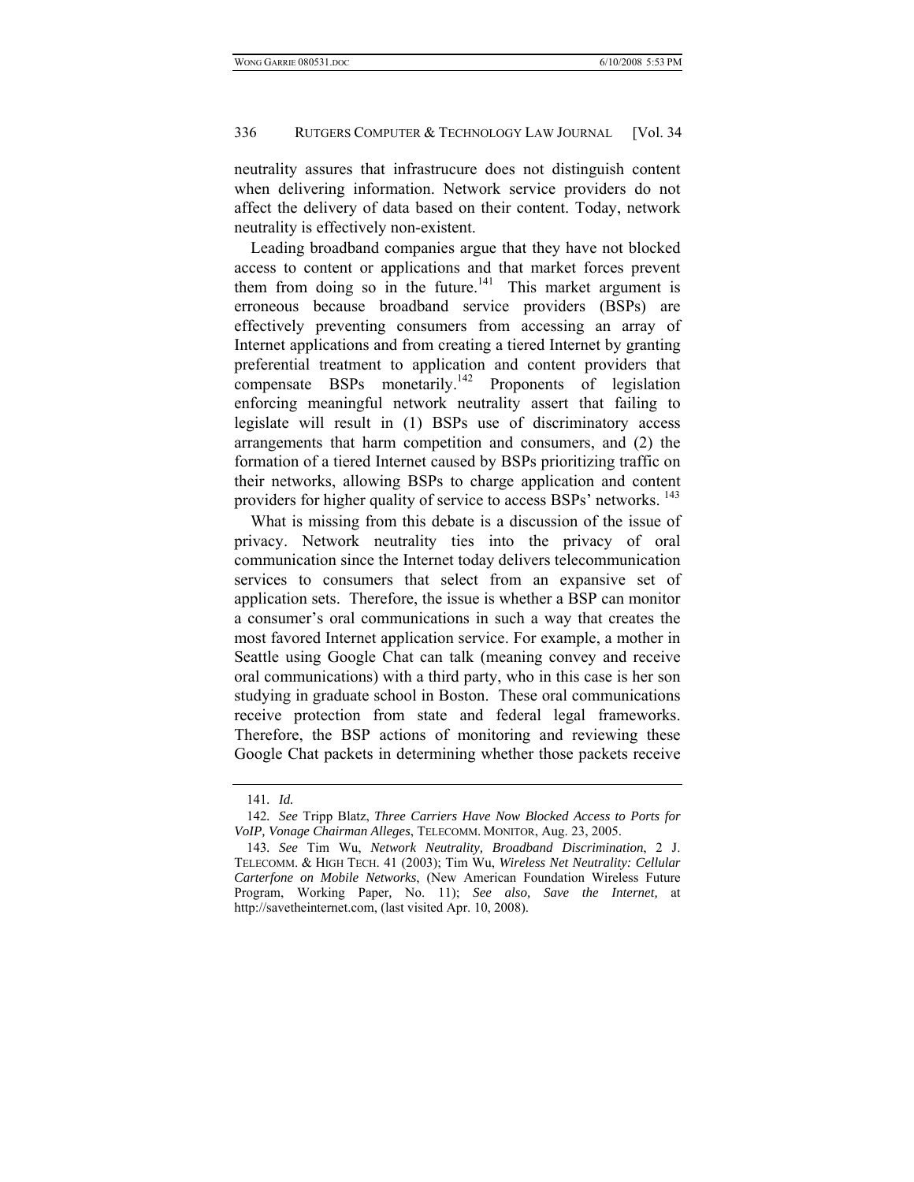neutrality assures that infrastrucure does not distinguish content when delivering information. Network service providers do not affect the delivery of data based on their content. Today, network neutrality is effectively non-existent.

Leading broadband companies argue that they have not blocked access to content or applications and that market forces prevent them from doing so in the future.<sup>141</sup> This market argument is erroneous because broadband service providers (BSPs) are effectively preventing consumers from accessing an array of Internet applications and from creating a tiered Internet by granting preferential treatment to application and content providers that compensate BSPs monetarily.<sup>142</sup> Proponents of legislation enforcing meaningful network neutrality assert that failing to legislate will result in (1) BSPs use of discriminatory access arrangements that harm competition and consumers, and (2) the formation of a tiered Internet caused by BSPs prioritizing traffic on their networks, allowing BSPs to charge application and content providers for higher quality of service to access BSPs' networks. <sup>143</sup>

What is missing from this debate is a discussion of the issue of privacy. Network neutrality ties into the privacy of oral communication since the Internet today delivers telecommunication services to consumers that select from an expansive set of application sets. Therefore, the issue is whether a BSP can monitor a consumer's oral communications in such a way that creates the most favored Internet application service. For example, a mother in Seattle using Google Chat can talk (meaning convey and receive oral communications) with a third party, who in this case is her son studying in graduate school in Boston. These oral communications receive protection from state and federal legal frameworks. Therefore, the BSP actions of monitoring and reviewing these Google Chat packets in determining whether those packets receive

<sup>141</sup>*. Id.*

<sup>142</sup>*. See* Tripp Blatz, *Three Carriers Have Now Blocked Access to Ports for VoIP, Vonage Chairman Alleges*, TELECOMM. MONITOR, Aug. 23, 2005.

<sup>143</sup>*. See* Tim Wu, *Network Neutrality, Broadband Discrimination*, 2 J. TELECOMM. & HIGH TECH. 41 (2003); Tim Wu, *Wireless Net Neutrality: Cellular Carterfone on Mobile Networks*, (New American Foundation Wireless Future Program, Working Paper*,* No. 11); *See also, Save the Internet,* at http://savetheinternet.com, (last visited Apr. 10, 2008).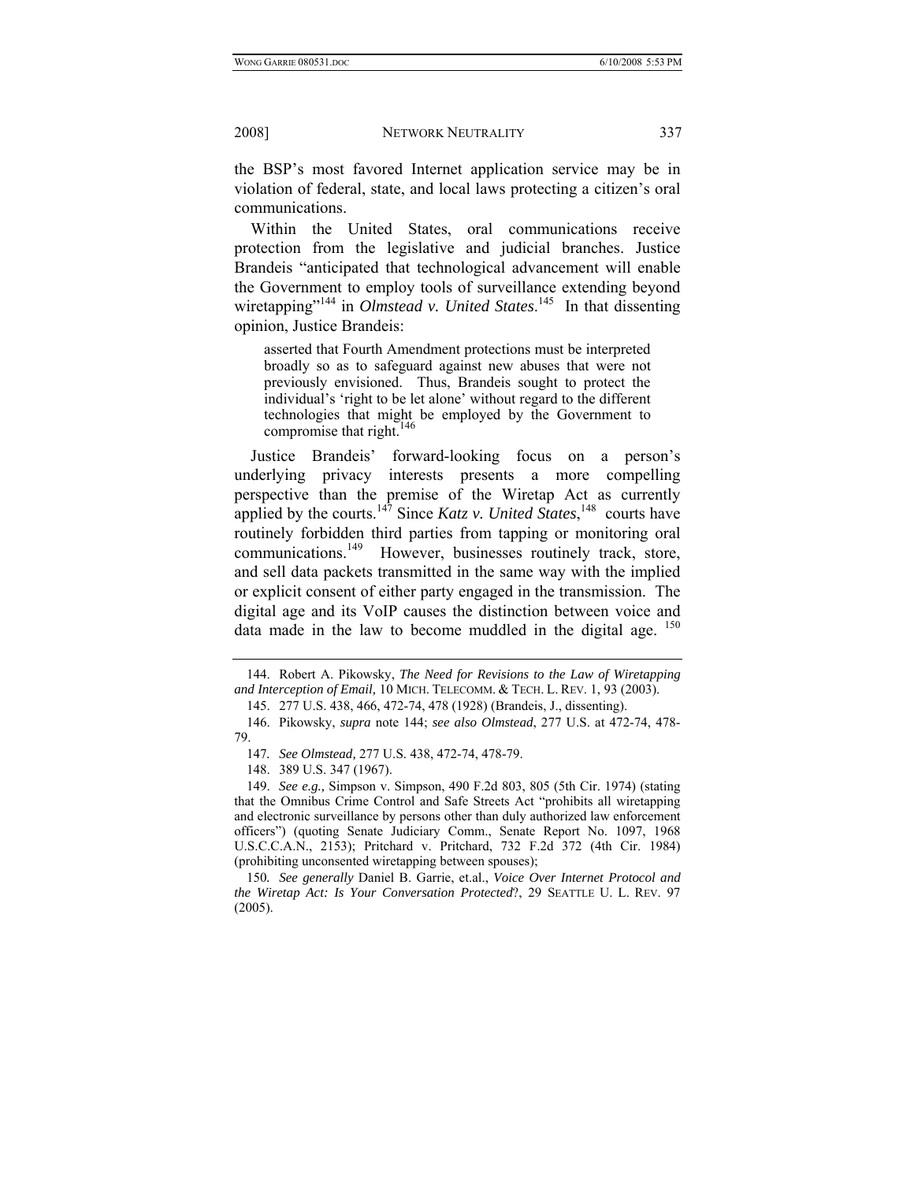the BSP's most favored Internet application service may be in violation of federal, state, and local laws protecting a citizen's oral communications.

Within the United States, oral communications receive protection from the legislative and judicial branches. Justice Brandeis "anticipated that technological advancement will enable the Government to employ tools of surveillance extending beyond wiretapping"<sup>144</sup> in *Olmstead v. United States*.<sup>145</sup> In that dissenting opinion, Justice Brandeis:

asserted that Fourth Amendment protections must be interpreted broadly so as to safeguard against new abuses that were not previously envisioned. Thus, Brandeis sought to protect the individual's 'right to be let alone' without regard to the different technologies that might be employed by the Government to compromise that right.<sup>146</sup>

Justice Brandeis' forward-looking focus on a person's underlying privacy interests presents a more compelling perspective than the premise of the Wiretap Act as currently applied by the courts.<sup>147</sup> Since *Katz v. United States*,<sup>148</sup> courts have routinely forbidden third parties from tapping or monitoring oral communications.<sup>149</sup> However, businesses routinely track, store, and sell data packets transmitted in the same way with the implied or explicit consent of either party engaged in the transmission. The digital age and its VoIP causes the distinction between voice and data made in the law to become muddled in the digital age. <sup>150</sup>

 <sup>144.</sup> Robert A. Pikowsky, *The Need for Revisions to the Law of Wiretapping and Interception of Email,* 10 MICH. TELECOMM. & TECH. L. REV. 1, 93 (2003).

 <sup>145. 277</sup> U.S. 438, 466, 472-74, 478 (1928) (Brandeis, J., dissenting).

 <sup>146.</sup> Pikowsky, *supra* note 144; *see also Olmstead*, 277 U.S. at 472-74, 478- 79.

<sup>147</sup>*. See Olmstead,* 277 U.S. 438, 472-74, 478-79.

 <sup>148. 389</sup> U.S. 347 (1967).

 <sup>149.</sup> *See e.g.,* Simpson v. Simpson, 490 F.2d 803, 805 (5th Cir. 1974) (stating that the Omnibus Crime Control and Safe Streets Act "prohibits all wiretapping and electronic surveillance by persons other than duly authorized law enforcement officers") (quoting Senate Judiciary Comm., Senate Report No. 1097, 1968 U.S.C.C.A.N., 2153); Pritchard v. Pritchard, 732 F.2d 372 (4th Cir. 1984) (prohibiting unconsented wiretapping between spouses);

<sup>150</sup>*. See generally* Daniel B. Garrie, et.al., *Voice Over Internet Protocol and the Wiretap Act: Is Your Conversation Protected*?, 29 SEATTLE U. L. REV. 97 (2005).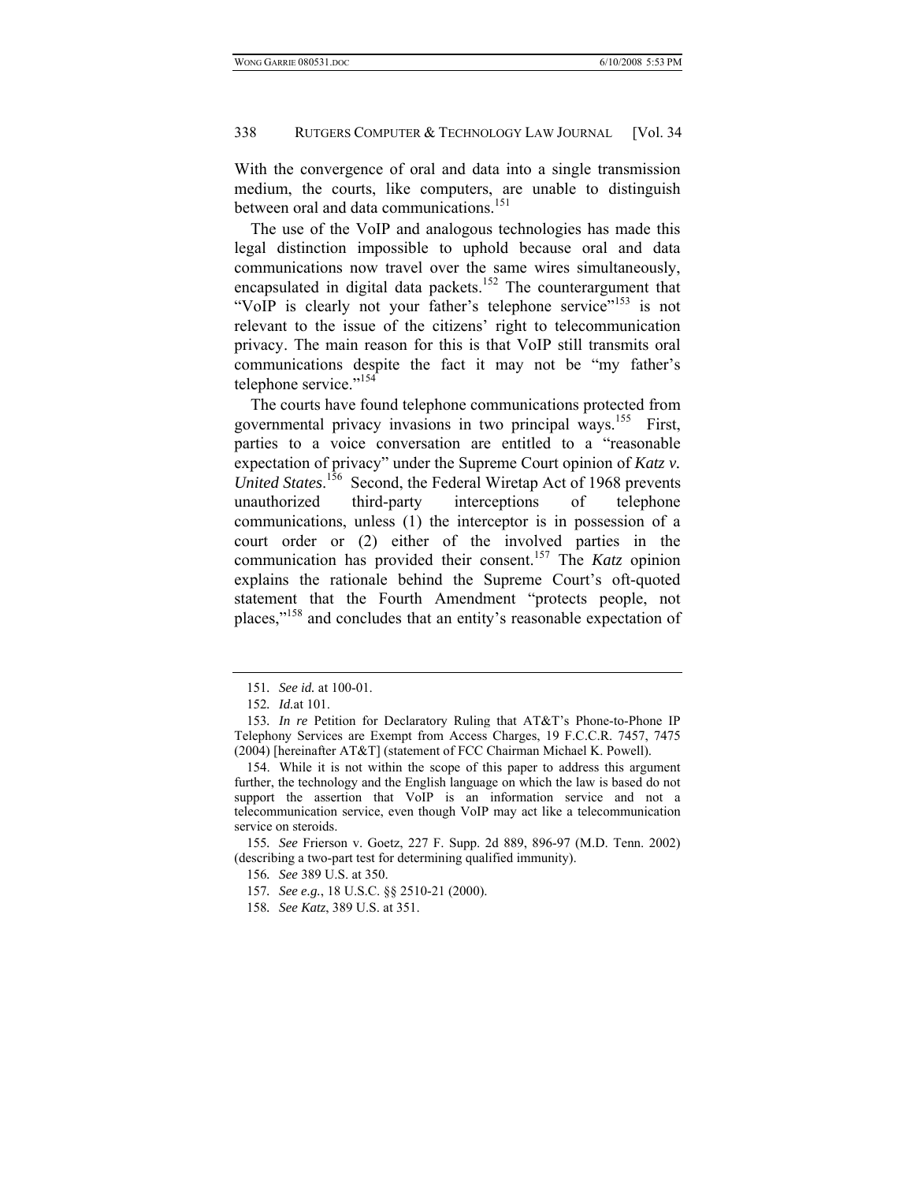With the convergence of oral and data into a single transmission medium, the courts, like computers, are unable to distinguish between oral and data communications.<sup>151</sup>

The use of the VoIP and analogous technologies has made this legal distinction impossible to uphold because oral and data communications now travel over the same wires simultaneously, encapsulated in digital data packets.<sup>152</sup> The counterargument that "VoIP is clearly not your father's telephone service"<sup>153</sup> is not relevant to the issue of the citizens' right to telecommunication privacy. The main reason for this is that VoIP still transmits oral communications despite the fact it may not be "my father's telephone service."<sup>154</sup>

The courts have found telephone communications protected from governmental privacy invasions in two principal ways.<sup>155</sup> First, parties to a voice conversation are entitled to a "reasonable expectation of privacy" under the Supreme Court opinion of *Katz v.*  United States.<sup>156</sup> Second, the Federal Wiretap Act of 1968 prevents unauthorized third-party interceptions of telephone communications, unless (1) the interceptor is in possession of a court order or (2) either of the involved parties in the communication has provided their consent.157 The *Katz* opinion explains the rationale behind the Supreme Court's oft-quoted statement that the Fourth Amendment "protects people, not places,"158 and concludes that an entity's reasonable expectation of

<sup>151</sup>*. See id.* at 100-01.

<sup>152</sup>*. Id.*at 101.

<sup>153</sup>*. In re* Petition for Declaratory Ruling that AT&T's Phone-to-Phone IP Telephony Services are Exempt from Access Charges, 19 F.C.C.R. 7457, 7475 (2004) [hereinafter AT&T] (statement of FCC Chairman Michael K. Powell).

 <sup>154.</sup> While it is not within the scope of this paper to address this argument further, the technology and the English language on which the law is based do not support the assertion that VoIP is an information service and not a telecommunication service, even though VoIP may act like a telecommunication service on steroids.

<sup>155</sup>*. See* Frierson v. Goetz, 227 F. Supp. 2d 889, 896-97 (M.D. Tenn. 2002) (describing a two-part test for determining qualified immunity).

<sup>156</sup>*. See* 389 U.S. at 350.

<sup>157</sup>*. See e.g.*, 18 U.S.C. §§ 2510-21 (2000).

<sup>158</sup>*. See Katz*, 389 U.S. at 351.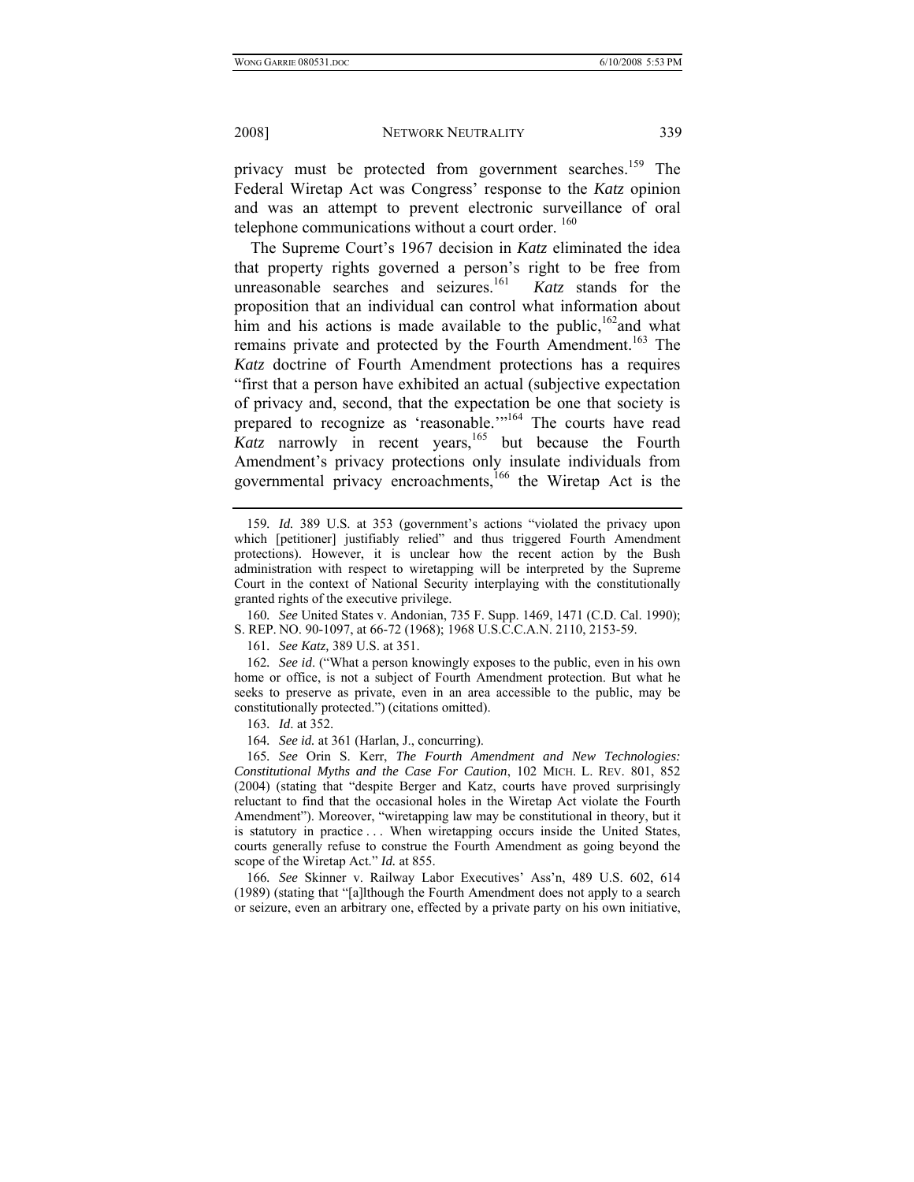privacy must be protected from government searches.<sup>159</sup> The Federal Wiretap Act was Congress' response to the *Katz* opinion and was an attempt to prevent electronic surveillance of oral telephone communications without a court order.  $160$ 

The Supreme Court's 1967 decision in *Katz* eliminated the idea that property rights governed a person's right to be free from unreasonable searches and seizures.<sup>161</sup> *Katz* stands for the proposition that an individual can control what information about him and his actions is made available to the public,  $162$  and what remains private and protected by the Fourth Amendment.<sup>163</sup> The *Katz* doctrine of Fourth Amendment protections has a requires "first that a person have exhibited an actual (subjective expectation of privacy and, second, that the expectation be one that society is prepared to recognize as 'reasonable.'"<sup>164</sup> The courts have read Katz narrowly in recent years,<sup>165</sup> but because the Fourth Amendment's privacy protections only insulate individuals from governmental privacy encroachments,<sup>166</sup> the Wiretap Act is the

160*. See* United States v. Andonian, 735 F. Supp. 1469, 1471 (C.D. Cal. 1990); S. REP. NO. 90-1097, at 66-72 (1968); 1968 U.S.C.C.A.N. 2110, 2153-59.

161*. See Katz,* 389 U.S. at 351.

162*. See id*. ("What a person knowingly exposes to the public, even in his own home or office, is not a subject of Fourth Amendment protection. But what he seeks to preserve as private, even in an area accessible to the public, may be constitutionally protected.") (citations omitted).

163*. Id*. at 352.

164*. See id.* at 361 (Harlan, J., concurring).

165*. See* Orin S. Kerr, *The Fourth Amendment and New Technologies: Constitutional Myths and the Case For Caution*, 102 MICH. L. REV. 801, 852 (2004) (stating that "despite Berger and Katz, courts have proved surprisingly reluctant to find that the occasional holes in the Wiretap Act violate the Fourth Amendment"). Moreover, "wiretapping law may be constitutional in theory, but it is statutory in practice . . . When wiretapping occurs inside the United States, courts generally refuse to construe the Fourth Amendment as going beyond the scope of the Wiretap Act." *Id.* at 855.

166*. See* Skinner v. Railway Labor Executives' Ass'n, 489 U.S. 602, 614 (1989) (stating that "[a]lthough the Fourth Amendment does not apply to a search or seizure, even an arbitrary one, effected by a private party on his own initiative,

<sup>159</sup>*. Id.* 389 U.S. at 353 (government's actions "violated the privacy upon which [petitioner] justifiably relied" and thus triggered Fourth Amendment protections). However, it is unclear how the recent action by the Bush administration with respect to wiretapping will be interpreted by the Supreme Court in the context of National Security interplaying with the constitutionally granted rights of the executive privilege.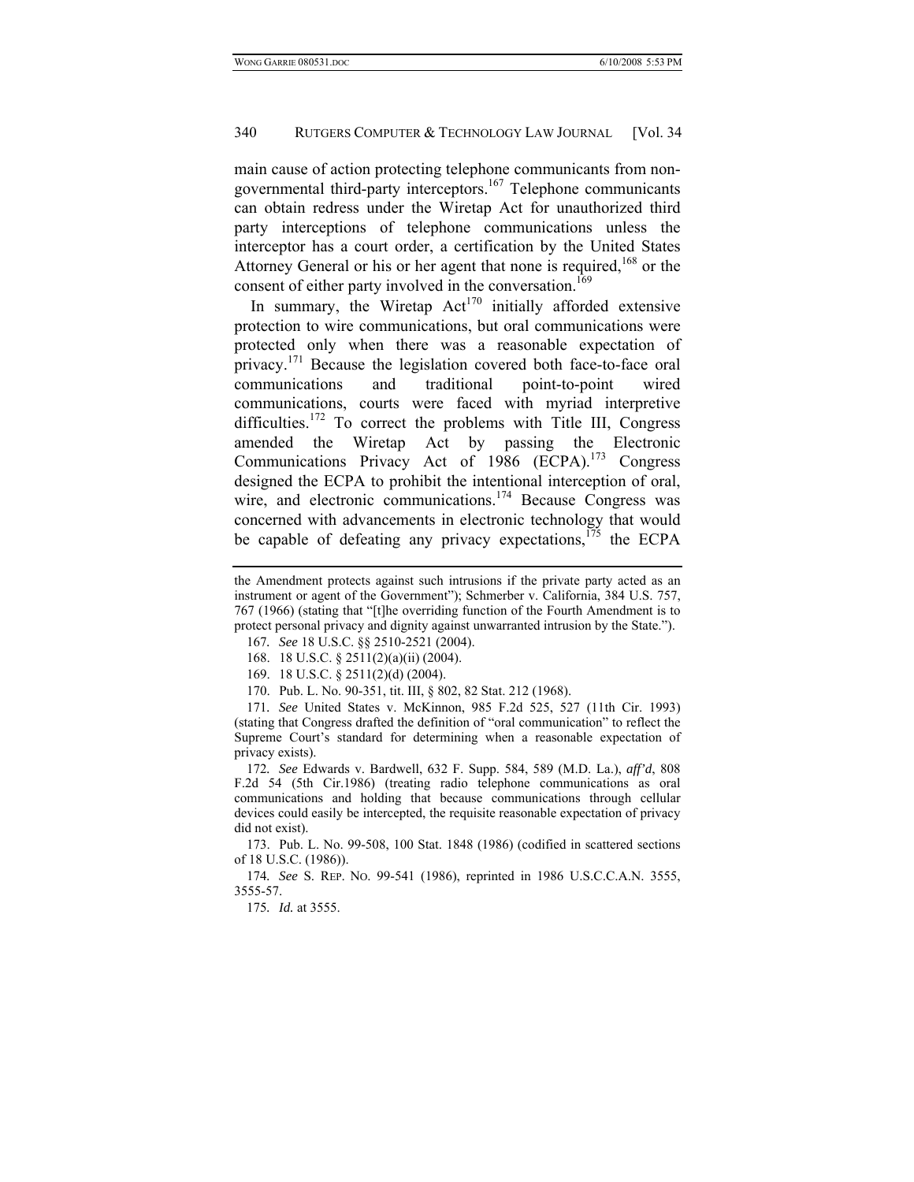main cause of action protecting telephone communicants from nongovernmental third-party interceptors.<sup>167</sup> Telephone communicants can obtain redress under the Wiretap Act for unauthorized third party interceptions of telephone communications unless the interceptor has a court order, a certification by the United States Attorney General or his or her agent that none is required,<sup>168</sup> or the consent of either party involved in the conversation.<sup>169</sup>

In summary, the Wiretap  $Act^{170}$  initially afforded extensive protection to wire communications, but oral communications were protected only when there was a reasonable expectation of privacy.171 Because the legislation covered both face-to-face oral communications and traditional point-to-point wired communications, courts were faced with myriad interpretive difficulties.<sup>172</sup> To correct the problems with Title III, Congress amended the Wiretap Act by passing the Electronic Communications Privacy Act of 1986 (ECPA).<sup>173</sup> Congress designed the ECPA to prohibit the intentional interception of oral, wire, and electronic communications.<sup>174</sup> Because Congress was concerned with advancements in electronic technology that would be capable of defeating any privacy expectations, $175$  the ECPA

169. 18 U.S.C. § 2511(2)(d) (2004).

170. Pub. L. No. 90-351, tit. III, § 802, 82 Stat. 212 (1968).

171*. See* United States v. McKinnon, 985 F.2d 525, 527 (11th Cir. 1993) (stating that Congress drafted the definition of "oral communication" to reflect the Supreme Court's standard for determining when a reasonable expectation of privacy exists).

172*. See* Edwards v. Bardwell, 632 F. Supp. 584, 589 (M.D. La.), *aff'd*, 808 F.2d 54 (5th Cir.1986) (treating radio telephone communications as oral communications and holding that because communications through cellular devices could easily be intercepted, the requisite reasonable expectation of privacy did not exist).

 173. Pub. L. No. 99-508, 100 Stat. 1848 (1986) (codified in scattered sections of 18 U.S.C. (1986)).

174*. See* S. REP. NO. 99-541 (1986), reprinted in 1986 U.S.C.C.A.N. 3555, 3555-57.

175*. Id.* at 3555.

the Amendment protects against such intrusions if the private party acted as an instrument or agent of the Government"); Schmerber v. California, 384 U.S. 757, 767 (1966) (stating that "[t]he overriding function of the Fourth Amendment is to protect personal privacy and dignity against unwarranted intrusion by the State.").

<sup>167</sup>*. See* 18 U.S.C. §§ 2510-2521 (2004).

 <sup>168. 18</sup> U.S.C. § 2511(2)(a)(ii) (2004).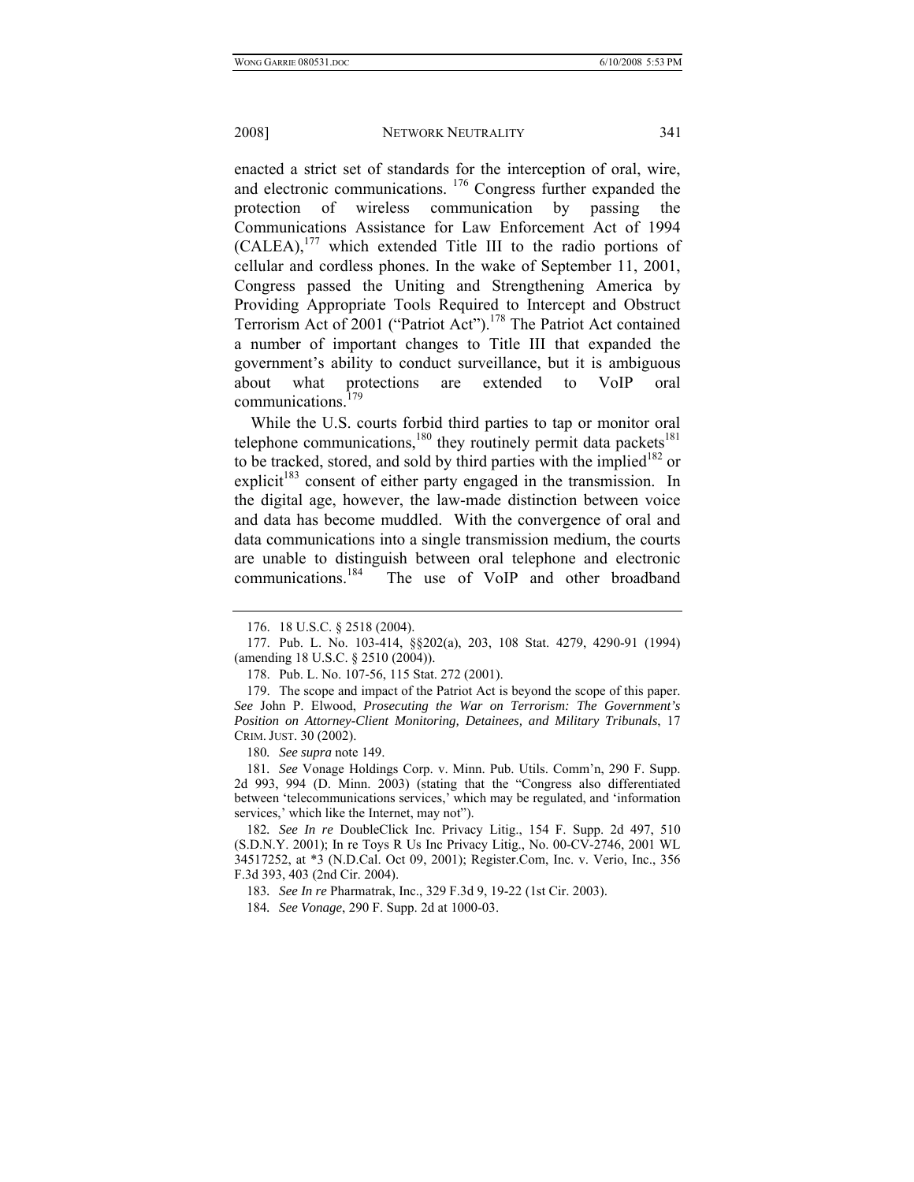enacted a strict set of standards for the interception of oral, wire, and electronic communications. 176 Congress further expanded the protection of wireless communication by passing the Communications Assistance for Law Enforcement Act of 1994 (CALEA),177 which extended Title III to the radio portions of cellular and cordless phones. In the wake of September 11, 2001, Congress passed the Uniting and Strengthening America by Providing Appropriate Tools Required to Intercept and Obstruct Terrorism Act of 2001 ("Patriot Act").<sup>178</sup> The Patriot Act contained a number of important changes to Title III that expanded the government's ability to conduct surveillance, but it is ambiguous about what protections are extended to VoIP oral communications.<sup>179</sup>

While the U.S. courts forbid third parties to tap or monitor oral telephone communications, $180$  they routinely permit data packets $181$ to be tracked, stored, and sold by third parties with the implied<sup>182</sup> or explicit<sup>183</sup> consent of either party engaged in the transmission. In the digital age, however, the law-made distinction between voice and data has become muddled. With the convergence of oral and data communications into a single transmission medium, the courts are unable to distinguish between oral telephone and electronic communications.184 The use of VoIP and other broadband

180*. See supra* note 149.

181*. See* Vonage Holdings Corp. v. Minn. Pub. Utils. Comm'n, 290 F. Supp. 2d 993, 994 (D. Minn. 2003) (stating that the "Congress also differentiated between 'telecommunications services,' which may be regulated, and 'information services,' which like the Internet, may not").

182*. See In re* DoubleClick Inc. Privacy Litig., 154 F. Supp. 2d 497, 510 (S.D.N.Y. 2001); In re Toys R Us Inc Privacy Litig., No. 00-CV-2746, 2001 WL 34517252, at \*3 (N.D.Cal. Oct 09, 2001); Register.Com, Inc. v. Verio, Inc., 356 F.3d 393, 403 (2nd Cir. 2004).

183*. See In re* Pharmatrak, Inc., 329 F.3d 9, 19-22 (1st Cir. 2003).

 <sup>176. 18</sup> U.S.C. § 2518 (2004).

 <sup>177.</sup> Pub. L. No. 103-414, §§202(a), 203, 108 Stat. 4279, 4290-91 (1994) (amending 18 U.S.C. § 2510 (2004)).

 <sup>178.</sup> Pub. L. No. 107-56, 115 Stat. 272 (2001).

 <sup>179.</sup> The scope and impact of the Patriot Act is beyond the scope of this paper. *See* John P. Elwood, *Prosecuting the War on Terrorism: The Government's Position on Attorney-Client Monitoring, Detainees, and Military Tribunals*, 17 CRIM. JUST. 30 (2002).

<sup>184</sup>*. See Vonage*, 290 F. Supp. 2d at 1000-03.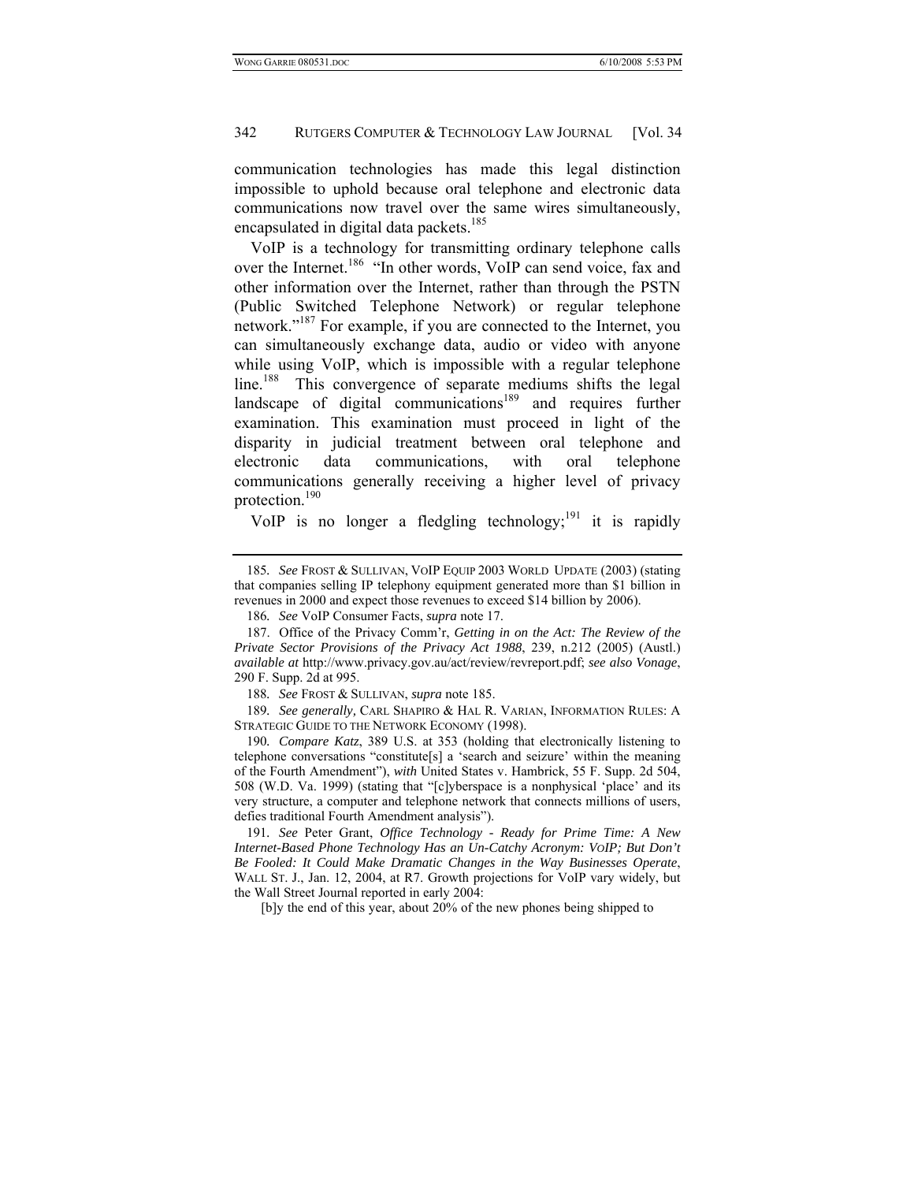communication technologies has made this legal distinction impossible to uphold because oral telephone and electronic data communications now travel over the same wires simultaneously, encapsulated in digital data packets.<sup>185</sup>

VoIP is a technology for transmitting ordinary telephone calls over the Internet.<sup>186</sup> "In other words, VoIP can send voice, fax and other information over the Internet, rather than through the PSTN (Public Switched Telephone Network) or regular telephone network."<sup>187</sup> For example, if you are connected to the Internet, you can simultaneously exchange data, audio or video with anyone while using VoIP, which is impossible with a regular telephone line.<sup>188</sup> This convergence of separate mediums shifts the legal landscape of digital communications<sup>189</sup> and requires further examination. This examination must proceed in light of the disparity in judicial treatment between oral telephone and electronic data communications, with oral telephone communications generally receiving a higher level of privacy protection.190

VoIP is no longer a fledgling technology;<sup>191</sup> it is rapidly

189*. See generally,* CARL SHAPIRO & HAL R. VARIAN, INFORMATION RULES: A STRATEGIC GUIDE TO THE NETWORK ECONOMY (1998).

190*. Compare Katz*, 389 U.S. at 353 (holding that electronically listening to telephone conversations "constitute[s] a 'search and seizure' within the meaning of the Fourth Amendment"), *with* United States v. Hambrick, 55 F. Supp. 2d 504, 508 (W.D. Va. 1999) (stating that "[c]yberspace is a nonphysical 'place' and its very structure, a computer and telephone network that connects millions of users, defies traditional Fourth Amendment analysis").

191*. See* Peter Grant, *Office Technology - Ready for Prime Time: A New Internet-Based Phone Technology Has an Un-Catchy Acronym: VOIP; But Don't Be Fooled: It Could Make Dramatic Changes in the Way Businesses Operate*, WALL ST. J., Jan. 12, 2004, at R7. Growth projections for VoIP vary widely, but the Wall Street Journal reported in early 2004:

[b]y the end of this year, about 20% of the new phones being shipped to

<sup>185</sup>*. See* FROST & SULLIVAN, VOIP EQUIP 2003 WORLD UPDATE (2003) (stating that companies selling IP telephony equipment generated more than \$1 billion in revenues in 2000 and expect those revenues to exceed \$14 billion by 2006).

<sup>186</sup>*. See* VoIP Consumer Facts, *supra* note 17.

 <sup>187.</sup> Office of the Privacy Comm'r, *Getting in on the Act: The Review of the Private Sector Provisions of the Privacy Act 1988*, 239, n.212 (2005) (Austl.) *available at* http://www.privacy.gov.au/act/review/revreport.pdf; *see also Vonage*, 290 F. Supp. 2d at 995.

<sup>188</sup>*. See* FROST & SULLIVAN, *supra* note 185.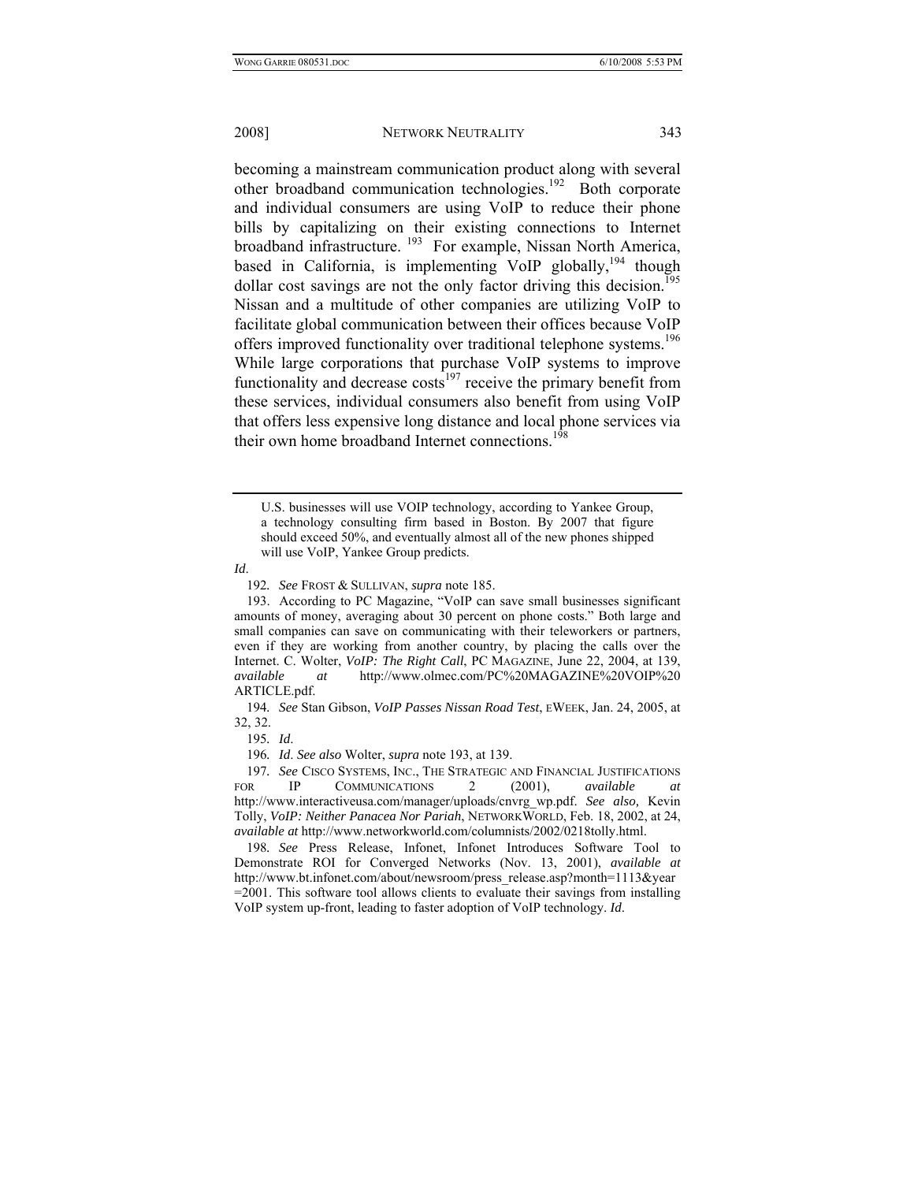becoming a mainstream communication product along with several other broadband communication technologies.<sup>192</sup> Both corporate and individual consumers are using VoIP to reduce their phone bills by capitalizing on their existing connections to Internet broadband infrastructure. <sup>193</sup> For example, Nissan North America, based in California, is implementing VoIP globally,  $194$  though dollar cost savings are not the only factor driving this decision.<sup>195</sup> Nissan and a multitude of other companies are utilizing VoIP to facilitate global communication between their offices because VoIP offers improved functionality over traditional telephone systems.<sup>196</sup> While large corporations that purchase VoIP systems to improve functionality and decrease  $costs<sup>197</sup>$  receive the primary benefit from these services, individual consumers also benefit from using VoIP that offers less expensive long distance and local phone services via their own home broadband Internet connections.<sup>198</sup>

U.S. businesses will use VOIP technology, according to Yankee Group, a technology consulting firm based in Boston. By 2007 that figure should exceed 50%, and eventually almost all of the new phones shipped will use VoIP, Yankee Group predicts.

192*. See* FROST & SULLIVAN, *supra* note 185.

 193. According to PC Magazine, "VoIP can save small businesses significant amounts of money, averaging about 30 percent on phone costs." Both large and small companies can save on communicating with their teleworkers or partners, even if they are working from another country, by placing the calls over the Internet. C. Wolter, *VoIP: The Right Call*, PC MAGAZINE, June 22, 2004, at 139, *available at* http://www.olmec.com/PC%20MAGAZINE%20VOIP%20 ARTICLE.pdf.

194*. See* Stan Gibson, *VoIP Passes Nissan Road Test*, EWEEK, Jan. 24, 2005, at 32, 32.

195*. Id*.

196*. Id*. *See also* Wolter, *supra* note 193, at 139.

197*. See* CISCO SYSTEMS, INC., THE STRATEGIC AND FINANCIAL JUSTIFICATIONS FOR IP COMMUNICATIONS 2 (2001), *available* http://www.interactiveusa.com/manager/uploads/cnvrg\_wp.pdf. *See also,* Kevin Tolly, *VoIP: Neither Panacea Nor Pariah*, NETWORKWORLD, Feb. 18, 2002, at 24, *available at* http://www.networkworld.com/columnists/2002/0218tolly.html.

198*. See* Press Release, Infonet, Infonet Introduces Software Tool to Demonstrate ROI for Converged Networks (Nov. 13, 2001), *available at*  http://www.bt.infonet.com/about/newsroom/press\_release.asp?month=1113&year =2001. This software tool allows clients to evaluate their savings from installing VoIP system up-front, leading to faster adoption of VoIP technology. *Id*.

*Id*.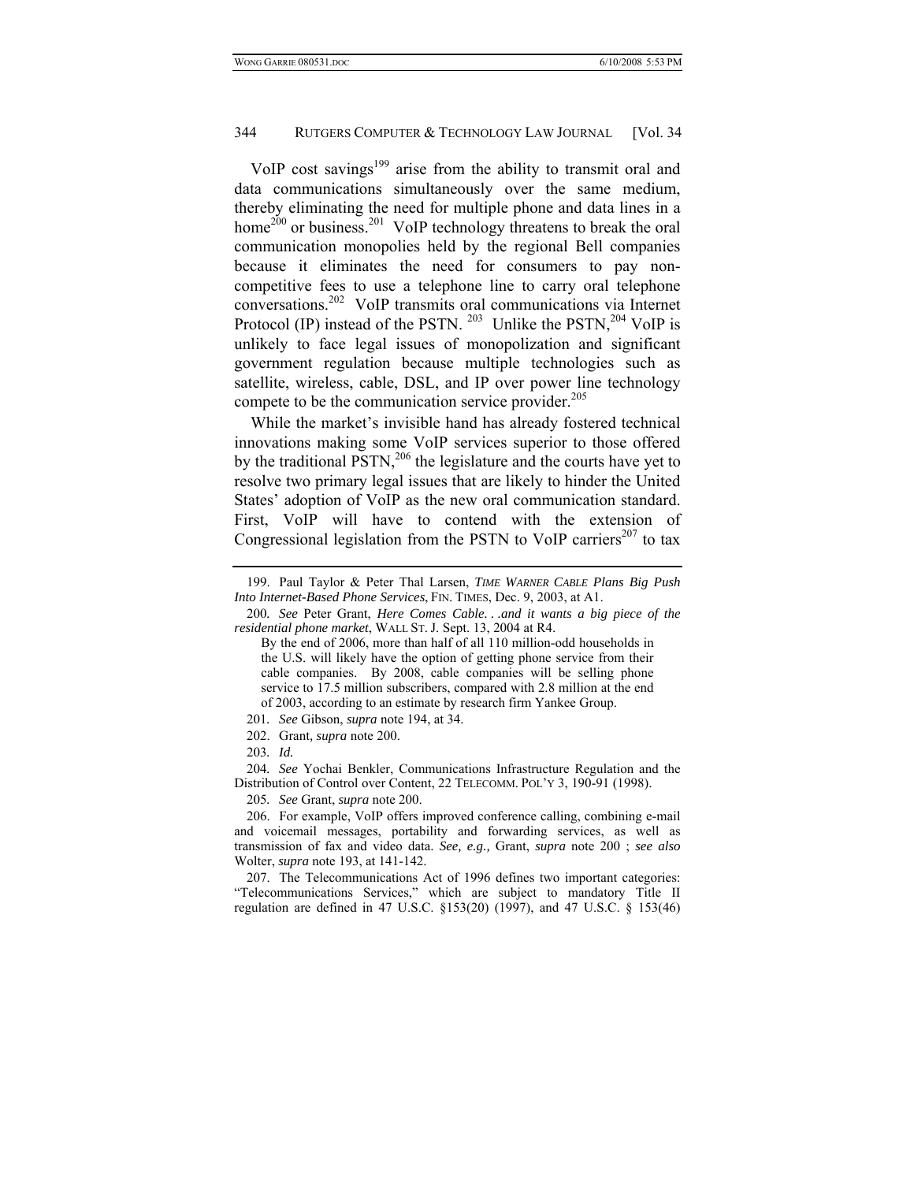VoIP cost savings<sup>199</sup> arise from the ability to transmit oral and data communications simultaneously over the same medium, thereby eliminating the need for multiple phone and data lines in a home<sup>200</sup> or business.<sup>201</sup> VoIP technology threatens to break the oral communication monopolies held by the regional Bell companies because it eliminates the need for consumers to pay noncompetitive fees to use a telephone line to carry oral telephone conversations.202 VoIP transmits oral communications via Internet Protocol (IP) instead of the PSTN.  $^{203}$  Unlike the PSTN,  $^{204}$  VoIP is unlikely to face legal issues of monopolization and significant government regulation because multiple technologies such as satellite, wireless, cable, DSL, and IP over power line technology compete to be the communication service provider.<sup>205</sup>

While the market's invisible hand has already fostered technical innovations making some VoIP services superior to those offered by the traditional  $PSTN<sub>1</sub><sup>206</sup>$  the legislature and the courts have yet to resolve two primary legal issues that are likely to hinder the United States' adoption of VoIP as the new oral communication standard. First, VoIP will have to contend with the extension of Congressional legislation from the PSTN to VoIP carriers<sup>207</sup> to tax

202. Grant*, supra* note 200.

203*. Id.*

204*. See* Yochai Benkler, Communications Infrastructure Regulation and the Distribution of Control over Content, 22 TELECOMM. POL'Y 3, 190-91 (1998).

205*. See* Grant, *supra* note 200.

 206. For example, VoIP offers improved conference calling, combining e-mail and voicemail messages, portability and forwarding services, as well as transmission of fax and video data. *See, e.g.,* Grant, *supra* note 200 ; *see also* Wolter, *supra* note 193, at 141-142.

 207. The Telecommunications Act of 1996 defines two important categories: "Telecommunications Services," which are subject to mandatory Title II regulation are defined in 47 U.S.C. §153(20) (1997), and 47 U.S.C. § 153(46)

 <sup>199.</sup> Paul Taylor & Peter Thal Larsen, *TIME WARNER CABLE Plans Big Push Into Internet-Based Phone Services*, FIN. TIMES, Dec. 9, 2003, at A1.

<sup>200</sup>*. See* Peter Grant, *Here Comes Cable. . .and it wants a big piece of the residential phone market*, WALL ST. J. Sept. 13, 2004 at R4.

By the end of 2006, more than half of all 110 million-odd households in the U.S. will likely have the option of getting phone service from their cable companies. By 2008, cable companies will be selling phone service to 17.5 million subscribers, compared with 2.8 million at the end of 2003, according to an estimate by research firm Yankee Group.

<sup>201</sup>*. See* Gibson, *supra* note 194, at 34.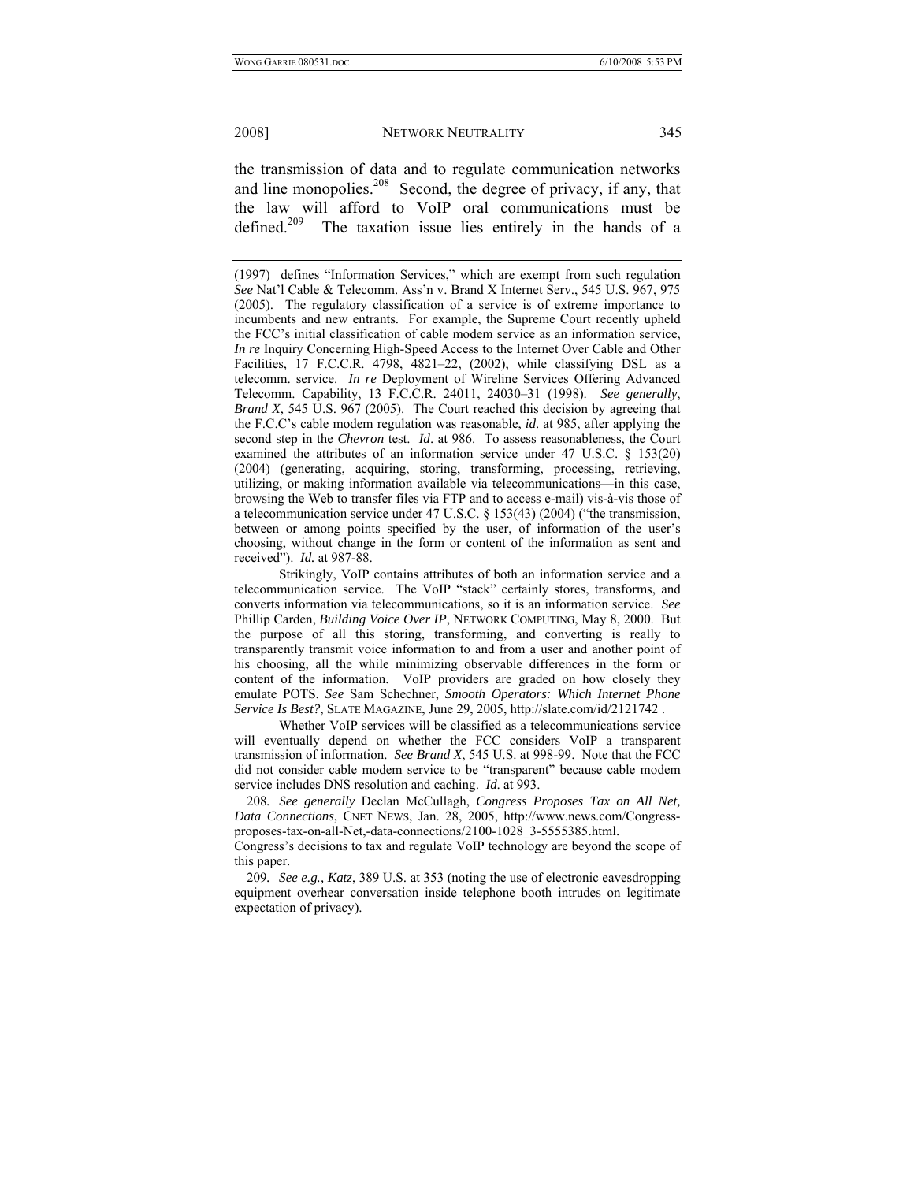the transmission of data and to regulate communication networks and line monopolies.<sup>208</sup> Second, the degree of privacy, if any, that the law will afford to VoIP oral communications must be defined.<sup>209</sup> The taxation issue lies entirely in the hands of a

 Strikingly, VoIP contains attributes of both an information service and a telecommunication service. The VoIP "stack" certainly stores, transforms, and converts information via telecommunications, so it is an information service. *See* Phillip Carden, *Building Voice Over IP*, NETWORK COMPUTING, May 8, 2000. But the purpose of all this storing, transforming, and converting is really to transparently transmit voice information to and from a user and another point of his choosing, all the while minimizing observable differences in the form or content of the information. VoIP providers are graded on how closely they emulate POTS. *See* Sam Schechner, *Smooth Operators: Which Internet Phone Service Is Best?*, SLATE MAGAZINE, June 29, 2005, http://slate.com/id/2121742 .

 Whether VoIP services will be classified as a telecommunications service will eventually depend on whether the FCC considers VoIP a transparent transmission of information. *See Brand X*, 545 U.S. at 998-99. Note that the FCC did not consider cable modem service to be "transparent" because cable modem service includes DNS resolution and caching. *Id*. at 993.

208*. See generally* Declan McCullagh, *Congress Proposes Tax on All Net, Data Connections*, CNET NEWS, Jan. 28, 2005, http://www.news.com/Congressproposes-tax-on-all-Net,-data-connections/2100-1028\_3-5555385.html.

Congress's decisions to tax and regulate VoIP technology are beyond the scope of this paper.

209*. See e.g., Katz*, 389 U.S. at 353 (noting the use of electronic eavesdropping equipment overhear conversation inside telephone booth intrudes on legitimate expectation of privacy).

<sup>(1997)</sup> defines "Information Services," which are exempt from such regulation *See* Nat'l Cable & Telecomm. Ass'n v. Brand X Internet Serv., 545 U.S. 967, 975 (2005). The regulatory classification of a service is of extreme importance to incumbents and new entrants. For example, the Supreme Court recently upheld the FCC's initial classification of cable modem service as an information service, *In re* Inquiry Concerning High-Speed Access to the Internet Over Cable and Other Facilities, 17 F.C.C.R. 4798, 4821–22, (2002), while classifying DSL as a telecomm. service. *In re* Deployment of Wireline Services Offering Advanced Telecomm. Capability, 13 F.C.C.R. 24011, 24030–31 (1998). *See generally*, *Brand X*, 545 U.S. 967 (2005). The Court reached this decision by agreeing that the F.C.C's cable modem regulation was reasonable, *id*. at 985, after applying the second step in the *Chevron* test. *Id*. at 986. To assess reasonableness, the Court examined the attributes of an information service under 47 U.S.C. § 153(20) (2004) (generating, acquiring, storing, transforming, processing, retrieving, utilizing, or making information available via telecommunications—in this case, browsing the Web to transfer files via FTP and to access e-mail) vis-à-vis those of a telecommunication service under 47 U.S.C. § 153(43) (2004) ("the transmission, between or among points specified by the user, of information of the user's choosing, without change in the form or content of the information as sent and received"). *Id.* at 987-88.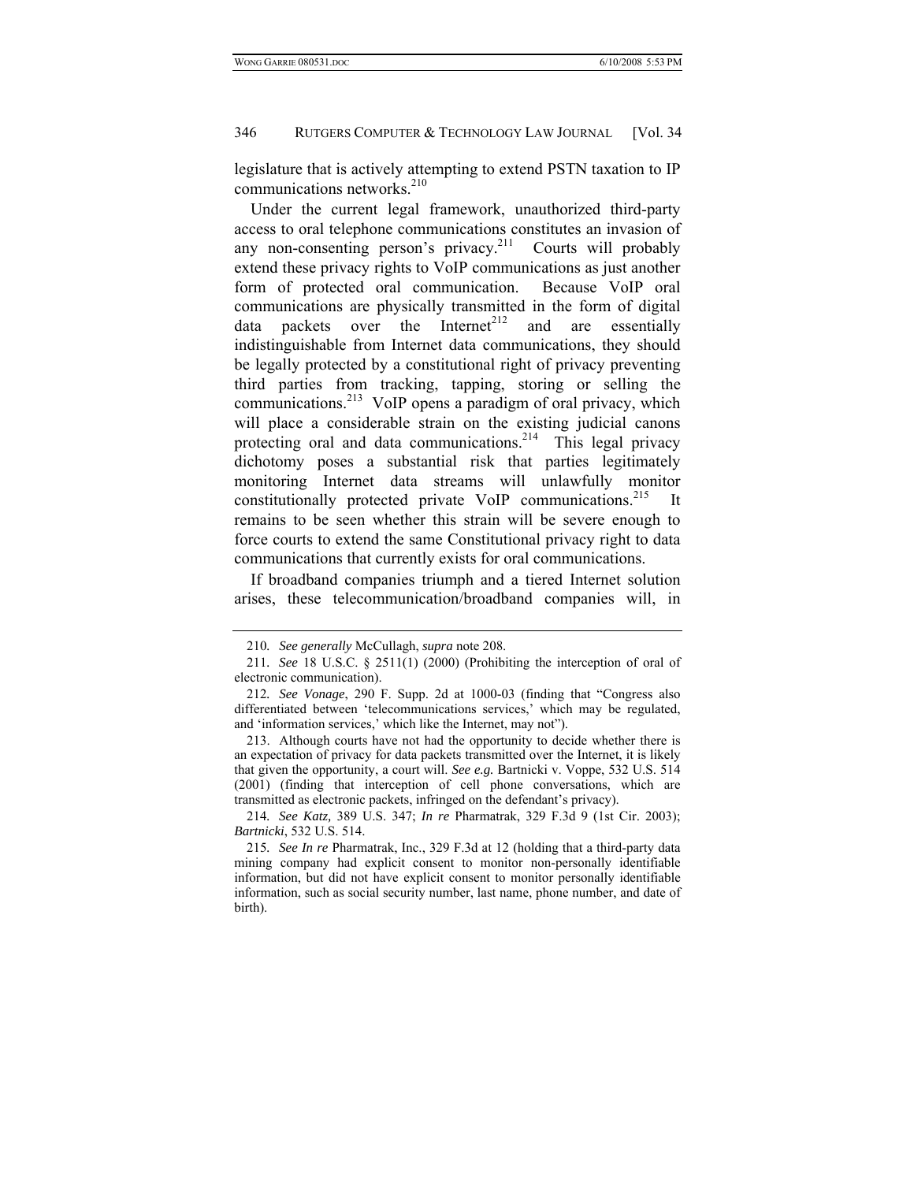legislature that is actively attempting to extend PSTN taxation to IP communications networks.<sup>210</sup>

Under the current legal framework, unauthorized third-party access to oral telephone communications constitutes an invasion of any non-consenting person's privacy. $2^{11}$  Courts will probably extend these privacy rights to VoIP communications as just another form of protected oral communication. Because VoIP oral communications are physically transmitted in the form of digital data packets over the Internet<sup>212</sup> and are essentially indistinguishable from Internet data communications, they should be legally protected by a constitutional right of privacy preventing third parties from tracking, tapping, storing or selling the communications.<sup>213</sup> VoIP opens a paradigm of oral privacy, which will place a considerable strain on the existing judicial canons protecting oral and data communications.<sup>214</sup> This legal privacy dichotomy poses a substantial risk that parties legitimately monitoring Internet data streams will unlawfully monitor constitutionally protected private VoIP communications.<sup>215</sup> It remains to be seen whether this strain will be severe enough to force courts to extend the same Constitutional privacy right to data communications that currently exists for oral communications.

If broadband companies triumph and a tiered Internet solution arises, these telecommunication/broadband companies will, in

<sup>210</sup>*. See generally* McCullagh, *supra* note 208.

<sup>211</sup>*. See* 18 U.S.C. § 2511(1) (2000) (Prohibiting the interception of oral of electronic communication).

<sup>212</sup>*. See Vonage*, 290 F. Supp. 2d at 1000-03 (finding that "Congress also differentiated between 'telecommunications services,' which may be regulated, and 'information services,' which like the Internet, may not").

 <sup>213.</sup> Although courts have not had the opportunity to decide whether there is an expectation of privacy for data packets transmitted over the Internet, it is likely that given the opportunity, a court will. *See e.g.* Bartnicki v. Voppe, 532 U.S. 514 (2001) (finding that interception of cell phone conversations, which are transmitted as electronic packets, infringed on the defendant's privacy).

<sup>214</sup>*. See Katz,* 389 U.S. 347; *In re* Pharmatrak, 329 F.3d 9 (1st Cir. 2003); *Bartnicki*, 532 U.S. 514.

<sup>215</sup>*. See In re* Pharmatrak, Inc., 329 F.3d at 12 (holding that a third-party data mining company had explicit consent to monitor non-personally identifiable information, but did not have explicit consent to monitor personally identifiable information, such as social security number, last name, phone number, and date of birth).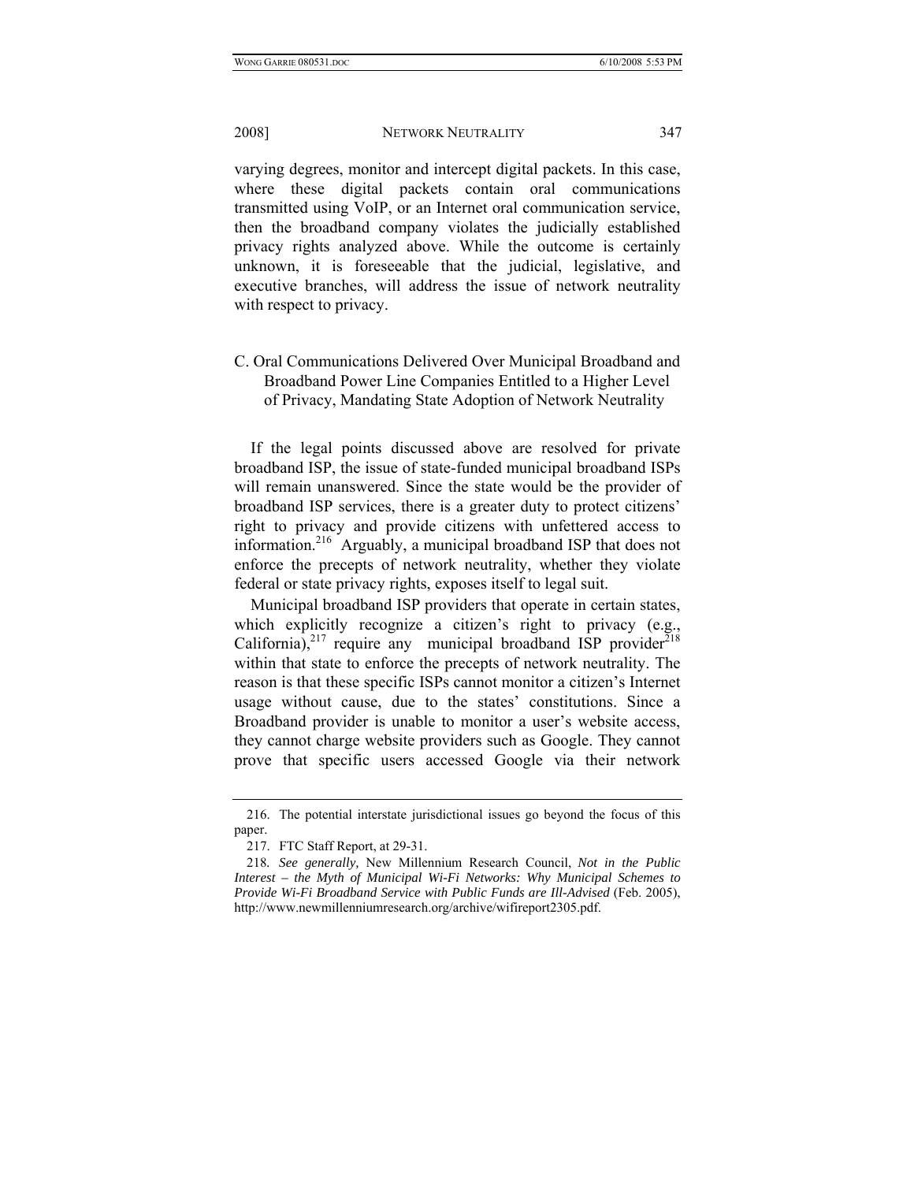varying degrees, monitor and intercept digital packets. In this case, where these digital packets contain oral communications transmitted using VoIP, or an Internet oral communication service, then the broadband company violates the judicially established privacy rights analyzed above. While the outcome is certainly unknown, it is foreseeable that the judicial, legislative, and executive branches, will address the issue of network neutrality with respect to privacy.

# C. Oral Communications Delivered Over Municipal Broadband and Broadband Power Line Companies Entitled to a Higher Level of Privacy, Mandating State Adoption of Network Neutrality

If the legal points discussed above are resolved for private broadband ISP, the issue of state-funded municipal broadband ISPs will remain unanswered. Since the state would be the provider of broadband ISP services, there is a greater duty to protect citizens' right to privacy and provide citizens with unfettered access to information.216 Arguably, a municipal broadband ISP that does not enforce the precepts of network neutrality, whether they violate federal or state privacy rights, exposes itself to legal suit.

Municipal broadband ISP providers that operate in certain states, which explicitly recognize a citizen's right to privacy (e.g., California),<sup>217</sup> require any municipal broadband ISP provider<sup>218</sup> within that state to enforce the precepts of network neutrality. The reason is that these specific ISPs cannot monitor a citizen's Internet usage without cause, due to the states' constitutions. Since a Broadband provider is unable to monitor a user's website access, they cannot charge website providers such as Google. They cannot prove that specific users accessed Google via their network

 <sup>216.</sup> The potential interstate jurisdictional issues go beyond the focus of this paper.

 <sup>217.</sup> FTC Staff Report, at 29-31.

<sup>218</sup>*. See generally,* New Millennium Research Council, *Not in the Public Interest – the Myth of Municipal Wi-Fi Networks: Why Municipal Schemes to Provide Wi-Fi Broadband Service with Public Funds are Ill-Advised* (Feb. 2005), http://www.newmillenniumresearch.org/archive/wifireport2305.pdf.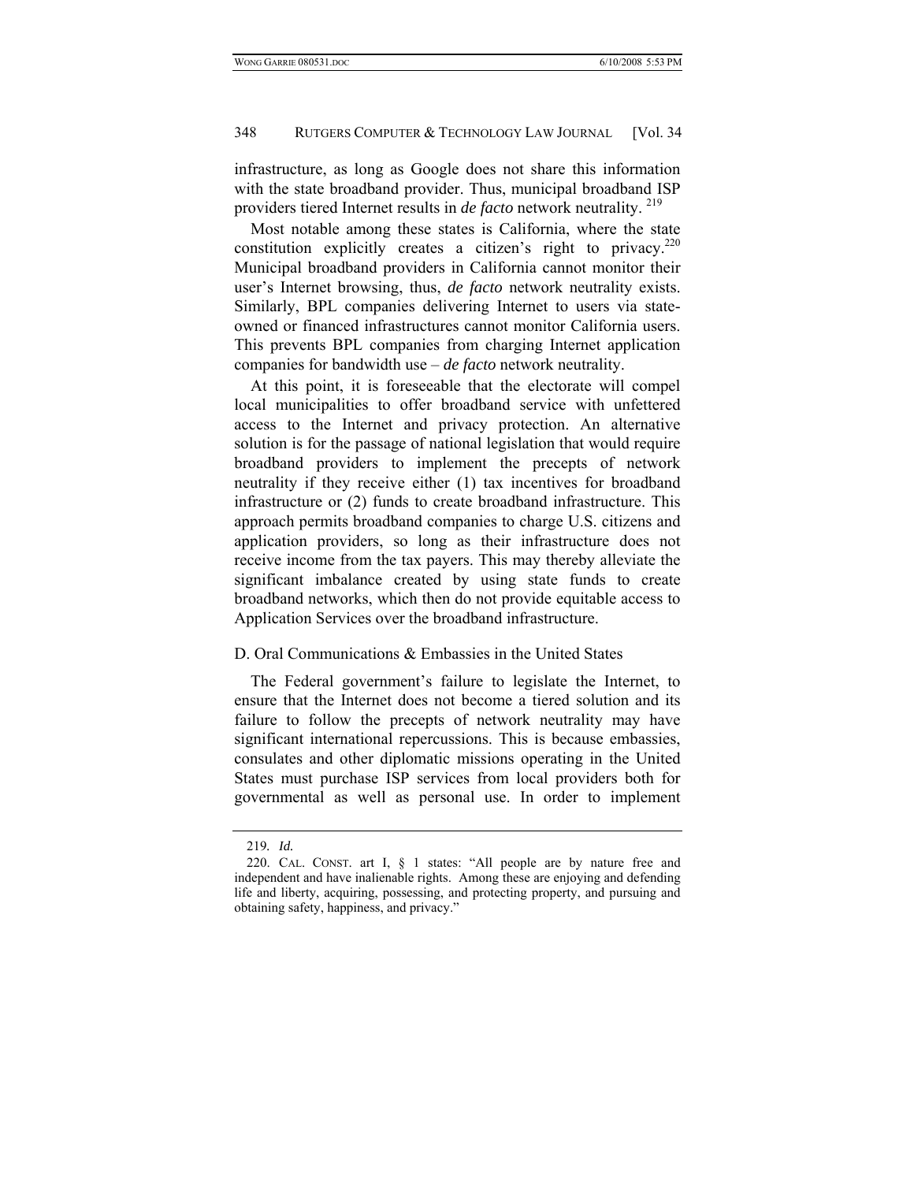infrastructure, as long as Google does not share this information with the state broadband provider. Thus, municipal broadband ISP providers tiered Internet results in *de facto* network neutrality. 219

Most notable among these states is California, where the state constitution explicitly creates a citizen's right to privacy. $2^{20}$ Municipal broadband providers in California cannot monitor their user's Internet browsing, thus, *de facto* network neutrality exists. Similarly, BPL companies delivering Internet to users via stateowned or financed infrastructures cannot monitor California users. This prevents BPL companies from charging Internet application companies for bandwidth use – *de facto* network neutrality.

At this point, it is foreseeable that the electorate will compel local municipalities to offer broadband service with unfettered access to the Internet and privacy protection. An alternative solution is for the passage of national legislation that would require broadband providers to implement the precepts of network neutrality if they receive either (1) tax incentives for broadband infrastructure or (2) funds to create broadband infrastructure. This approach permits broadband companies to charge U.S. citizens and application providers, so long as their infrastructure does not receive income from the tax payers. This may thereby alleviate the significant imbalance created by using state funds to create broadband networks, which then do not provide equitable access to Application Services over the broadband infrastructure.

#### D. Oral Communications & Embassies in the United States

The Federal government's failure to legislate the Internet, to ensure that the Internet does not become a tiered solution and its failure to follow the precepts of network neutrality may have significant international repercussions. This is because embassies, consulates and other diplomatic missions operating in the United States must purchase ISP services from local providers both for governmental as well as personal use. In order to implement

<sup>219</sup>*. Id.*

 <sup>220.</sup> CAL. CONST. art I, § 1 states: "All people are by nature free and independent and have inalienable rights. Among these are enjoying and defending life and liberty, acquiring, possessing, and protecting property, and pursuing and obtaining safety, happiness, and privacy."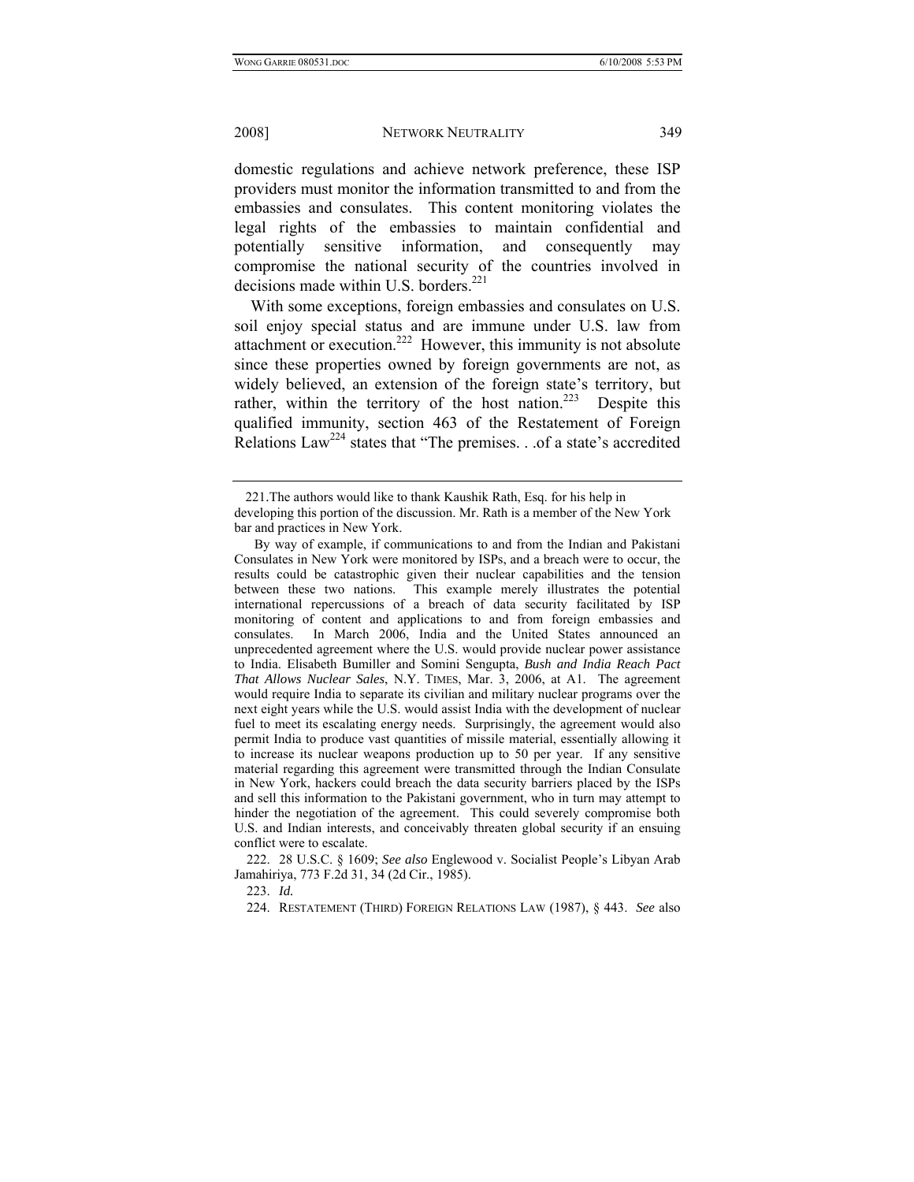domestic regulations and achieve network preference, these ISP providers must monitor the information transmitted to and from the embassies and consulates. This content monitoring violates the legal rights of the embassies to maintain confidential and potentially sensitive information, and consequently may compromise the national security of the countries involved in decisions made within U.S. borders.<sup>221</sup>

With some exceptions, foreign embassies and consulates on U.S. soil enjoy special status and are immune under U.S. law from attachment or execution.<sup>222</sup> However, this immunity is not absolute since these properties owned by foreign governments are not, as widely believed, an extension of the foreign state's territory, but rather, within the territory of the host nation.<sup>223</sup> Despite this qualified immunity, section 463 of the Restatement of Foreign Relations  $Law^{224}$  states that "The premises. . .of a state's accredited

 <sup>221.</sup>The authors would like to thank Kaushik Rath, Esq. for his help in developing this portion of the discussion. Mr. Rath is a member of the New York bar and practices in New York.

By way of example, if communications to and from the Indian and Pakistani Consulates in New York were monitored by ISPs, and a breach were to occur, the results could be catastrophic given their nuclear capabilities and the tension between these two nations. This example merely illustrates the potential international repercussions of a breach of data security facilitated by ISP monitoring of content and applications to and from foreign embassies and consulates. In March 2006, India and the United States announced an unprecedented agreement where the U.S. would provide nuclear power assistance to India. Elisabeth Bumiller and Somini Sengupta, *Bush and India Reach Pact That Allows Nuclear Sales*, N.Y. TIMES, Mar. 3, 2006, at A1. The agreement would require India to separate its civilian and military nuclear programs over the next eight years while the U.S. would assist India with the development of nuclear fuel to meet its escalating energy needs. Surprisingly, the agreement would also permit India to produce vast quantities of missile material, essentially allowing it to increase its nuclear weapons production up to 50 per year. If any sensitive material regarding this agreement were transmitted through the Indian Consulate in New York, hackers could breach the data security barriers placed by the ISPs and sell this information to the Pakistani government, who in turn may attempt to hinder the negotiation of the agreement. This could severely compromise both U.S. and Indian interests, and conceivably threaten global security if an ensuing conflict were to escalate.

 <sup>222. 28</sup> U.S.C. § 1609; *See also* Englewood v. Socialist People's Libyan Arab Jamahiriya, 773 F.2d 31, 34 (2d Cir., 1985).

 <sup>223.</sup> *Id.*

 <sup>224.</sup> RESTATEMENT (THIRD) FOREIGN RELATIONS LAW (1987), § 443. *See* also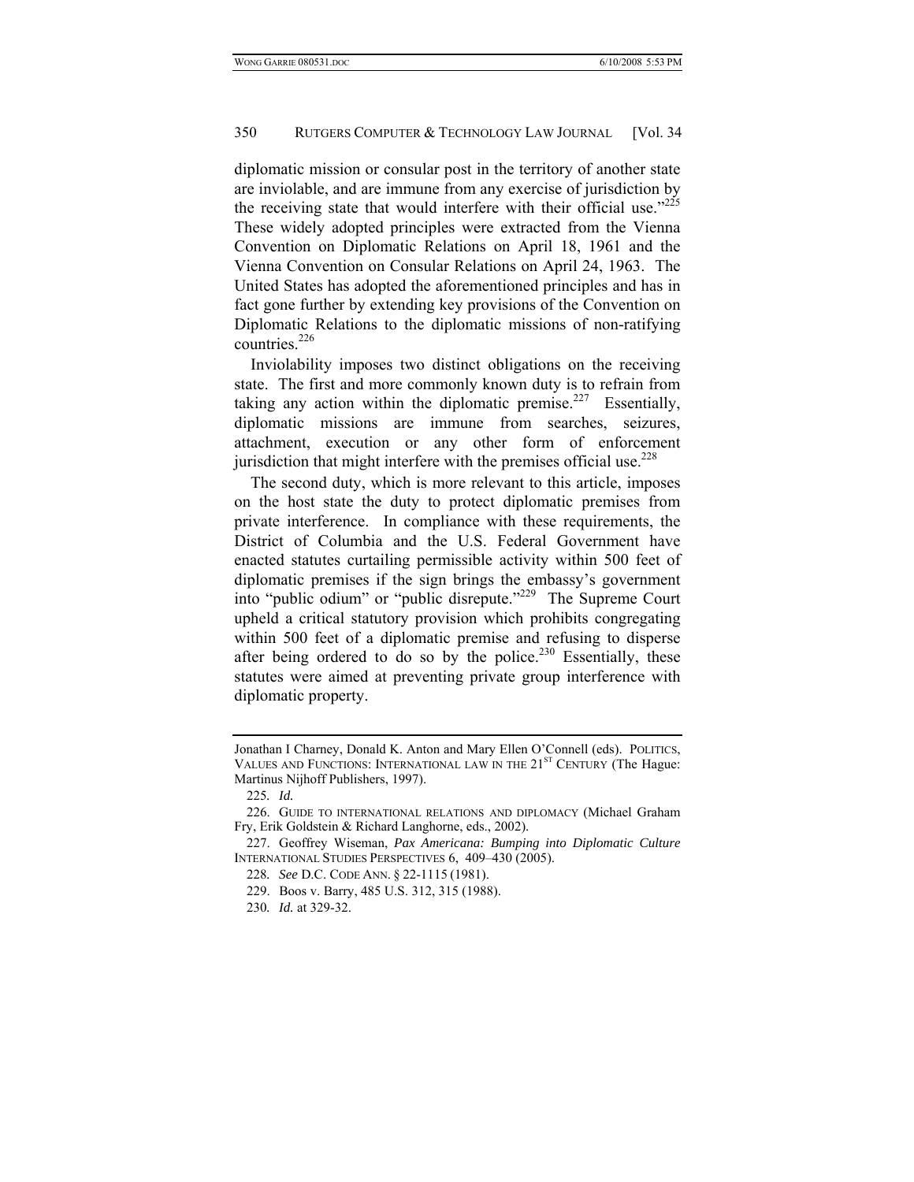diplomatic mission or consular post in the territory of another state are inviolable, and are immune from any exercise of jurisdiction by the receiving state that would interfere with their official use. $225$ These widely adopted principles were extracted from the Vienna Convention on Diplomatic Relations on April 18, 1961 and the Vienna Convention on Consular Relations on April 24, 1963. The United States has adopted the aforementioned principles and has in fact gone further by extending key provisions of the Convention on Diplomatic Relations to the diplomatic missions of non-ratifying countries.<sup>226</sup>

Inviolability imposes two distinct obligations on the receiving state. The first and more commonly known duty is to refrain from taking any action within the diplomatic premise.<sup>227</sup> Essentially, diplomatic missions are immune from searches, seizures, attachment, execution or any other form of enforcement jurisdiction that might interfere with the premises official use.  $228$ 

The second duty, which is more relevant to this article, imposes on the host state the duty to protect diplomatic premises from private interference. In compliance with these requirements, the District of Columbia and the U.S. Federal Government have enacted statutes curtailing permissible activity within 500 feet of diplomatic premises if the sign brings the embassy's government into "public odium" or "public disrepute."229 The Supreme Court upheld a critical statutory provision which prohibits congregating within 500 feet of a diplomatic premise and refusing to disperse after being ordered to do so by the police.<sup>230</sup> Essentially, these statutes were aimed at preventing private group interference with diplomatic property.

Jonathan I Charney, Donald K. Anton and Mary Ellen O'Connell (eds). POLITICS, VALUES AND FUNCTIONS: INTERNATIONAL LAW IN THE 21<sup>ST</sup> CENTURY (The Hague: Martinus Nijhoff Publishers, 1997).

<sup>225</sup>*. Id.*

 <sup>226.</sup> GUIDE TO INTERNATIONAL RELATIONS AND DIPLOMACY (Michael Graham Fry, Erik Goldstein & Richard Langhorne, eds., 2002).

 <sup>227.</sup> Geoffrey Wiseman, *Pax Americana: Bumping into Diplomatic Culture*  INTERNATIONAL STUDIES PERSPECTIVES 6, 409–430 (2005).

<sup>228</sup>*. See* D.C. CODE ANN. § 22-1115 (1981).

 <sup>229.</sup> Boos v. Barry, 485 U.S. 312, 315 (1988).

<sup>230</sup>*. Id.* at 329-32.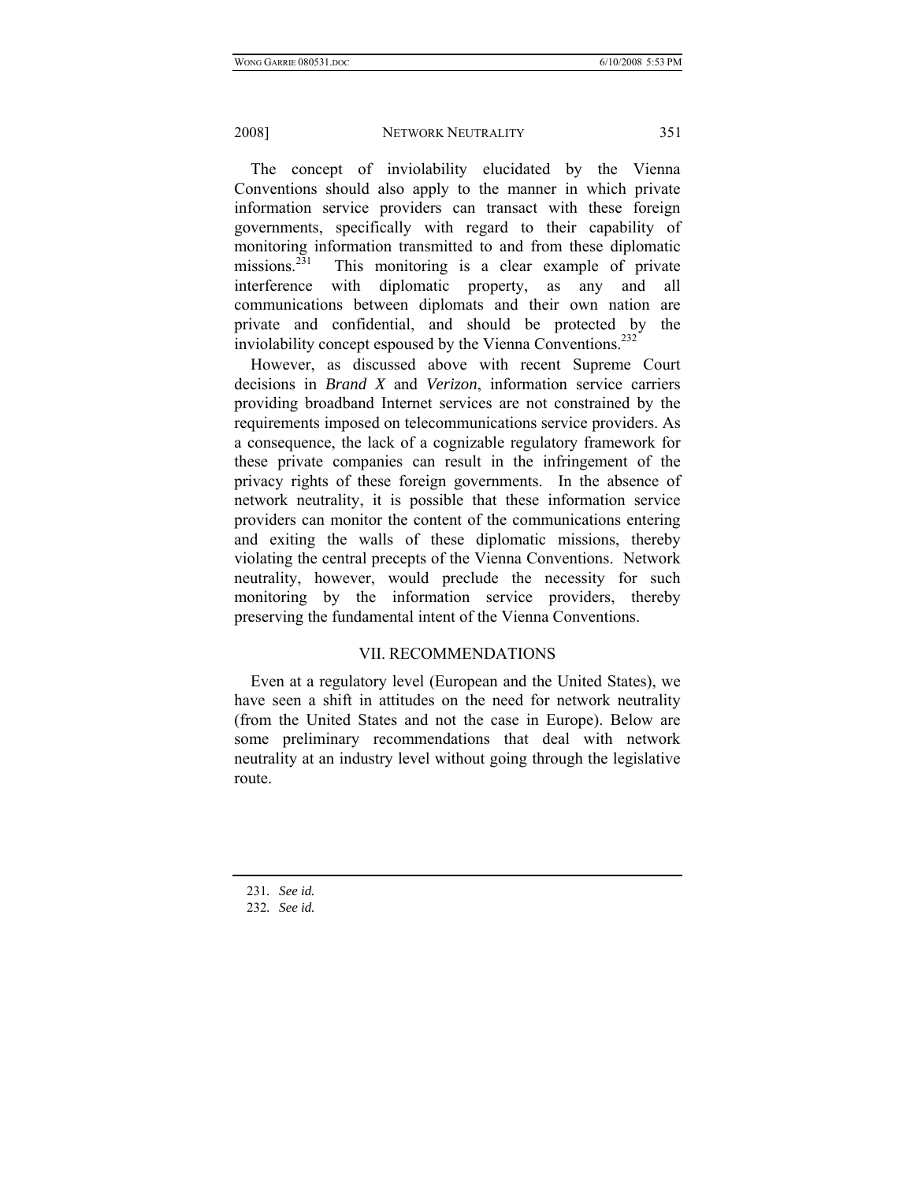The concept of inviolability elucidated by the Vienna Conventions should also apply to the manner in which private information service providers can transact with these foreign governments, specifically with regard to their capability of monitoring information transmitted to and from these diplomatic missions.<sup>231</sup> This monitoring is a clear example of private interference with diplomatic property, as any and all communications between diplomats and their own nation are private and confidential, and should be protected by the inviolability concept espoused by the Vienna Conventions.<sup>232</sup>

However, as discussed above with recent Supreme Court decisions in *Brand X* and *Verizon*, information service carriers providing broadband Internet services are not constrained by the requirements imposed on telecommunications service providers. As a consequence, the lack of a cognizable regulatory framework for these private companies can result in the infringement of the privacy rights of these foreign governments. In the absence of network neutrality, it is possible that these information service providers can monitor the content of the communications entering and exiting the walls of these diplomatic missions, thereby violating the central precepts of the Vienna Conventions. Network neutrality, however, would preclude the necessity for such monitoring by the information service providers, thereby preserving the fundamental intent of the Vienna Conventions.

## VII. RECOMMENDATIONS

Even at a regulatory level (European and the United States), we have seen a shift in attitudes on the need for network neutrality (from the United States and not the case in Europe). Below are some preliminary recommendations that deal with network neutrality at an industry level without going through the legislative route.

<sup>231</sup>*. See id.*

<sup>232</sup>*. See id.*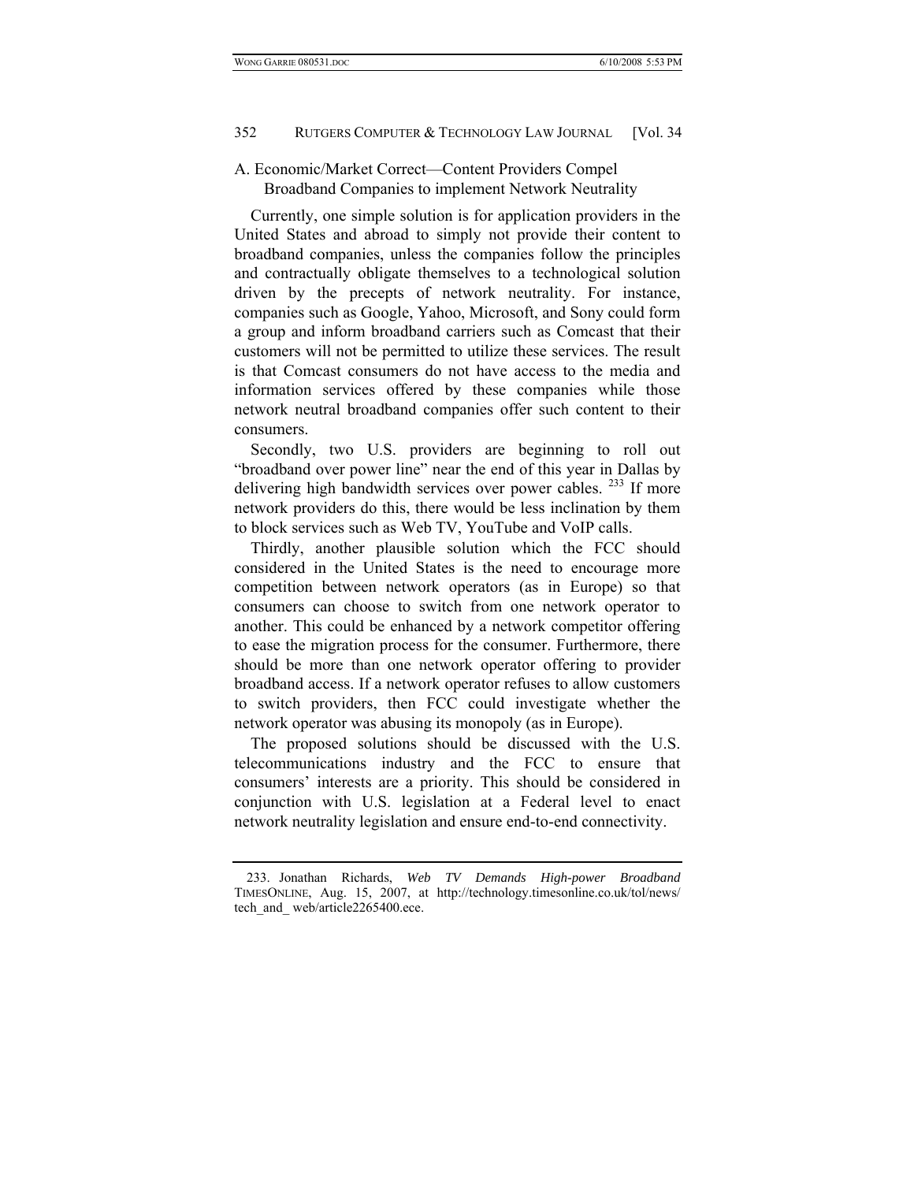## A. Economic/Market Correct—Content Providers Compel Broadband Companies to implement Network Neutrality

Currently, one simple solution is for application providers in the United States and abroad to simply not provide their content to broadband companies, unless the companies follow the principles and contractually obligate themselves to a technological solution driven by the precepts of network neutrality. For instance, companies such as Google, Yahoo, Microsoft, and Sony could form a group and inform broadband carriers such as Comcast that their customers will not be permitted to utilize these services. The result is that Comcast consumers do not have access to the media and information services offered by these companies while those network neutral broadband companies offer such content to their consumers.

Secondly, two U.S. providers are beginning to roll out "broadband over power line" near the end of this year in Dallas by delivering high bandwidth services over power cables. <sup>233</sup> If more network providers do this, there would be less inclination by them to block services such as Web TV, YouTube and VoIP calls.

Thirdly, another plausible solution which the FCC should considered in the United States is the need to encourage more competition between network operators (as in Europe) so that consumers can choose to switch from one network operator to another. This could be enhanced by a network competitor offering to ease the migration process for the consumer. Furthermore, there should be more than one network operator offering to provider broadband access. If a network operator refuses to allow customers to switch providers, then FCC could investigate whether the network operator was abusing its monopoly (as in Europe).

The proposed solutions should be discussed with the U.S. telecommunications industry and the FCC to ensure that consumers' interests are a priority. This should be considered in conjunction with U.S. legislation at a Federal level to enact network neutrality legislation and ensure end-to-end connectivity.

 <sup>233.</sup> Jonathan Richards, *Web TV Demands High-power Broadband* TIMESONLINE, Aug. 15, 2007, at http://technology.timesonline.co.uk/tol/news/ tech\_and\_ web/article2265400.ece.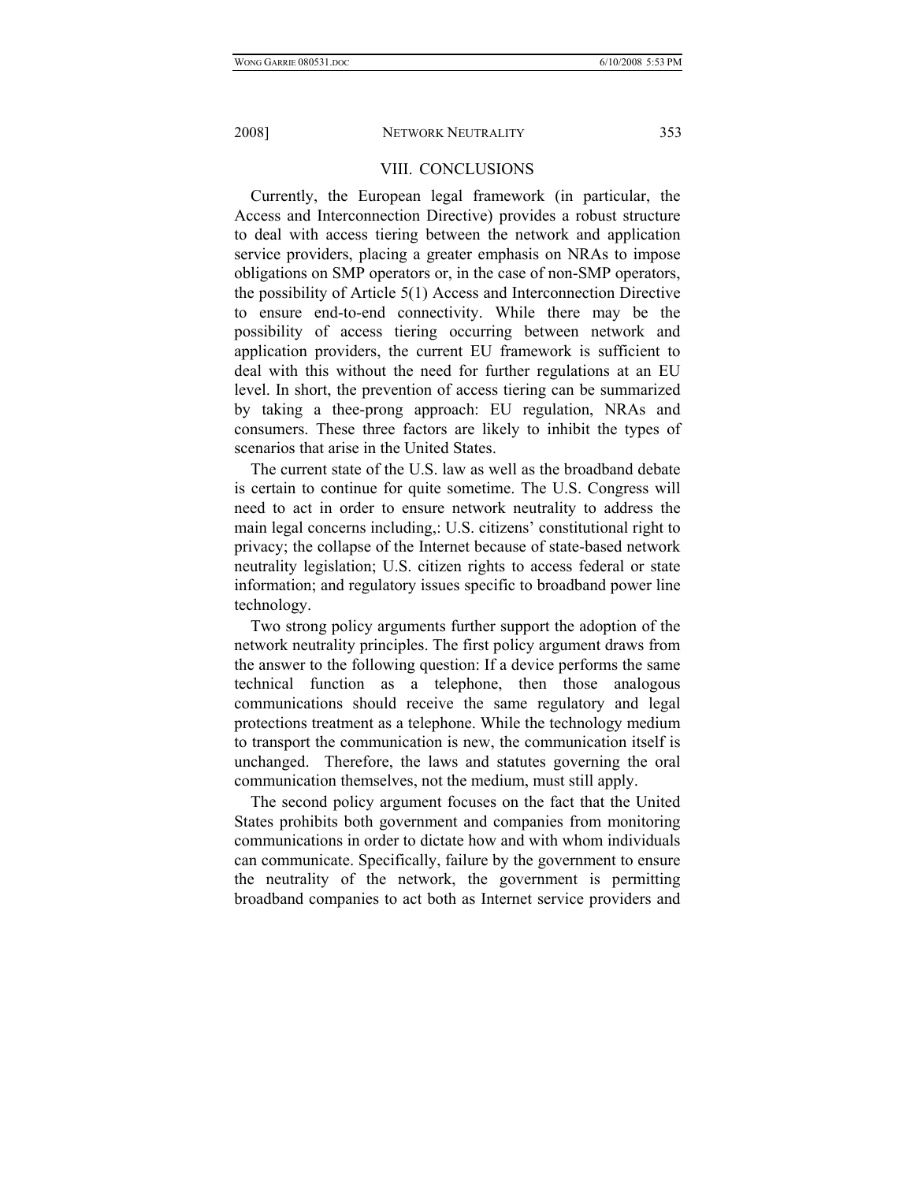## VIII. CONCLUSIONS

Currently, the European legal framework (in particular, the Access and Interconnection Directive) provides a robust structure to deal with access tiering between the network and application service providers, placing a greater emphasis on NRAs to impose obligations on SMP operators or, in the case of non-SMP operators, the possibility of Article 5(1) Access and Interconnection Directive to ensure end-to-end connectivity. While there may be the possibility of access tiering occurring between network and application providers, the current EU framework is sufficient to deal with this without the need for further regulations at an EU level. In short, the prevention of access tiering can be summarized by taking a thee-prong approach: EU regulation, NRAs and consumers. These three factors are likely to inhibit the types of scenarios that arise in the United States.

The current state of the U.S. law as well as the broadband debate is certain to continue for quite sometime. The U.S. Congress will need to act in order to ensure network neutrality to address the main legal concerns including,: U.S. citizens' constitutional right to privacy; the collapse of the Internet because of state-based network neutrality legislation; U.S. citizen rights to access federal or state information; and regulatory issues specific to broadband power line technology.

Two strong policy arguments further support the adoption of the network neutrality principles. The first policy argument draws from the answer to the following question: If a device performs the same technical function as a telephone, then those analogous communications should receive the same regulatory and legal protections treatment as a telephone. While the technology medium to transport the communication is new, the communication itself is unchanged. Therefore, the laws and statutes governing the oral communication themselves, not the medium, must still apply.

The second policy argument focuses on the fact that the United States prohibits both government and companies from monitoring communications in order to dictate how and with whom individuals can communicate. Specifically, failure by the government to ensure the neutrality of the network, the government is permitting broadband companies to act both as Internet service providers and